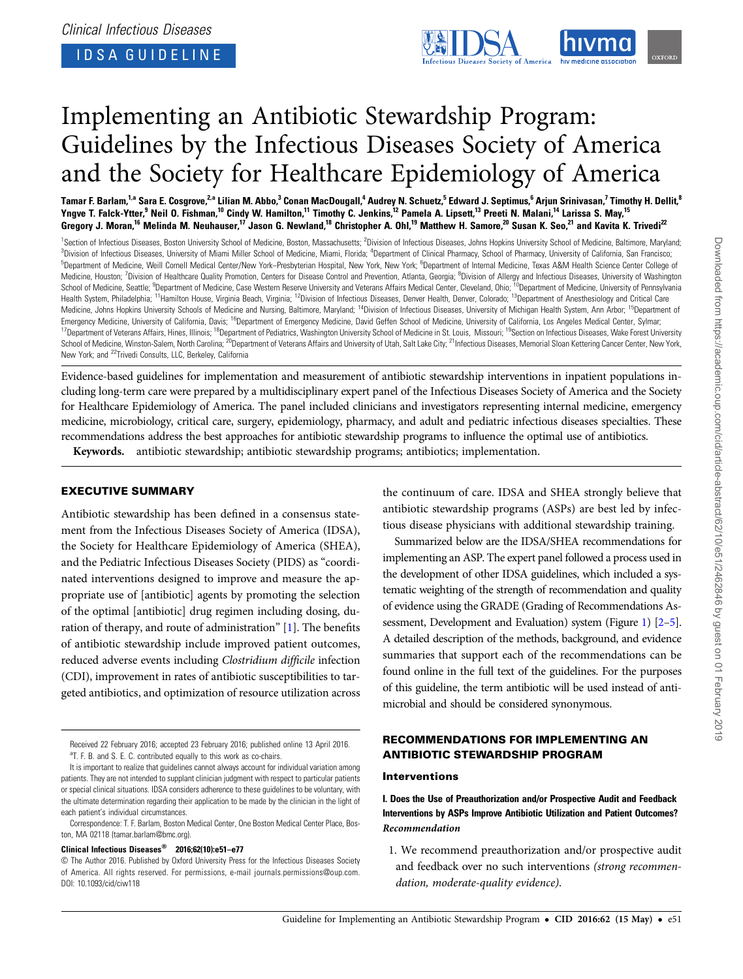IDSA GUIDELINE



# Implementing an Antibiotic Stewardship Program: Guidelines by the Infectious Diseases Society of America and the Society for Healthcare Epidemiology of America

Tamar F. Barlam,<sup>1,a</sup> Sara E. Cosgrove,<sup>2,a</sup> Lilian M. Abbo,<sup>3</sup> Conan MacDougall,<sup>4</sup> Audrey N. Schuetz,<sup>5</sup> Edward J. Septimus,<sup>6</sup> Arjun Srinivasan,<sup>7</sup> Timothy H. Dellit,<sup>8</sup> Yngve T. Falck-Ytter,<sup>9</sup> Neil O. Fishman,<sup>10</sup> Cindy W. Hamilton,<sup>11</sup> Timothy C. Jenkins,<sup>12</sup> Pamela A. Lipsett,<sup>13</sup> Preeti N. Malani,<sup>14</sup> Larissa S. May,<sup>15</sup> Gregory J. Moran,<sup>16</sup> Melinda M. Neuhauser,<sup>17</sup> Jason G. Newland,<sup>18</sup> Christopher A. Ohl,<sup>19</sup> Matthew H. Samore,<sup>20</sup> Susan K. Seo,<sup>21</sup> and Kavita K. Trivedi<sup>22</sup>

<sup>1</sup>Section of Infectious Diseases, Boston University School of Medicine, Boston, Massachusetts; <sup>2</sup>Division of Infectious Diseases, Johns Hopkins University School of Medicine, Baltimore, Maryland; a<br><sup>3</sup>Division of Infectious Diseases, University of Miami Miller School of Medicine, Miami, Florida; <sup>4</sup>Department of Clinical Pharmacy, School of Pharmacy, University of California, San Francisco; <sup>5</sup>Department of Medicine, Weill Cornell Medical Center/New York–Presbyterian Hospital, New York, New York; <sup>6</sup>Department of Internal Medicine, Texas A&M Health Science Center College of Medicine, Houston; <sup>7</sup>Division of Healthcare Quality Promotion, Centers for Disease Control and Prevention, Atlanta, Georgia; <sup>8</sup>Division of Allergy and Infectious Diseases, University of Washington School of Medicine, Seattle; <sup>9</sup>Department of Medicine, Case Western Reserve University and Veterans Affairs Medical Center, Cleveland, Ohio; <sup>10</sup>Department of Medicine, University of Pennsylvania Health System, Philadelphia; <sup>11</sup>Hamilton House, Virginia Beach, Virginia; <sup>12</sup>Division of Infectious Diseases, Denver Health, Denver, Colorado; <sup>13</sup>Department of Anesthesiology and Critical Care Medicine, Johns Hopkins University Schools of Medicine and Nursing, Baltimore, Maryland; <sup>14</sup>Division of Infectious Diseases, University of Michigan Health System, Ann Arbor; <sup>15</sup>Department of Emergency Medicine, University of California, Davis; <sup>16</sup>Department of Emergency Medicine, David Geffen School of Medicine, University of California, Los Angeles Medical Center, Sylmar; <sup>17</sup>Department of Veterans Affairs, Hines, Illinois; <sup>18</sup>Department of Pediatrics, Washington University School of Medicine in St. Louis, Missouri; <sup>19</sup>Section on Infectious Diseases, Wake Forest University School of Medicine, Winston-Salem, North Carolina; <sup>20</sup>Department of Veterans Affairs and University of Utah, Salt Lake City; <sup>21</sup>Infectious Diseases, Memorial Sloan Kettering Cancer Center, New York, New York; and 22Trivedi Consults, LLC, Berkeley, California

Evidence-based guidelines for implementation and measurement of antibiotic stewardship interventions in inpatient populations including long-term care were prepared by a multidisciplinary expert panel of the Infectious Diseases Society of America and the Society for Healthcare Epidemiology of America. The panel included clinicians and investigators representing internal medicine, emergency medicine, microbiology, critical care, surgery, epidemiology, pharmacy, and adult and pediatric infectious diseases specialties. These recommendations address the best approaches for antibiotic stewardship programs to influence the optimal use of antibiotics.

Keywords. antibiotic stewardship; antibiotic stewardship programs; antibiotics; implementation.

### EXECUTIVE SUMMARY

Antibiotic stewardship has been defined in a consensus statement from the Infectious Diseases Society of America (IDSA), the Society for Healthcare Epidemiology of America (SHEA), and the Pediatric Infectious Diseases Society (PIDS) as "coordinated interventions designed to improve and measure the appropriate use of [antibiotic] agents by promoting the selection of the optimal [antibiotic] drug regimen including dosing, duration of therapy, and route of administration" [\[1\]](#page-22-0). The benefits of antibiotic stewardship include improved patient outcomes, reduced adverse events including Clostridium difficile infection (CDI), improvement in rates of antibiotic susceptibilities to targeted antibiotics, and optimization of resource utilization across

Correspondence: T. F. Barlam, Boston Medical Center, One Boston Medical Center Place, Boston, MA 02118 ([tamar.barlam@bmc.org\)](mailto:tamar.barlam@bmc.org).

### Clinical Infectious Diseases® 2016;62(10):e51–e77

the continuum of care. IDSA and SHEA strongly believe that antibiotic stewardship programs (ASPs) are best led by infectious disease physicians with additional stewardship training.

Summarized below are the IDSA/SHEA recommendations for implementing an ASP. The expert panel followed a process used in the development of other IDSA guidelines, which included a systematic weighting of the strength of recommendation and quality of evidence using the GRADE (Grading of Recommendations Assessment, Development and Evaluation) system (Figure [1](#page-1-0)) [\[2](#page-22-0)–[5\]](#page-22-0). A detailed description of the methods, background, and evidence summaries that support each of the recommendations can be found online in the full text of the guidelines. For the purposes of this guideline, the term antibiotic will be used instead of antimicrobial and should be considered synonymous.

### RECOMMENDATIONS FOR IMPLEMENTING AN ANTIBIOTIC STEWARDSHIP PROGRAM

### Interventions

### I. Does the Use of Preauthorization and/or Prospective Audit and Feedback Interventions by ASPs Improve Antibiotic Utilization and Patient Outcomes? Recommendation

1. We recommend preauthorization and/or prospective audit and feedback over no such interventions (strong recommendation, moderate-quality evidence).

Received 22 February 2016; accepted 23 February 2016; published online 13 April 2016. <sup>a</sup>T. F. B. and S. E. C. contributed equally to this work as co-chairs.

It is important to realize that guidelines cannot always account for individual variation among patients. They are not intended to supplant clinician judgment with respect to particular patients or special clinical situations. IDSA considers adherence to these guidelines to be voluntary, with the ultimate determination regarding their application to be made by the clinician in the light of each patient's individual circumstances.

<sup>©</sup> The Author 2016. Published by Oxford University Press for the Infectious Diseases Society of America. All rights reserved. For permissions, e-mail [journals.permissions@oup.com](mailto:journals.permissions@oup.com). DOI: 10.1093/cid/ciw118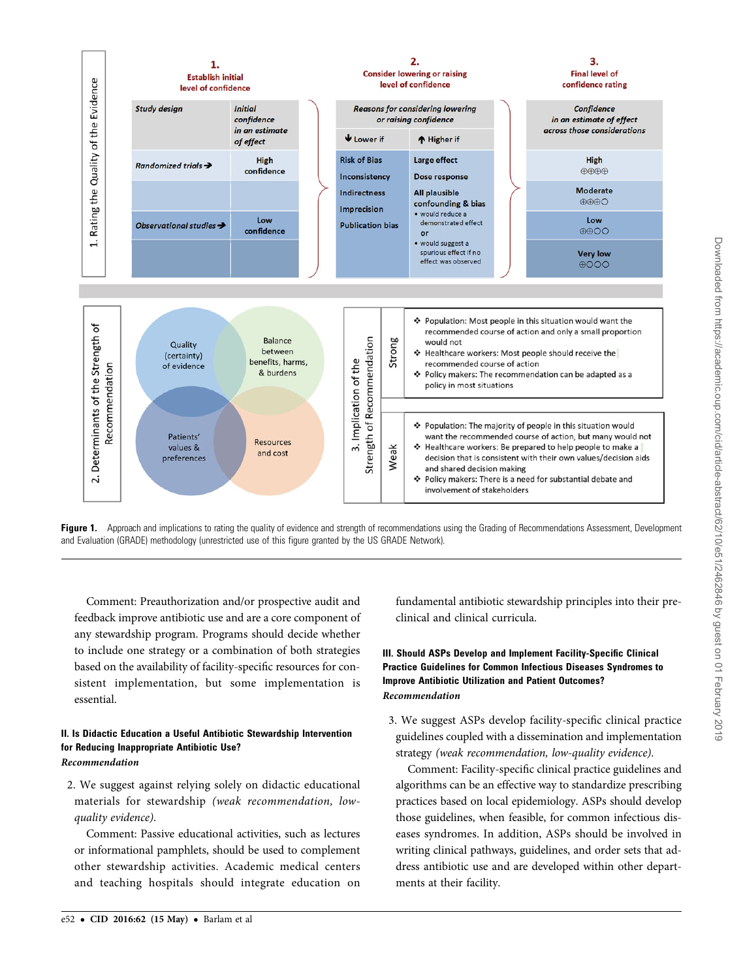<span id="page-1-0"></span>

Figure 1. Approach and implications to rating the quality of evidence and strength of recommendations using the Grading of Recommendations Assessment, Development and Evaluation (GRADE) methodology (unrestricted use of this figure granted by the US GRADE Network).

Comment: Preauthorization and/or prospective audit and feedback improve antibiotic use and are a core component of any stewardship program. Programs should decide whether to include one strategy or a combination of both strategies based on the availability of facility-specific resources for consistent implementation, but some implementation is essential.

### II. Is Didactic Education a Useful Antibiotic Stewardship Intervention for Reducing Inappropriate Antibiotic Use? Recommendation

2. We suggest against relying solely on didactic educational materials for stewardship (weak recommendation, lowquality evidence).

Comment: Passive educational activities, such as lectures or informational pamphlets, should be used to complement other stewardship activities. Academic medical centers and teaching hospitals should integrate education on fundamental antibiotic stewardship principles into their preclinical and clinical curricula.

### III. Should ASPs Develop and Implement Facility-Specific Clinical Practice Guidelines for Common Infectious Diseases Syndromes to Improve Antibiotic Utilization and Patient Outcomes? Recommendation

3. We suggest ASPs develop facility-specific clinical practice guidelines coupled with a dissemination and implementation strategy (weak recommendation, low-quality evidence).

Comment: Facility-specific clinical practice guidelines and algorithms can be an effective way to standardize prescribing practices based on local epidemiology. ASPs should develop those guidelines, when feasible, for common infectious diseases syndromes. In addition, ASPs should be involved in writing clinical pathways, guidelines, and order sets that address antibiotic use and are developed within other departments at their facility.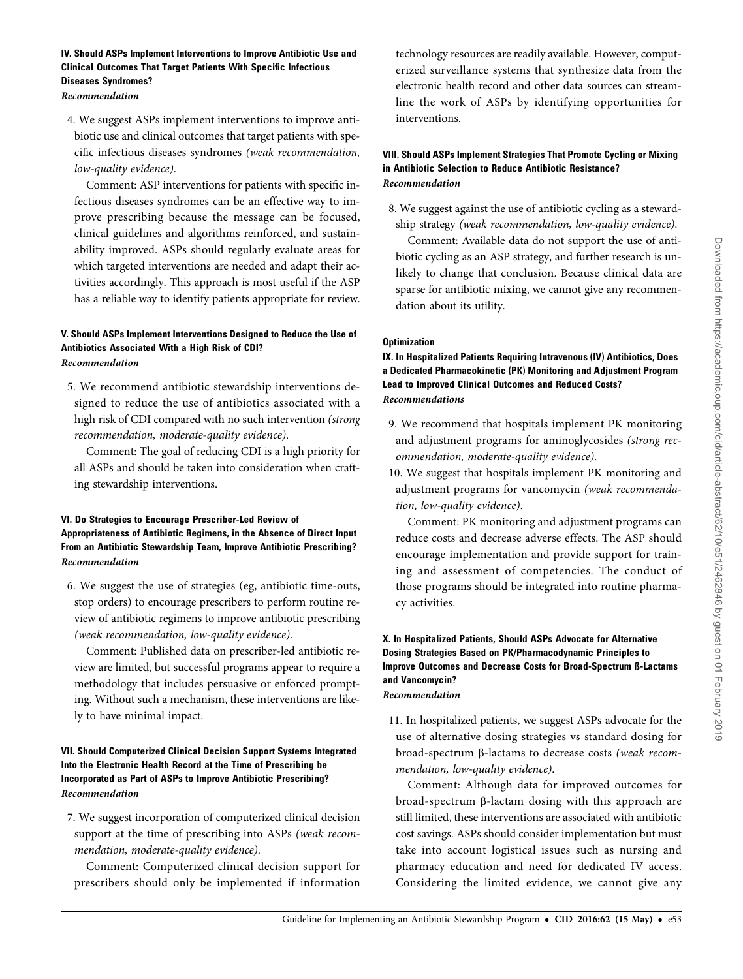### IV. Should ASPs Implement Interventions to Improve Antibiotic Use and Clinical Outcomes That Target Patients With Specific Infectious Diseases Syndromes? Recommendation

4. We suggest ASPs implement interventions to improve antibiotic use and clinical outcomes that target patients with specific infectious diseases syndromes (weak recommendation, low-quality evidence).

Comment: ASP interventions for patients with specific infectious diseases syndromes can be an effective way to improve prescribing because the message can be focused, clinical guidelines and algorithms reinforced, and sustainability improved. ASPs should regularly evaluate areas for which targeted interventions are needed and adapt their activities accordingly. This approach is most useful if the ASP has a reliable way to identify patients appropriate for review.

### V. Should ASPs Implement Interventions Designed to Reduce the Use of Antibiotics Associated With a High Risk of CDI? Recommendation

5. We recommend antibiotic stewardship interventions designed to reduce the use of antibiotics associated with a high risk of CDI compared with no such intervention (strong recommendation, moderate-quality evidence).

Comment: The goal of reducing CDI is a high priority for all ASPs and should be taken into consideration when crafting stewardship interventions.

### VI. Do Strategies to Encourage Prescriber-Led Review of Appropriateness of Antibiotic Regimens, in the Absence of Direct Input From an Antibiotic Stewardship Team, Improve Antibiotic Prescribing? Recommendation

6. We suggest the use of strategies (eg, antibiotic time-outs, stop orders) to encourage prescribers to perform routine review of antibiotic regimens to improve antibiotic prescribing (weak recommendation, low-quality evidence).

Comment: Published data on prescriber-led antibiotic review are limited, but successful programs appear to require a methodology that includes persuasive or enforced prompting. Without such a mechanism, these interventions are likely to have minimal impact.

### VII. Should Computerized Clinical Decision Support Systems Integrated Into the Electronic Health Record at the Time of Prescribing be Incorporated as Part of ASPs to Improve Antibiotic Prescribing? Recommendation

7. We suggest incorporation of computerized clinical decision support at the time of prescribing into ASPs (weak recommendation, moderate-quality evidence).

Comment: Computerized clinical decision support for prescribers should only be implemented if information technology resources are readily available. However, computerized surveillance systems that synthesize data from the electronic health record and other data sources can streamline the work of ASPs by identifying opportunities for interventions.

### VIII. Should ASPs Implement Strategies That Promote Cycling or Mixing in Antibiotic Selection to Reduce Antibiotic Resistance? Recommendation

8. We suggest against the use of antibiotic cycling as a stewardship strategy (weak recommendation, low-quality evidence).

Comment: Available data do not support the use of antibiotic cycling as an ASP strategy, and further research is unlikely to change that conclusion. Because clinical data are sparse for antibiotic mixing, we cannot give any recommendation about its utility.

### **Optimization**

### IX. In Hospitalized Patients Requiring Intravenous (IV) Antibiotics, Does a Dedicated Pharmacokinetic (PK) Monitoring and Adjustment Program Lead to Improved Clinical Outcomes and Reduced Costs? Recommendations

- 9. We recommend that hospitals implement PK monitoring and adjustment programs for aminoglycosides (strong recommendation, moderate-quality evidence).
- 10. We suggest that hospitals implement PK monitoring and adjustment programs for vancomycin (weak recommendation, low-quality evidence).

Comment: PK monitoring and adjustment programs can reduce costs and decrease adverse effects. The ASP should encourage implementation and provide support for training and assessment of competencies. The conduct of those programs should be integrated into routine pharmacy activities.

### X. In Hospitalized Patients, Should ASPs Advocate for Alternative Dosing Strategies Based on PK/Pharmacodynamic Principles to Improve Outcomes and Decrease Costs for Broad-Spectrum ß-Lactams and Vancomycin? Recommendation

### 11. In hospitalized patients, we suggest ASPs advocate for the use of alternative dosing strategies vs standard dosing for broad-spectrum β-lactams to decrease costs (weak recommendation, low-quality evidence).

Comment: Although data for improved outcomes for broad-spectrum β-lactam dosing with this approach are still limited, these interventions are associated with antibiotic cost savings. ASPs should consider implementation but must take into account logistical issues such as nursing and pharmacy education and need for dedicated IV access. Considering the limited evidence, we cannot give any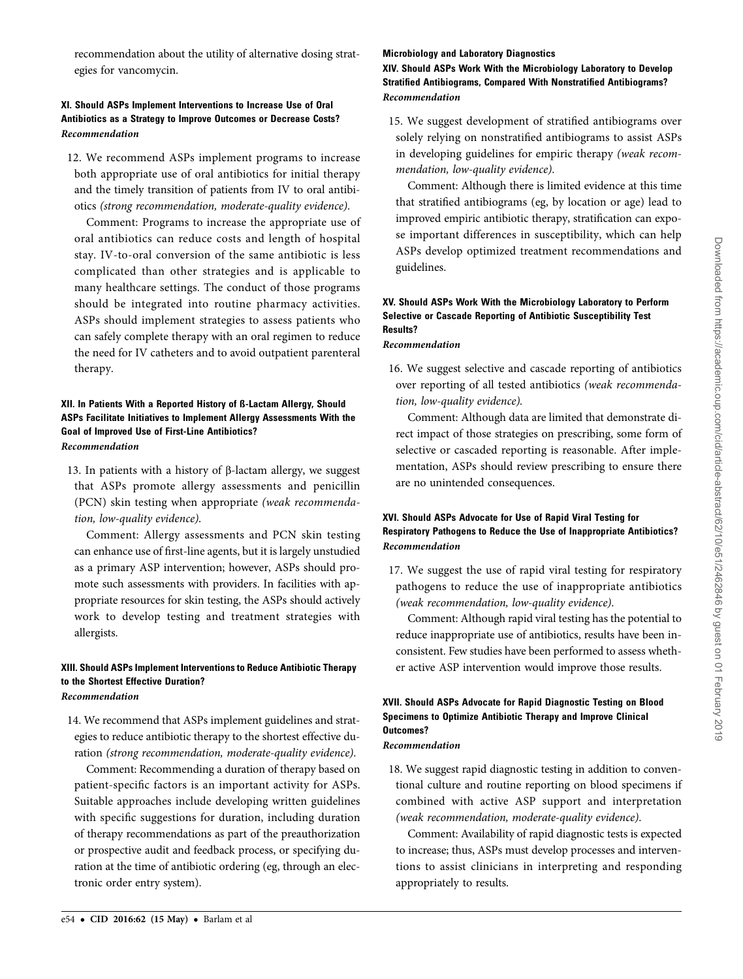recommendation about the utility of alternative dosing strategies for vancomycin.

### XI. Should ASPs Implement Interventions to Increase Use of Oral Antibiotics as a Strategy to Improve Outcomes or Decrease Costs? Recommendation

12. We recommend ASPs implement programs to increase both appropriate use of oral antibiotics for initial therapy and the timely transition of patients from IV to oral antibiotics (strong recommendation, moderate-quality evidence).

Comment: Programs to increase the appropriate use of oral antibiotics can reduce costs and length of hospital stay. IV-to-oral conversion of the same antibiotic is less complicated than other strategies and is applicable to many healthcare settings. The conduct of those programs should be integrated into routine pharmacy activities. ASPs should implement strategies to assess patients who can safely complete therapy with an oral regimen to reduce the need for IV catheters and to avoid outpatient parenteral therapy.

### XII. In Patients With a Reported History of ß-Lactam Allergy, Should ASPs Facilitate Initiatives to Implement Allergy Assessments With the Goal of Improved Use of First-Line Antibiotics? Recommendation

13. In patients with a history of β-lactam allergy, we suggest that ASPs promote allergy assessments and penicillin (PCN) skin testing when appropriate (weak recommendation, low-quality evidence).

Comment: Allergy assessments and PCN skin testing can enhance use of first-line agents, but it is largely unstudied as a primary ASP intervention; however, ASPs should promote such assessments with providers. In facilities with appropriate resources for skin testing, the ASPs should actively work to develop testing and treatment strategies with allergists.

### XIII. Should ASPs Implement Interventions to Reduce Antibiotic Therapy to the Shortest Effective Duration?

### Recommendation

14. We recommend that ASPs implement guidelines and strategies to reduce antibiotic therapy to the shortest effective duration (strong recommendation, moderate-quality evidence).

Comment: Recommending a duration of therapy based on patient-specific factors is an important activity for ASPs. Suitable approaches include developing written guidelines with specific suggestions for duration, including duration of therapy recommendations as part of the preauthorization or prospective audit and feedback process, or specifying duration at the time of antibiotic ordering (eg, through an electronic order entry system).

### Microbiology and Laboratory Diagnostics

XIV. Should ASPs Work With the Microbiology Laboratory to Develop Stratified Antibiograms, Compared With Nonstratified Antibiograms? Recommendation

15. We suggest development of stratified antibiograms over solely relying on nonstratified antibiograms to assist ASPs in developing guidelines for empiric therapy (weak recommendation, low-quality evidence).

Comment: Although there is limited evidence at this time that stratified antibiograms (eg, by location or age) lead to improved empiric antibiotic therapy, stratification can expose important differences in susceptibility, which can help ASPs develop optimized treatment recommendations and guidelines.

### XV. Should ASPs Work With the Microbiology Laboratory to Perform Selective or Cascade Reporting of Antibiotic Susceptibility Test Results?

### Recommendation

16. We suggest selective and cascade reporting of antibiotics over reporting of all tested antibiotics (weak recommendation, low-quality evidence).

Comment: Although data are limited that demonstrate direct impact of those strategies on prescribing, some form of selective or cascaded reporting is reasonable. After implementation, ASPs should review prescribing to ensure there are no unintended consequences.

### XVI. Should ASPs Advocate for Use of Rapid Viral Testing for Respiratory Pathogens to Reduce the Use of Inappropriate Antibiotics? Recommendation

17. We suggest the use of rapid viral testing for respiratory pathogens to reduce the use of inappropriate antibiotics (weak recommendation, low-quality evidence).

Comment: Although rapid viral testing has the potential to reduce inappropriate use of antibiotics, results have been inconsistent. Few studies have been performed to assess whether active ASP intervention would improve those results.

### XVII. Should ASPs Advocate for Rapid Diagnostic Testing on Blood Specimens to Optimize Antibiotic Therapy and Improve Clinical Outcomes?

### Recommendation

18. We suggest rapid diagnostic testing in addition to conventional culture and routine reporting on blood specimens if combined with active ASP support and interpretation (weak recommendation, moderate-quality evidence).

Comment: Availability of rapid diagnostic tests is expected to increase; thus, ASPs must develop processes and interventions to assist clinicians in interpreting and responding appropriately to results.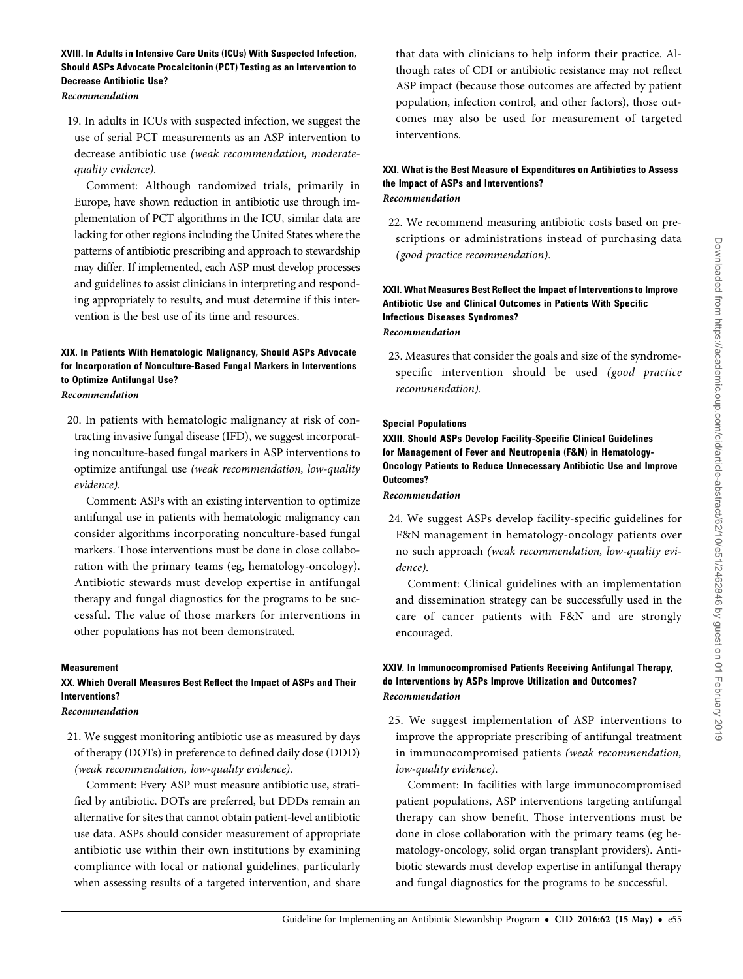### XVIII. In Adults in Intensive Care Units (ICUs) With Suspected Infection, Should ASPs Advocate Procalcitonin (PCT) Testing as an Intervention to Decrease Antibiotic Use? Recommendation

19. In adults in ICUs with suspected infection, we suggest the use of serial PCT measurements as an ASP intervention to decrease antibiotic use (weak recommendation, moderatequality evidence).

Comment: Although randomized trials, primarily in Europe, have shown reduction in antibiotic use through implementation of PCT algorithms in the ICU, similar data are lacking for other regions including the United States where the patterns of antibiotic prescribing and approach to stewardship may differ. If implemented, each ASP must develop processes and guidelines to assist clinicians in interpreting and responding appropriately to results, and must determine if this intervention is the best use of its time and resources.

## XIX. In Patients With Hematologic Malignancy, Should ASPs Advocate for Incorporation of Nonculture-Based Fungal Markers in Interventions to Optimize Antifungal Use?

Recommendation

20. In patients with hematologic malignancy at risk of contracting invasive fungal disease (IFD), we suggest incorporating nonculture-based fungal markers in ASP interventions to optimize antifungal use (weak recommendation, low-quality evidence).

Comment: ASPs with an existing intervention to optimize antifungal use in patients with hematologic malignancy can consider algorithms incorporating nonculture-based fungal markers. Those interventions must be done in close collaboration with the primary teams (eg, hematology-oncology). Antibiotic stewards must develop expertise in antifungal therapy and fungal diagnostics for the programs to be successful. The value of those markers for interventions in other populations has not been demonstrated.

### Measurement

### XX. Which Overall Measures Best Reflect the Impact of ASPs and Their Interventions?

### Recommendation

21. We suggest monitoring antibiotic use as measured by days of therapy (DOTs) in preference to defined daily dose (DDD) (weak recommendation, low-quality evidence).

Comment: Every ASP must measure antibiotic use, stratified by antibiotic. DOTs are preferred, but DDDs remain an alternative for sites that cannot obtain patient-level antibiotic use data. ASPs should consider measurement of appropriate antibiotic use within their own institutions by examining compliance with local or national guidelines, particularly when assessing results of a targeted intervention, and share

that data with clinicians to help inform their practice. Although rates of CDI or antibiotic resistance may not reflect ASP impact (because those outcomes are affected by patient population, infection control, and other factors), those outcomes may also be used for measurement of targeted interventions.

### XXI. What is the Best Measure of Expenditures on Antibiotics to Assess the Impact of ASPs and Interventions? Recommendation

22. We recommend measuring antibiotic costs based on prescriptions or administrations instead of purchasing data (good practice recommendation).

### XXII. What Measures Best Reflect the Impact of Interventions to Improve Antibiotic Use and Clinical Outcomes in Patients With Specific Infectious Diseases Syndromes?

Recommendation

23. Measures that consider the goals and size of the syndromespecific intervention should be used (good practice recommendation).

### Special Populations

### XXIII. Should ASPs Develop Facility-Specific Clinical Guidelines for Management of Fever and Neutropenia (F&N) in Hematology-Oncology Patients to Reduce Unnecessary Antibiotic Use and Improve Outcomes?

### Recommendation

24. We suggest ASPs develop facility-specific guidelines for F&N management in hematology-oncology patients over no such approach (weak recommendation, low-quality evidence).

Comment: Clinical guidelines with an implementation and dissemination strategy can be successfully used in the care of cancer patients with F&N and are strongly encouraged.

### XXIV. In Immunocompromised Patients Receiving Antifungal Therapy, do Interventions by ASPs Improve Utilization and Outcomes? Recommendation

25. We suggest implementation of ASP interventions to improve the appropriate prescribing of antifungal treatment in immunocompromised patients (weak recommendation, low-quality evidence).

Comment: In facilities with large immunocompromised patient populations, ASP interventions targeting antifungal therapy can show benefit. Those interventions must be done in close collaboration with the primary teams (eg hematology-oncology, solid organ transplant providers). Antibiotic stewards must develop expertise in antifungal therapy and fungal diagnostics for the programs to be successful.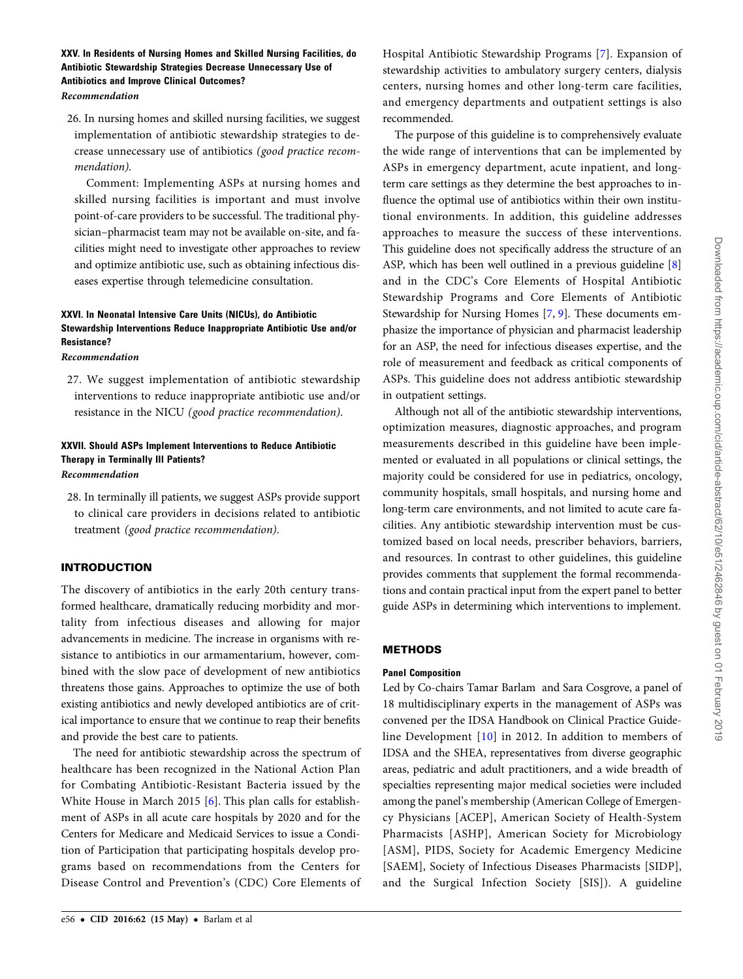### XXV. In Residents of Nursing Homes and Skilled Nursing Facilities, do Antibiotic Stewardship Strategies Decrease Unnecessary Use of Antibiotics and Improve Clinical Outcomes? Recommendation

26. In nursing homes and skilled nursing facilities, we suggest implementation of antibiotic stewardship strategies to decrease unnecessary use of antibiotics (good practice recommendation).

Comment: Implementing ASPs at nursing homes and skilled nursing facilities is important and must involve point-of-care providers to be successful. The traditional physician–pharmacist team may not be available on-site, and facilities might need to investigate other approaches to review and optimize antibiotic use, such as obtaining infectious diseases expertise through telemedicine consultation.

### XXVI. In Neonatal Intensive Care Units (NICUs), do Antibiotic Stewardship Interventions Reduce Inappropriate Antibiotic Use and/or Resistance?

Recommendation

27. We suggest implementation of antibiotic stewardship interventions to reduce inappropriate antibiotic use and/or resistance in the NICU (good practice recommendation).

### XXVII. Should ASPs Implement Interventions to Reduce Antibiotic Therapy in Terminally Ill Patients? Recommendation

28. In terminally ill patients, we suggest ASPs provide support to clinical care providers in decisions related to antibiotic treatment (good practice recommendation).

### INTRODUCTION

The discovery of antibiotics in the early 20th century transformed healthcare, dramatically reducing morbidity and mortality from infectious diseases and allowing for major advancements in medicine. The increase in organisms with resistance to antibiotics in our armamentarium, however, combined with the slow pace of development of new antibiotics threatens those gains. Approaches to optimize the use of both existing antibiotics and newly developed antibiotics are of critical importance to ensure that we continue to reap their benefits and provide the best care to patients.

The need for antibiotic stewardship across the spectrum of healthcare has been recognized in the National Action Plan for Combating Antibiotic-Resistant Bacteria issued by the White House in March 2015 [[6](#page-22-0)]. This plan calls for establishment of ASPs in all acute care hospitals by 2020 and for the Centers for Medicare and Medicaid Services to issue a Condition of Participation that participating hospitals develop programs based on recommendations from the Centers for Disease Control and Prevention's (CDC) Core Elements of

Hospital Antibiotic Stewardship Programs [[7](#page-22-0)]. Expansion of stewardship activities to ambulatory surgery centers, dialysis centers, nursing homes and other long-term care facilities, and emergency departments and outpatient settings is also recommended.

The purpose of this guideline is to comprehensively evaluate the wide range of interventions that can be implemented by ASPs in emergency department, acute inpatient, and longterm care settings as they determine the best approaches to influence the optimal use of antibiotics within their own institutional environments. In addition, this guideline addresses approaches to measure the success of these interventions. This guideline does not specifically address the structure of an ASP, which has been well outlined in a previous guideline [\[8\]](#page-22-0) and in the CDC's Core Elements of Hospital Antibiotic Stewardship Programs and Core Elements of Antibiotic Stewardship for Nursing Homes [\[7,](#page-22-0) [9\]](#page-22-0). These documents emphasize the importance of physician and pharmacist leadership for an ASP, the need for infectious diseases expertise, and the role of measurement and feedback as critical components of ASPs. This guideline does not address antibiotic stewardship in outpatient settings.

Although not all of the antibiotic stewardship interventions, optimization measures, diagnostic approaches, and program measurements described in this guideline have been implemented or evaluated in all populations or clinical settings, the majority could be considered for use in pediatrics, oncology, community hospitals, small hospitals, and nursing home and long-term care environments, and not limited to acute care facilities. Any antibiotic stewardship intervention must be customized based on local needs, prescriber behaviors, barriers, and resources. In contrast to other guidelines, this guideline provides comments that supplement the formal recommendations and contain practical input from the expert panel to better guide ASPs in determining which interventions to implement.

### METHODS

### Panel Composition

Led by Co-chairs Tamar Barlam and Sara Cosgrove, a panel of 18 multidisciplinary experts in the management of ASPs was convened per the IDSA Handbook on Clinical Practice Guideline Development [[10](#page-22-0)] in 2012. In addition to members of IDSA and the SHEA, representatives from diverse geographic areas, pediatric and adult practitioners, and a wide breadth of specialties representing major medical societies were included among the panel's membership (American College of Emergency Physicians [ACEP], American Society of Health-System Pharmacists [ASHP], American Society for Microbiology [ASM], PIDS, Society for Academic Emergency Medicine [SAEM], Society of Infectious Diseases Pharmacists [SIDP], and the Surgical Infection Society [SIS]). A guideline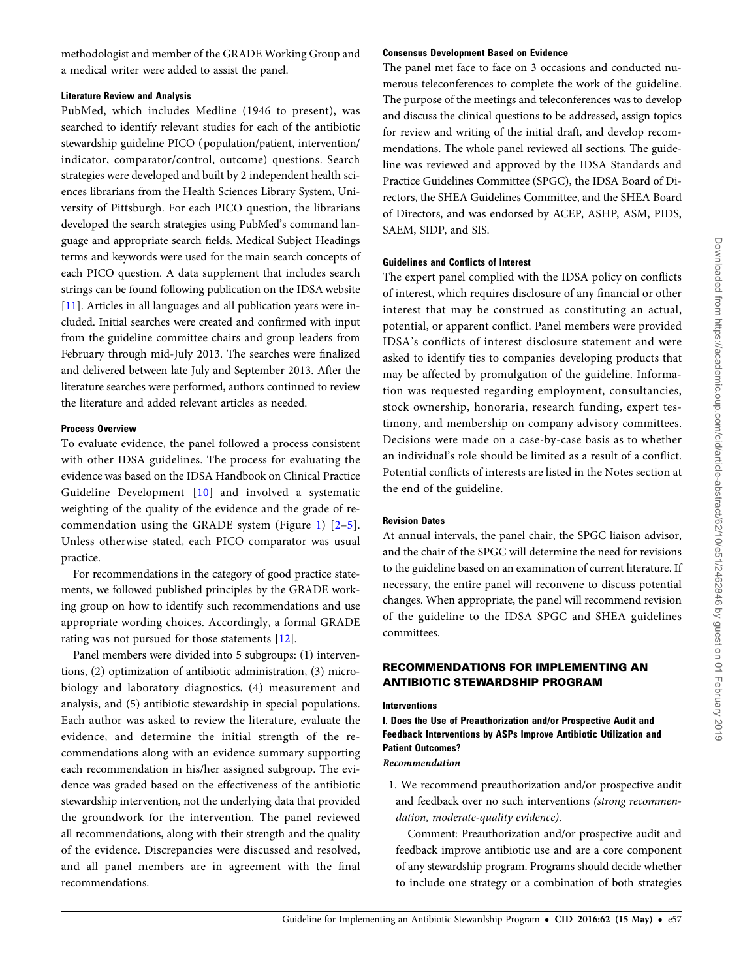methodologist and member of the GRADE Working Group and a medical writer were added to assist the panel.

### Literature Review and Analysis

PubMed, which includes Medline (1946 to present), was searched to identify relevant studies for each of the antibiotic stewardship guideline PICO ( population/patient, intervention/ indicator, comparator/control, outcome) questions. Search strategies were developed and built by 2 independent health sciences librarians from the Health Sciences Library System, University of Pittsburgh. For each PICO question, the librarians developed the search strategies using PubMed's command language and appropriate search fields. Medical Subject Headings terms and keywords were used for the main search concepts of each PICO question. A data supplement that includes search strings can be found following publication on the IDSA website [\[11](#page-22-0)]. Articles in all languages and all publication years were included. Initial searches were created and confirmed with input from the guideline committee chairs and group leaders from February through mid-July 2013. The searches were finalized and delivered between late July and September 2013. After the literature searches were performed, authors continued to review the literature and added relevant articles as needed.

### Process Overview

To evaluate evidence, the panel followed a process consistent with other IDSA guidelines. The process for evaluating the evidence was based on the IDSA Handbook on Clinical Practice Guideline Development [[10](#page-22-0)] and involved a systematic weighting of the quality of the evidence and the grade of re-commendation using the GRADE system (Figure [1](#page-1-0))  $[2-5]$  $[2-5]$  $[2-5]$  $[2-5]$  $[2-5]$ . Unless otherwise stated, each PICO comparator was usual practice.

For recommendations in the category of good practice statements, we followed published principles by the GRADE working group on how to identify such recommendations and use appropriate wording choices. Accordingly, a formal GRADE rating was not pursued for those statements [[12\]](#page-22-0).

Panel members were divided into 5 subgroups: (1) interventions, (2) optimization of antibiotic administration, (3) microbiology and laboratory diagnostics, (4) measurement and analysis, and (5) antibiotic stewardship in special populations. Each author was asked to review the literature, evaluate the evidence, and determine the initial strength of the recommendations along with an evidence summary supporting each recommendation in his/her assigned subgroup. The evidence was graded based on the effectiveness of the antibiotic stewardship intervention, not the underlying data that provided the groundwork for the intervention. The panel reviewed all recommendations, along with their strength and the quality of the evidence. Discrepancies were discussed and resolved, and all panel members are in agreement with the final recommendations.

### Consensus Development Based on Evidence

The panel met face to face on 3 occasions and conducted numerous teleconferences to complete the work of the guideline. The purpose of the meetings and teleconferences was to develop and discuss the clinical questions to be addressed, assign topics for review and writing of the initial draft, and develop recommendations. The whole panel reviewed all sections. The guideline was reviewed and approved by the IDSA Standards and Practice Guidelines Committee (SPGC), the IDSA Board of Directors, the SHEA Guidelines Committee, and the SHEA Board of Directors, and was endorsed by ACEP, ASHP, ASM, PIDS, SAEM, SIDP, and SIS.

### Guidelines and Conflicts of Interest

The expert panel complied with the IDSA policy on conflicts of interest, which requires disclosure of any financial or other interest that may be construed as constituting an actual, potential, or apparent conflict. Panel members were provided IDSA's conflicts of interest disclosure statement and were asked to identify ties to companies developing products that may be affected by promulgation of the guideline. Information was requested regarding employment, consultancies, stock ownership, honoraria, research funding, expert testimony, and membership on company advisory committees. Decisions were made on a case-by-case basis as to whether an individual's role should be limited as a result of a conflict. Potential conflicts of interests are listed in the Notes section at the end of the guideline.

### Revision Dates

At annual intervals, the panel chair, the SPGC liaison advisor, and the chair of the SPGC will determine the need for revisions to the guideline based on an examination of current literature. If necessary, the entire panel will reconvene to discuss potential changes. When appropriate, the panel will recommend revision of the guideline to the IDSA SPGC and SHEA guidelines committees.

### RECOMMENDATIONS FOR IMPLEMENTING AN ANTIBIOTIC STEWARDSHIP PROGRAM

### Interventions

I. Does the Use of Preauthorization and/or Prospective Audit and Feedback Interventions by ASPs Improve Antibiotic Utilization and Patient Outcomes? Recommendation

### 1. We recommend preauthorization and/or prospective audit and feedback over no such interventions (strong recommendation, moderate-quality evidence).

Comment: Preauthorization and/or prospective audit and feedback improve antibiotic use and are a core component of any stewardship program. Programs should decide whether to include one strategy or a combination of both strategies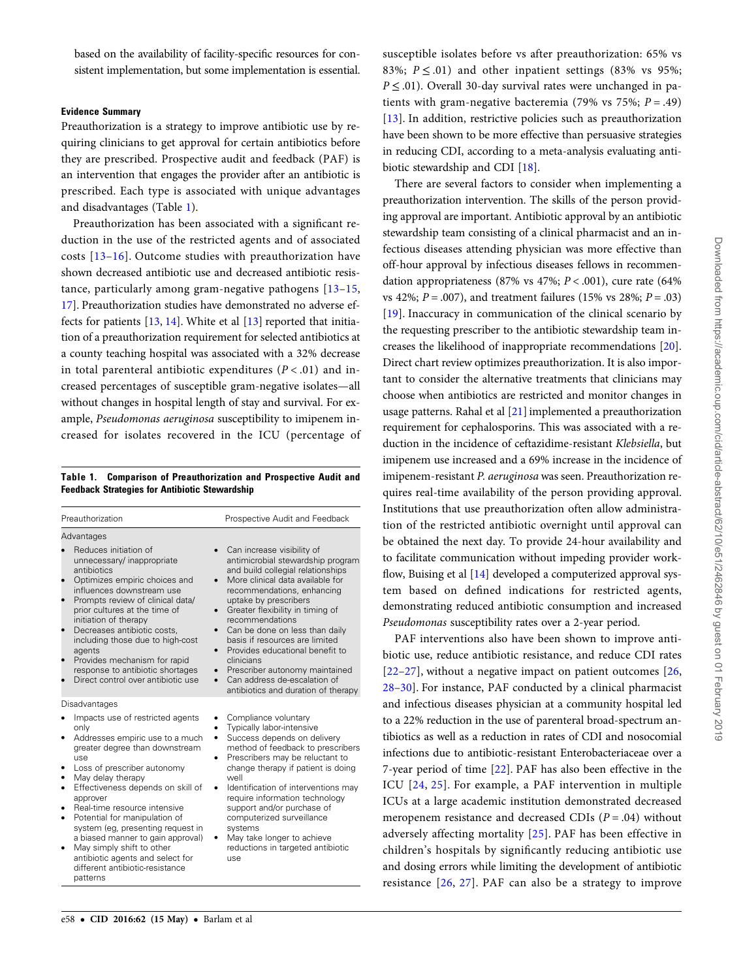based on the availability of facility-specific resources for consistent implementation, but some implementation is essential.

### Evidence Summary

Preauthorization is a strategy to improve antibiotic use by requiring clinicians to get approval for certain antibiotics before they are prescribed. Prospective audit and feedback (PAF) is an intervention that engages the provider after an antibiotic is prescribed. Each type is associated with unique advantages and disadvantages (Table 1).

Preauthorization has been associated with a significant reduction in the use of the restricted agents and of associated costs [[13](#page-22-0)–[16](#page-22-0)]. Outcome studies with preauthorization have shown decreased antibiotic use and decreased antibiotic resistance, particularly among gram-negative pathogens [[13](#page-22-0)–[15,](#page-22-0) [17](#page-22-0)]. Preauthorization studies have demonstrated no adverse effects for patients [[13,](#page-22-0) [14](#page-22-0)]. White et al [[13\]](#page-22-0) reported that initiation of a preauthorization requirement for selected antibiotics at a county teaching hospital was associated with a 32% decrease in total parenteral antibiotic expenditures  $(P < .01)$  and increased percentages of susceptible gram-negative isolates—all without changes in hospital length of stay and survival. For example, Pseudomonas aeruginosa susceptibility to imipenem increased for isolates recovered in the ICU (percentage of

Table 1. Comparison of Preauthorization and Prospective Audit and Feedback Strategies for Antibiotic Stewardship

| Preauthorization                                                                                                                                                                                                                                                                                                                                                                                                                                                                                    | Prospective Audit and Feedback                                                                                                                                                                                                                                                                                                                                                                                                                                                                                                                                                  |
|-----------------------------------------------------------------------------------------------------------------------------------------------------------------------------------------------------------------------------------------------------------------------------------------------------------------------------------------------------------------------------------------------------------------------------------------------------------------------------------------------------|---------------------------------------------------------------------------------------------------------------------------------------------------------------------------------------------------------------------------------------------------------------------------------------------------------------------------------------------------------------------------------------------------------------------------------------------------------------------------------------------------------------------------------------------------------------------------------|
| Advantages                                                                                                                                                                                                                                                                                                                                                                                                                                                                                          |                                                                                                                                                                                                                                                                                                                                                                                                                                                                                                                                                                                 |
| Reduces initiation of<br>unnecessary/inappropriate<br>antibiotics<br>Optimizes empiric choices and<br>influences downstream use<br>Prompts review of clinical data/<br>prior cultures at the time of<br>initiation of therapy<br>Decreases antibiotic costs,<br>including those due to high-cost<br>agents<br>Provides mechanism for rapid<br>response to antibiotic shortages<br>Direct control over antibiotic use                                                                                | Can increase visibility of<br>$\bullet$<br>antimicrobial stewardship program<br>and build collegial relationships<br>More clinical data available for<br>$\bullet$<br>recommendations, enhancing<br>uptake by prescribers<br>Greater flexibility in timing of<br>$\bullet$<br>recommendations<br>Can be done on less than daily<br>$\bullet$<br>basis if resources are limited<br>Provides educational benefit to<br>$\bullet$<br>clinicians<br>Prescriber autonomy maintained<br>$\bullet$<br>Can address de-escalation of<br>$\bullet$<br>antibiotics and duration of therapy |
| Disadvantages                                                                                                                                                                                                                                                                                                                                                                                                                                                                                       |                                                                                                                                                                                                                                                                                                                                                                                                                                                                                                                                                                                 |
| Impacts use of restricted agents<br>only<br>Addresses empiric use to a much<br>greater degree than downstream<br>use<br>Loss of prescriber autonomy<br>May delay therapy<br>٠<br>Effectiveness depends on skill of<br>٠<br>approver<br>Real-time resource intensive<br>Potential for manipulation of<br>٠<br>system (eg, presenting request in<br>a biased manner to gain approval)<br>May simply shift to other<br>antibiotic agents and select for<br>different antibiotic-resistance<br>patterns | Compliance voluntary<br>Typically labor-intensive<br>٠<br>Success depends on delivery<br>٠<br>method of feedback to prescribers<br>Prescribers may be reluctant to<br>٠<br>change therapy if patient is doing<br>well<br>Identification of interventions may<br>٠<br>require information technology<br>support and/or purchase of<br>computerized surveillance<br>systems<br>May take longer to achieve<br>reductions in targeted antibiotic<br>use                                                                                                                             |

susceptible isolates before vs after preauthorization: 65% vs 83%;  $P \leq .01$ ) and other inpatient settings (83% vs 95%;  $P \leq .01$ ). Overall 30-day survival rates were unchanged in patients with gram-negative bacteremia (79% vs 75%;  $P = .49$ ) [\[13\]](#page-22-0). In addition, restrictive policies such as preauthorization have been shown to be more effective than persuasive strategies in reducing CDI, according to a meta-analysis evaluating antibiotic stewardship and CDI [\[18](#page-22-0)].

There are several factors to consider when implementing a preauthorization intervention. The skills of the person providing approval are important. Antibiotic approval by an antibiotic stewardship team consisting of a clinical pharmacist and an infectious diseases attending physician was more effective than off-hour approval by infectious diseases fellows in recommendation appropriateness (87% vs 47%;  $P < .001$ ), cure rate (64% vs 42%;  $P = .007$ ), and treatment failures (15% vs 28%;  $P = .03$ ) [\[19](#page-22-0)]. Inaccuracy in communication of the clinical scenario by the requesting prescriber to the antibiotic stewardship team increases the likelihood of inappropriate recommendations [\[20\]](#page-22-0). Direct chart review optimizes preauthorization. It is also important to consider the alternative treatments that clinicians may choose when antibiotics are restricted and monitor changes in usage patterns. Rahal et al [\[21](#page-22-0)] implemented a preauthorization requirement for cephalosporins. This was associated with a reduction in the incidence of ceftazidime-resistant Klebsiella, but imipenem use increased and a 69% increase in the incidence of imipenem-resistant P. aeruginosa was seen. Preauthorization requires real-time availability of the person providing approval. Institutions that use preauthorization often allow administration of the restricted antibiotic overnight until approval can be obtained the next day. To provide 24-hour availability and to facilitate communication without impeding provider workflow, Buising et al  $[14]$  $[14]$  $[14]$  developed a computerized approval system based on defined indications for restricted agents, demonstrating reduced antibiotic consumption and increased Pseudomonas susceptibility rates over a 2-year period.

PAF interventions also have been shown to improve antibiotic use, reduce antibiotic resistance, and reduce CDI rates [\[22](#page-22-0)–[27\]](#page-22-0), without a negative impact on patient outcomes [\[26,](#page-22-0) [28](#page-22-0)–[30](#page-22-0)]. For instance, PAF conducted by a clinical pharmacist and infectious diseases physician at a community hospital led to a 22% reduction in the use of parenteral broad-spectrum antibiotics as well as a reduction in rates of CDI and nosocomial infections due to antibiotic-resistant Enterobacteriaceae over a 7-year period of time [\[22\]](#page-22-0). PAF has also been effective in the ICU [[24,](#page-22-0) [25](#page-22-0)]. For example, a PAF intervention in multiple ICUs at a large academic institution demonstrated decreased meropenem resistance and decreased CDIs  $(P = .04)$  without adversely affecting mortality [\[25\]](#page-22-0). PAF has been effective in children's hospitals by significantly reducing antibiotic use and dosing errors while limiting the development of antibiotic resistance  $[26, 27]$  $[26, 27]$  $[26, 27]$  $[26, 27]$ . PAF can also be a strategy to improve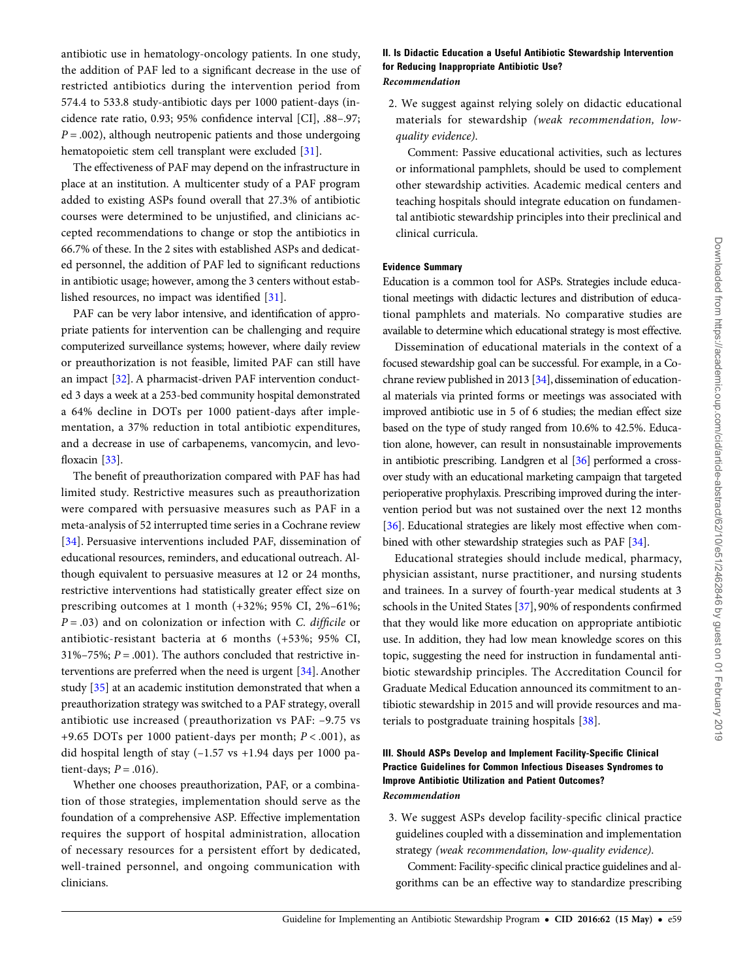antibiotic use in hematology-oncology patients. In one study, the addition of PAF led to a significant decrease in the use of restricted antibiotics during the intervention period from 574.4 to 533.8 study-antibiotic days per 1000 patient-days (incidence rate ratio, 0.93; 95% confidence interval [CI], .88–.97;  $P = .002$ ), although neutropenic patients and those undergoing hematopoietic stem cell transplant were excluded [[31](#page-22-0)].

The effectiveness of PAF may depend on the infrastructure in place at an institution. A multicenter study of a PAF program added to existing ASPs found overall that 27.3% of antibiotic courses were determined to be unjustified, and clinicians accepted recommendations to change or stop the antibiotics in 66.7% of these. In the 2 sites with established ASPs and dedicated personnel, the addition of PAF led to significant reductions in antibiotic usage; however, among the 3 centers without established resources, no impact was identified [\[31\]](#page-22-0).

PAF can be very labor intensive, and identification of appropriate patients for intervention can be challenging and require computerized surveillance systems; however, where daily review or preauthorization is not feasible, limited PAF can still have an impact [\[32](#page-22-0)]. A pharmacist-driven PAF intervention conducted 3 days a week at a 253-bed community hospital demonstrated a 64% decline in DOTs per 1000 patient-days after implementation, a 37% reduction in total antibiotic expenditures, and a decrease in use of carbapenems, vancomycin, and levo-floxacin [\[33\]](#page-22-0).

The benefit of preauthorization compared with PAF has had limited study. Restrictive measures such as preauthorization were compared with persuasive measures such as PAF in a meta-analysis of 52 interrupted time series in a Cochrane review [\[34](#page-22-0)]. Persuasive interventions included PAF, dissemination of educational resources, reminders, and educational outreach. Although equivalent to persuasive measures at 12 or 24 months, restrictive interventions had statistically greater effect size on prescribing outcomes at 1 month (+32%; 95% CI, 2%–61%;  $P = .03$ ) and on colonization or infection with C. difficile or antibiotic-resistant bacteria at 6 months (+53%; 95% CI, 31%–75%;  $P = .001$ ). The authors concluded that restrictive interventions are preferred when the need is urgent [\[34](#page-22-0)]. Another study [[35](#page-22-0)] at an academic institution demonstrated that when a preauthorization strategy was switched to a PAF strategy, overall antibiotic use increased ( preauthorization vs PAF: –9.75 vs +9.65 DOTs per 1000 patient-days per month;  $P < .001$ ), as did hospital length of stay (–1.57 vs +1.94 days per 1000 patient-days;  $P = .016$ ).

Whether one chooses preauthorization, PAF, or a combination of those strategies, implementation should serve as the foundation of a comprehensive ASP. Effective implementation requires the support of hospital administration, allocation of necessary resources for a persistent effort by dedicated, well-trained personnel, and ongoing communication with clinicians.

### II. Is Didactic Education a Useful Antibiotic Stewardship Intervention for Reducing Inappropriate Antibiotic Use? Recommendation

2. We suggest against relying solely on didactic educational materials for stewardship (weak recommendation, lowquality evidence).

Comment: Passive educational activities, such as lectures or informational pamphlets, should be used to complement other stewardship activities. Academic medical centers and teaching hospitals should integrate education on fundamental antibiotic stewardship principles into their preclinical and clinical curricula.

### Evidence Summary

Education is a common tool for ASPs. Strategies include educational meetings with didactic lectures and distribution of educational pamphlets and materials. No comparative studies are available to determine which educational strategy is most effective.

Dissemination of educational materials in the context of a focused stewardship goal can be successful. For example, in a Cochrane review published in 2013 [\[34\]](#page-22-0), dissemination of educational materials via printed forms or meetings was associated with improved antibiotic use in 5 of 6 studies; the median effect size based on the type of study ranged from 10.6% to 42.5%. Education alone, however, can result in nonsustainable improvements in antibiotic prescribing. Landgren et al [\[36](#page-23-0)] performed a crossover study with an educational marketing campaign that targeted perioperative prophylaxis. Prescribing improved during the intervention period but was not sustained over the next 12 months [\[36](#page-23-0)]. Educational strategies are likely most effective when combined with other stewardship strategies such as PAF [\[34](#page-22-0)].

Educational strategies should include medical, pharmacy, physician assistant, nurse practitioner, and nursing students and trainees. In a survey of fourth-year medical students at 3 schools in the United States [\[37\]](#page-23-0), 90% of respondents confirmed that they would like more education on appropriate antibiotic use. In addition, they had low mean knowledge scores on this topic, suggesting the need for instruction in fundamental antibiotic stewardship principles. The Accreditation Council for Graduate Medical Education announced its commitment to antibiotic stewardship in 2015 and will provide resources and materials to postgraduate training hospitals [[38\]](#page-23-0).

### III. Should ASPs Develop and Implement Facility-Specific Clinical Practice Guidelines for Common Infectious Diseases Syndromes to Improve Antibiotic Utilization and Patient Outcomes? Recommendation

3. We suggest ASPs develop facility-specific clinical practice guidelines coupled with a dissemination and implementation strategy (weak recommendation, low-quality evidence).

Comment: Facility-specific clinical practice guidelines and algorithms can be an effective way to standardize prescribing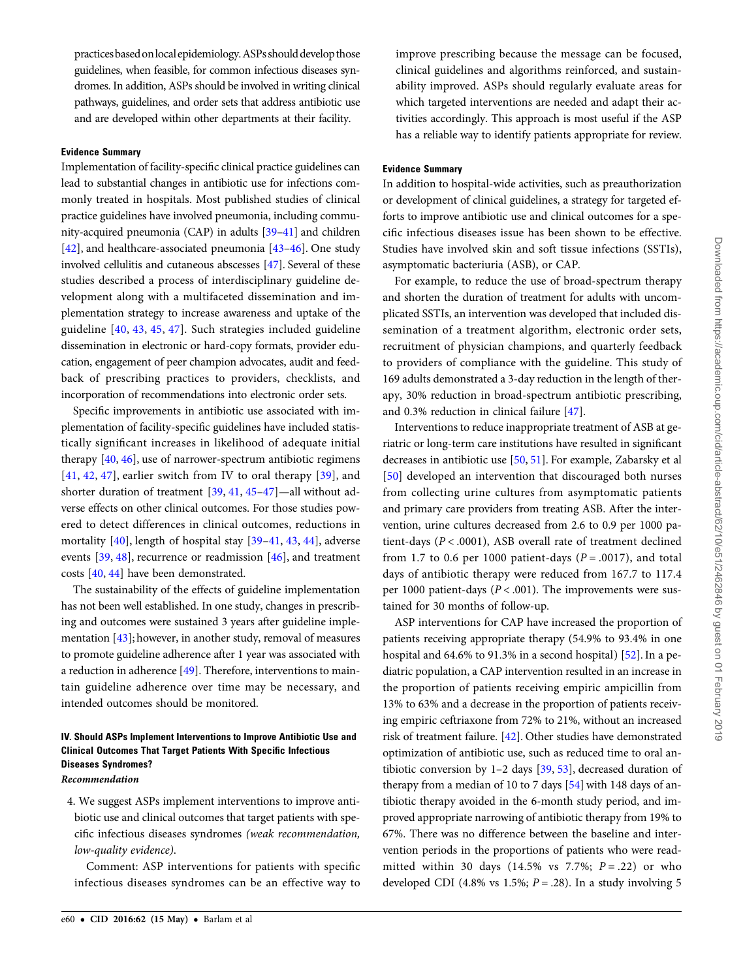practices based on local epidemiology. ASPs should develop those guidelines, when feasible, for common infectious diseases syndromes. In addition, ASPs should be involved in writing clinical pathways, guidelines, and order sets that address antibiotic use and are developed within other departments at their facility.

### Evidence Summary

Implementation of facility-specific clinical practice guidelines can lead to substantial changes in antibiotic use for infections commonly treated in hospitals. Most published studies of clinical practice guidelines have involved pneumonia, including community-acquired pneumonia (CAP) in adults [\[39](#page-23-0)–[41](#page-23-0)] and children [\[42](#page-23-0)], and healthcare-associated pneumonia [\[43](#page-23-0)–[46\]](#page-23-0). One study involved cellulitis and cutaneous abscesses [[47\]](#page-23-0). Several of these studies described a process of interdisciplinary guideline development along with a multifaceted dissemination and implementation strategy to increase awareness and uptake of the guideline [[40](#page-23-0), [43](#page-23-0), [45,](#page-23-0) [47\]](#page-23-0). Such strategies included guideline dissemination in electronic or hard-copy formats, provider education, engagement of peer champion advocates, audit and feedback of prescribing practices to providers, checklists, and incorporation of recommendations into electronic order sets.

Specific improvements in antibiotic use associated with implementation of facility-specific guidelines have included statistically significant increases in likelihood of adequate initial therapy [[40,](#page-23-0) [46](#page-23-0)], use of narrower-spectrum antibiotic regimens [\[41,](#page-23-0) [42,](#page-23-0) [47\]](#page-23-0), earlier switch from IV to oral therapy [[39](#page-23-0)], and shorter duration of treatment [\[39](#page-23-0), [41,](#page-23-0) [45](#page-23-0)–[47](#page-23-0)]—all without adverse effects on other clinical outcomes. For those studies powered to detect differences in clinical outcomes, reductions in mortality [[40](#page-23-0)], length of hospital stay [[39](#page-23-0)–[41](#page-23-0), [43,](#page-23-0) [44\]](#page-23-0), adverse events [[39](#page-23-0), [48\]](#page-23-0), recurrence or readmission [[46\]](#page-23-0), and treatment costs [\[40](#page-23-0), [44\]](#page-23-0) have been demonstrated.

The sustainability of the effects of guideline implementation has not been well established. In one study, changes in prescribing and outcomes were sustained 3 years after guideline implementation [\[43](#page-23-0)]; however, in another study, removal of measures to promote guideline adherence after 1 year was associated with a reduction in adherence [[49\]](#page-23-0). Therefore, interventions to maintain guideline adherence over time may be necessary, and intended outcomes should be monitored.

### IV. Should ASPs Implement Interventions to Improve Antibiotic Use and Clinical Outcomes That Target Patients With Specific Infectious Diseases Syndromes?

Recommendation

4. We suggest ASPs implement interventions to improve antibiotic use and clinical outcomes that target patients with specific infectious diseases syndromes (weak recommendation, low-quality evidence).

Comment: ASP interventions for patients with specific infectious diseases syndromes can be an effective way to improve prescribing because the message can be focused, clinical guidelines and algorithms reinforced, and sustainability improved. ASPs should regularly evaluate areas for which targeted interventions are needed and adapt their activities accordingly. This approach is most useful if the ASP has a reliable way to identify patients appropriate for review.

### Evidence Summary

In addition to hospital-wide activities, such as preauthorization or development of clinical guidelines, a strategy for targeted efforts to improve antibiotic use and clinical outcomes for a specific infectious diseases issue has been shown to be effective. Studies have involved skin and soft tissue infections (SSTIs), asymptomatic bacteriuria (ASB), or CAP.

For example, to reduce the use of broad-spectrum therapy and shorten the duration of treatment for adults with uncomplicated SSTIs, an intervention was developed that included dissemination of a treatment algorithm, electronic order sets, recruitment of physician champions, and quarterly feedback to providers of compliance with the guideline. This study of 169 adults demonstrated a 3-day reduction in the length of therapy, 30% reduction in broad-spectrum antibiotic prescribing, and 0.3% reduction in clinical failure [[47\]](#page-23-0).

Interventions to reduce inappropriate treatment of ASB at geriatric or long-term care institutions have resulted in significant decreases in antibiotic use [[50,](#page-23-0) [51](#page-23-0)]. For example, Zabarsky et al [\[50\]](#page-23-0) developed an intervention that discouraged both nurses from collecting urine cultures from asymptomatic patients and primary care providers from treating ASB. After the intervention, urine cultures decreased from 2.6 to 0.9 per 1000 patient-days ( $P < .0001$ ), ASB overall rate of treatment declined from 1.7 to 0.6 per 1000 patient-days ( $P = .0017$ ), and total days of antibiotic therapy were reduced from 167.7 to 117.4 per 1000 patient-days ( $P < .001$ ). The improvements were sustained for 30 months of follow-up.

ASP interventions for CAP have increased the proportion of patients receiving appropriate therapy (54.9% to 93.4% in one hospital and 64.6% to 91.3% in a second hospital) [[52\]](#page-23-0). In a pediatric population, a CAP intervention resulted in an increase in the proportion of patients receiving empiric ampicillin from 13% to 63% and a decrease in the proportion of patients receiving empiric ceftriaxone from 72% to 21%, without an increased risk of treatment failure. [[42\]](#page-23-0). Other studies have demonstrated optimization of antibiotic use, such as reduced time to oral antibiotic conversion by 1–2 days [[39](#page-23-0), [53\]](#page-23-0), decreased duration of therapy from a median of 10 to 7 days [[54\]](#page-23-0) with 148 days of antibiotic therapy avoided in the 6-month study period, and improved appropriate narrowing of antibiotic therapy from 19% to 67%. There was no difference between the baseline and intervention periods in the proportions of patients who were readmitted within 30 days (14.5% vs 7.7%;  $P = .22$ ) or who developed CDI (4.8% vs 1.5%;  $P = .28$ ). In a study involving 5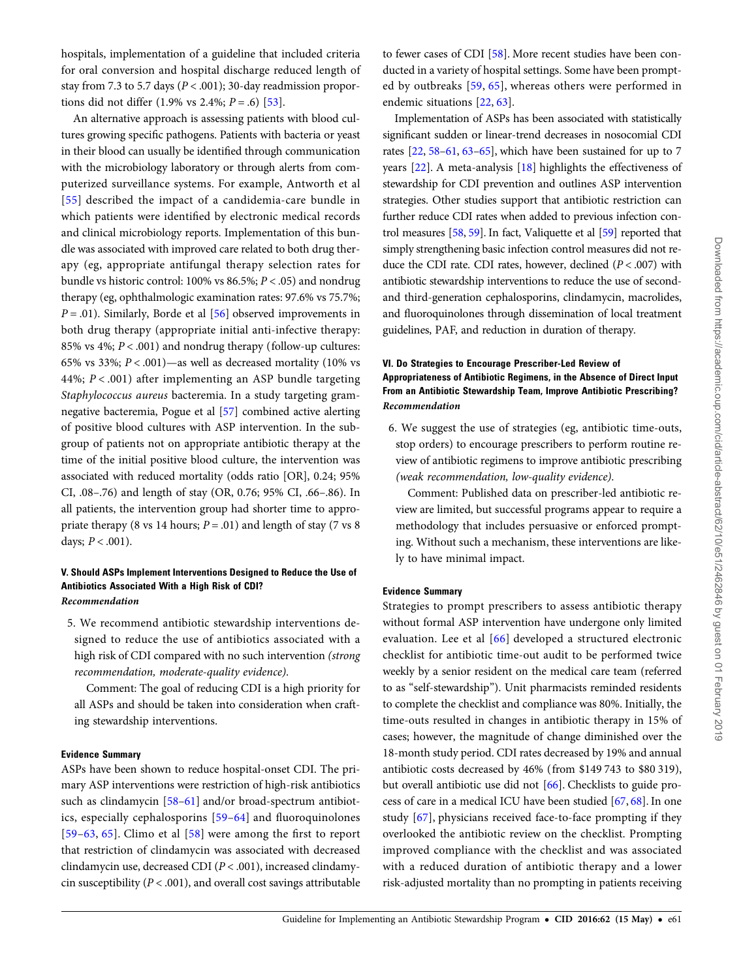hospitals, implementation of a guideline that included criteria for oral conversion and hospital discharge reduced length of stay from 7.3 to 5.7 days ( $P < .001$ ); 30-day readmission proportions did not differ  $(1.9\% \text{ vs } 2.4\%; P = .6) [53].$  $(1.9\% \text{ vs } 2.4\%; P = .6) [53].$  $(1.9\% \text{ vs } 2.4\%; P = .6) [53].$ 

An alternative approach is assessing patients with blood cultures growing specific pathogens. Patients with bacteria or yeast in their blood can usually be identified through communication with the microbiology laboratory or through alerts from computerized surveillance systems. For example, Antworth et al [\[55](#page-23-0)] described the impact of a candidemia-care bundle in which patients were identified by electronic medical records and clinical microbiology reports. Implementation of this bundle was associated with improved care related to both drug therapy (eg, appropriate antifungal therapy selection rates for bundle vs historic control: 100% vs 86.5%;  $P < .05$ ) and nondrug therapy (eg, ophthalmologic examination rates: 97.6% vs 75.7%;  $P = .01$ ). Similarly, Borde et al [\[56](#page-23-0)] observed improvements in both drug therapy (appropriate initial anti-infective therapy: 85% vs  $4\%; P < .001)$  and nondrug therapy (follow-up cultures: 65% vs 33%;  $P < .001$ )—as well as decreased mortality (10% vs 44%;  $P < .001$ ) after implementing an ASP bundle targeting Staphylococcus aureus bacteremia. In a study targeting gramnegative bacteremia, Pogue et al [\[57](#page-23-0)] combined active alerting of positive blood cultures with ASP intervention. In the subgroup of patients not on appropriate antibiotic therapy at the time of the initial positive blood culture, the intervention was associated with reduced mortality (odds ratio [OR], 0.24; 95% CI, .08–.76) and length of stay (OR, 0.76; 95% CI, .66–.86). In all patients, the intervention group had shorter time to appropriate therapy (8 vs 14 hours;  $P = .01$ ) and length of stay (7 vs 8 days;  $P < .001$ ).

### V. Should ASPs Implement Interventions Designed to Reduce the Use of Antibiotics Associated With a High Risk of CDI? Recommendation

5. We recommend antibiotic stewardship interventions designed to reduce the use of antibiotics associated with a high risk of CDI compared with no such intervention (strong recommendation, moderate-quality evidence).

Comment: The goal of reducing CDI is a high priority for all ASPs and should be taken into consideration when crafting stewardship interventions.

### Evidence Summary

ASPs have been shown to reduce hospital-onset CDI. The primary ASP interventions were restriction of high-risk antibiotics such as clindamycin [[58](#page-23-0)–[61\]](#page-23-0) and/or broad-spectrum antibiotics, especially cephalosporins [\[59](#page-23-0)–[64](#page-23-0)] and fluoroquinolones [\[59](#page-23-0)–[63](#page-23-0), [65\]](#page-23-0). Climo et al [[58](#page-23-0)] were among the first to report that restriction of clindamycin was associated with decreased clindamycin use, decreased CDI ( $P < .001$ ), increased clindamycin susceptibility ( $P < .001$ ), and overall cost savings attributable to fewer cases of CDI [\[58](#page-23-0)]. More recent studies have been conducted in a variety of hospital settings. Some have been prompted by outbreaks [[59,](#page-23-0) [65\]](#page-23-0), whereas others were performed in endemic situations [[22,](#page-22-0) [63\]](#page-23-0).

Implementation of ASPs has been associated with statistically significant sudden or linear-trend decreases in nosocomial CDI rates [\[22](#page-22-0), [58](#page-23-0)–[61](#page-23-0), [63](#page-23-0)–[65](#page-23-0)], which have been sustained for up to 7 years [[22\]](#page-22-0). A meta-analysis [\[18\]](#page-22-0) highlights the effectiveness of stewardship for CDI prevention and outlines ASP intervention strategies. Other studies support that antibiotic restriction can further reduce CDI rates when added to previous infection control measures [[58](#page-23-0), [59](#page-23-0)]. In fact, Valiquette et al [[59](#page-23-0)] reported that simply strengthening basic infection control measures did not reduce the CDI rate. CDI rates, however, declined  $(P < .007)$  with antibiotic stewardship interventions to reduce the use of secondand third-generation cephalosporins, clindamycin, macrolides, and fluoroquinolones through dissemination of local treatment guidelines, PAF, and reduction in duration of therapy.

### VI. Do Strategies to Encourage Prescriber-Led Review of Appropriateness of Antibiotic Regimens, in the Absence of Direct Input From an Antibiotic Stewardship Team, Improve Antibiotic Prescribing? Recommendation

6. We suggest the use of strategies (eg, antibiotic time-outs, stop orders) to encourage prescribers to perform routine review of antibiotic regimens to improve antibiotic prescribing (weak recommendation, low-quality evidence).

Comment: Published data on prescriber-led antibiotic review are limited, but successful programs appear to require a methodology that includes persuasive or enforced prompting. Without such a mechanism, these interventions are likely to have minimal impact.

### Evidence Summary

Strategies to prompt prescribers to assess antibiotic therapy without formal ASP intervention have undergone only limited evaluation. Lee et al [[66](#page-23-0)] developed a structured electronic checklist for antibiotic time-out audit to be performed twice weekly by a senior resident on the medical care team (referred to as "self-stewardship"). Unit pharmacists reminded residents to complete the checklist and compliance was 80%. Initially, the time-outs resulted in changes in antibiotic therapy in 15% of cases; however, the magnitude of change diminished over the 18-month study period. CDI rates decreased by 19% and annual antibiotic costs decreased by 46% (from \$149 743 to \$80 319), but overall antibiotic use did not [\[66](#page-23-0)]. Checklists to guide process of care in a medical ICU have been studied [\[67](#page-23-0), [68](#page-23-0)]. In one study [\[67](#page-23-0)], physicians received face-to-face prompting if they overlooked the antibiotic review on the checklist. Prompting improved compliance with the checklist and was associated with a reduced duration of antibiotic therapy and a lower risk-adjusted mortality than no prompting in patients receiving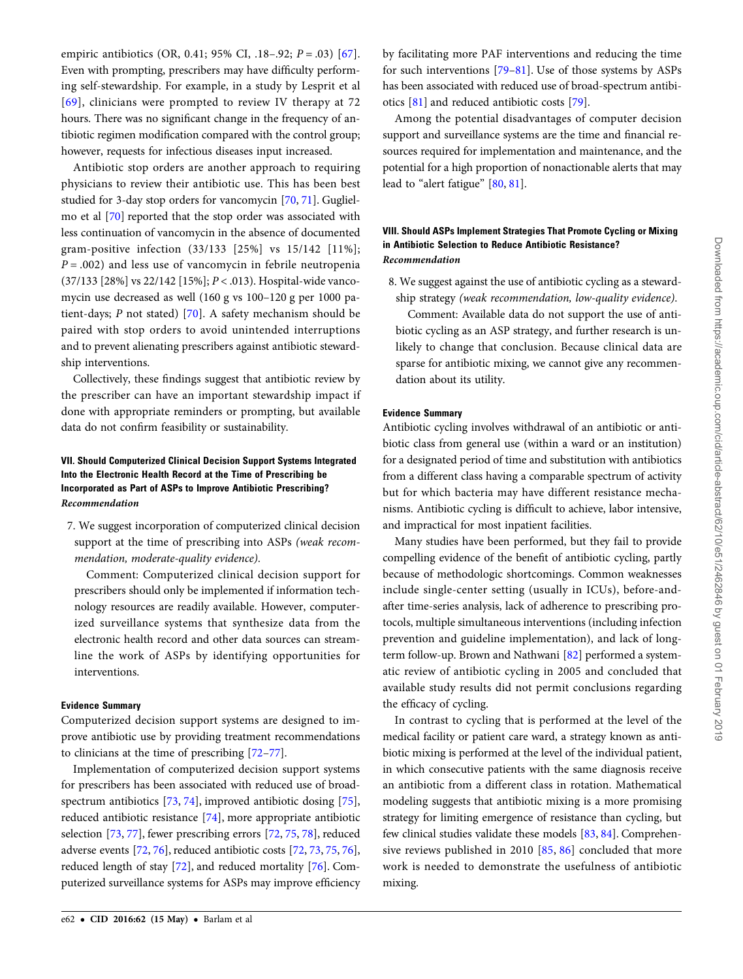empiric antibiotics (OR, 0.41; 95% CI, .18-.92;  $P = .03$ ) [\[67](#page-23-0)]. Even with prompting, prescribers may have difficulty performing self-stewardship. For example, in a study by Lesprit et al [\[69](#page-23-0)], clinicians were prompted to review IV therapy at 72 hours. There was no significant change in the frequency of antibiotic regimen modification compared with the control group; however, requests for infectious diseases input increased.

Antibiotic stop orders are another approach to requiring physicians to review their antibiotic use. This has been best studied for 3-day stop orders for vancomycin [[70,](#page-23-0) [71](#page-23-0)]. Guglielmo et al [\[70](#page-23-0)] reported that the stop order was associated with less continuation of vancomycin in the absence of documented gram-positive infection (33/133 [25%] vs 15/142 [11%];  $P = .002$ ) and less use of vancomycin in febrile neutropenia (37/133 [28%] vs 22/142 [15%]; P < .013). Hospital-wide vancomycin use decreased as well (160 g vs 100–120 g per 1000 patient-days; P not stated) [\[70\]](#page-23-0). A safety mechanism should be paired with stop orders to avoid unintended interruptions and to prevent alienating prescribers against antibiotic stewardship interventions.

Collectively, these findings suggest that antibiotic review by the prescriber can have an important stewardship impact if done with appropriate reminders or prompting, but available data do not confirm feasibility or sustainability.

### VII. Should Computerized Clinical Decision Support Systems Integrated Into the Electronic Health Record at the Time of Prescribing be Incorporated as Part of ASPs to Improve Antibiotic Prescribing? Recommendation

7. We suggest incorporation of computerized clinical decision support at the time of prescribing into ASPs (weak recommendation, moderate-quality evidence).

Comment: Computerized clinical decision support for prescribers should only be implemented if information technology resources are readily available. However, computerized surveillance systems that synthesize data from the electronic health record and other data sources can streamline the work of ASPs by identifying opportunities for interventions.

### Evidence Summary

Computerized decision support systems are designed to improve antibiotic use by providing treatment recommendations to clinicians at the time of prescribing [\[72](#page-23-0)–[77](#page-23-0)].

Implementation of computerized decision support systems for prescribers has been associated with reduced use of broadspectrum antibiotics [\[73](#page-23-0), [74\]](#page-23-0), improved antibiotic dosing [\[75\]](#page-23-0), reduced antibiotic resistance [[74\]](#page-23-0), more appropriate antibiotic selection [\[73](#page-23-0), [77](#page-23-0)], fewer prescribing errors [[72,](#page-23-0) [75](#page-23-0), [78](#page-23-0)], reduced adverse events [\[72](#page-23-0), [76](#page-23-0)], reduced antibiotic costs [\[72](#page-23-0), [73](#page-23-0), [75,](#page-23-0) [76\]](#page-23-0), reduced length of stay [\[72\]](#page-23-0), and reduced mortality [\[76](#page-23-0)]. Computerized surveillance systems for ASPs may improve efficiency

Among the potential disadvantages of computer decision support and surveillance systems are the time and financial resources required for implementation and maintenance, and the potential for a high proportion of nonactionable alerts that may lead to "alert fatigue" [\[80,](#page-23-0) [81\]](#page-24-0).

### VIII. Should ASPs Implement Strategies That Promote Cycling or Mixing in Antibiotic Selection to Reduce Antibiotic Resistance? Recommendation

8. We suggest against the use of antibiotic cycling as a stewardship strategy (weak recommendation, low-quality evidence).

Comment: Available data do not support the use of antibiotic cycling as an ASP strategy, and further research is unlikely to change that conclusion. Because clinical data are sparse for antibiotic mixing, we cannot give any recommendation about its utility.

### Evidence Summary

Antibiotic cycling involves withdrawal of an antibiotic or antibiotic class from general use (within a ward or an institution) for a designated period of time and substitution with antibiotics from a different class having a comparable spectrum of activity but for which bacteria may have different resistance mechanisms. Antibiotic cycling is difficult to achieve, labor intensive, and impractical for most inpatient facilities.

Many studies have been performed, but they fail to provide compelling evidence of the benefit of antibiotic cycling, partly because of methodologic shortcomings. Common weaknesses include single-center setting (usually in ICUs), before-andafter time-series analysis, lack of adherence to prescribing protocols, multiple simultaneous interventions (including infection prevention and guideline implementation), and lack of longterm follow-up. Brown and Nathwani [\[82](#page-24-0)] performed a systematic review of antibiotic cycling in 2005 and concluded that available study results did not permit conclusions regarding the efficacy of cycling.

In contrast to cycling that is performed at the level of the medical facility or patient care ward, a strategy known as antibiotic mixing is performed at the level of the individual patient, in which consecutive patients with the same diagnosis receive an antibiotic from a different class in rotation. Mathematical modeling suggests that antibiotic mixing is a more promising strategy for limiting emergence of resistance than cycling, but few clinical studies validate these models [\[83](#page-24-0), [84](#page-24-0)]. Comprehensive reviews published in 2010 [[85](#page-24-0), [86](#page-24-0)] concluded that more work is needed to demonstrate the usefulness of antibiotic mixing.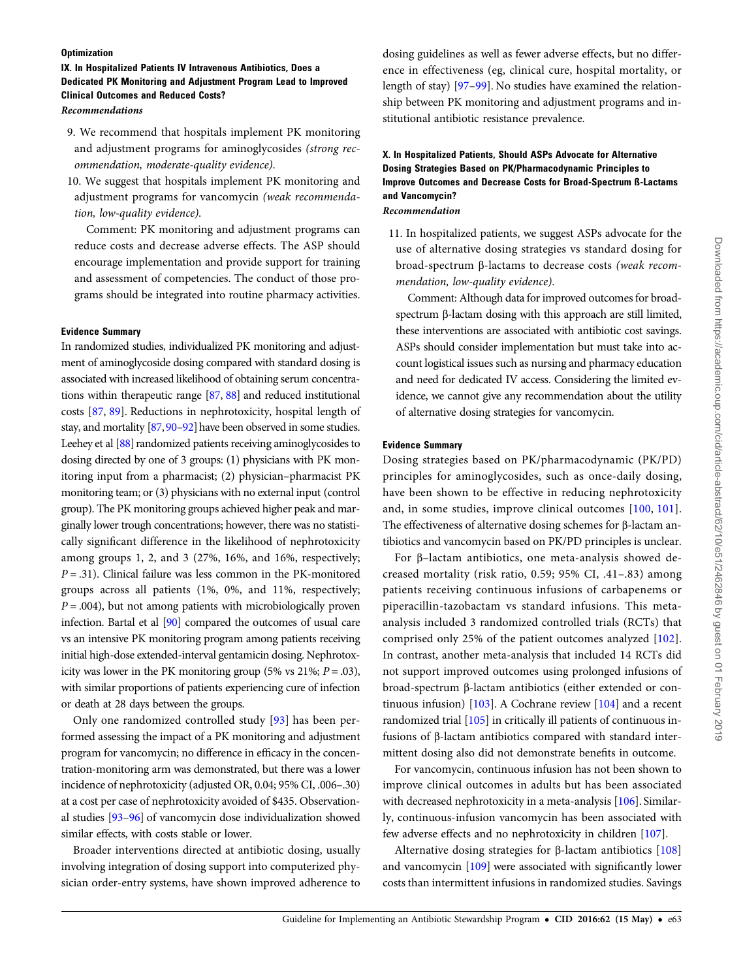# Downloaded from https://academic.oup.com/cid/article-abstract/62/10/e51/2462846 by guest on 01 February 2019 Downloaded from https://academic.oup.com/cid/article-abstract/62/10/e51/2462846 by guest on 01 February 2019

### **Optimization**

### IX. In Hospitalized Patients IV Intravenous Antibiotics, Does a Dedicated PK Monitoring and Adjustment Program Lead to Improved Clinical Outcomes and Reduced Costs? Recommendations

- 9. We recommend that hospitals implement PK monitoring and adjustment programs for aminoglycosides (strong recommendation, moderate-quality evidence).
- 10. We suggest that hospitals implement PK monitoring and adjustment programs for vancomycin (weak recommendation, low-quality evidence).

Comment: PK monitoring and adjustment programs can reduce costs and decrease adverse effects. The ASP should encourage implementation and provide support for training and assessment of competencies. The conduct of those programs should be integrated into routine pharmacy activities.

### Evidence Summary

In randomized studies, individualized PK monitoring and adjustment of aminoglycoside dosing compared with standard dosing is associated with increased likelihood of obtaining serum concentrations within therapeutic range [\[87](#page-24-0), [88](#page-24-0)] and reduced institutional costs [[87,](#page-24-0) [89](#page-24-0)]. Reductions in nephrotoxicity, hospital length of stay, and mortality [[87](#page-24-0),[90](#page-24-0)–[92\]](#page-24-0) have been observed in some studies. Leehey et al [[88](#page-24-0)] randomized patients receiving aminoglycosides to dosing directed by one of 3 groups: (1) physicians with PK monitoring input from a pharmacist; (2) physician–pharmacist PK monitoring team; or (3) physicians with no external input (control group). The PK monitoring groups achieved higher peak and marginally lower trough concentrations; however, there was no statistically significant difference in the likelihood of nephrotoxicity among groups 1, 2, and 3 (27%, 16%, and 16%, respectively;  $P = .31$ ). Clinical failure was less common in the PK-monitored groups across all patients (1%, 0%, and 11%, respectively;  $P = .004$ ), but not among patients with microbiologically proven infection. Bartal et al [\[90\]](#page-24-0) compared the outcomes of usual care vs an intensive PK monitoring program among patients receiving initial high-dose extended-interval gentamicin dosing. Nephrotoxicity was lower in the PK monitoring group (5% vs  $21\%$ ;  $P = .03$ ), with similar proportions of patients experiencing cure of infection or death at 28 days between the groups.

Only one randomized controlled study [[93](#page-24-0)] has been performed assessing the impact of a PK monitoring and adjustment program for vancomycin; no difference in efficacy in the concentration-monitoring arm was demonstrated, but there was a lower incidence of nephrotoxicity (adjusted OR, 0.04; 95% CI, .006–.30) at a cost per case of nephrotoxicity avoided of \$435. Observational studies [\[93](#page-24-0)–[96](#page-24-0)] of vancomycin dose individualization showed similar effects, with costs stable or lower.

Broader interventions directed at antibiotic dosing, usually involving integration of dosing support into computerized physician order-entry systems, have shown improved adherence to

dosing guidelines as well as fewer adverse effects, but no difference in effectiveness (eg, clinical cure, hospital mortality, or length of stay) [\[97](#page-24-0)–[99](#page-24-0)]. No studies have examined the relationship between PK monitoring and adjustment programs and institutional antibiotic resistance prevalence.

### X. In Hospitalized Patients, Should ASPs Advocate for Alternative Dosing Strategies Based on PK/Pharmacodynamic Principles to Improve Outcomes and Decrease Costs for Broad-Spectrum ß-Lactams and Vancomycin?

### Recommendation

11. In hospitalized patients, we suggest ASPs advocate for the use of alternative dosing strategies vs standard dosing for broad-spectrum β-lactams to decrease costs (weak recommendation, low-quality evidence).

Comment: Although data for improved outcomes for broadspectrum β-lactam dosing with this approach are still limited, these interventions are associated with antibiotic cost savings. ASPs should consider implementation but must take into account logistical issues such as nursing and pharmacy education and need for dedicated IV access. Considering the limited evidence, we cannot give any recommendation about the utility of alternative dosing strategies for vancomycin.

### Evidence Summary

Dosing strategies based on PK/pharmacodynamic (PK/PD) principles for aminoglycosides, such as once-daily dosing, have been shown to be effective in reducing nephrotoxicity and, in some studies, improve clinical outcomes [[100](#page-24-0), [101](#page-24-0)]. The effectiveness of alternative dosing schemes for β-lactam antibiotics and vancomycin based on PK/PD principles is unclear.

For β–lactam antibiotics, one meta-analysis showed decreased mortality (risk ratio, 0.59; 95% CI, .41–.83) among patients receiving continuous infusions of carbapenems or piperacillin-tazobactam vs standard infusions. This metaanalysis included 3 randomized controlled trials (RCTs) that comprised only 25% of the patient outcomes analyzed [[102](#page-24-0)]. In contrast, another meta-analysis that included 14 RCTs did not support improved outcomes using prolonged infusions of broad-spectrum β-lactam antibiotics (either extended or continuous infusion) [\[103\]](#page-24-0). A Cochrane review [\[104\]](#page-24-0) and a recent randomized trial [\[105](#page-24-0)] in critically ill patients of continuous infusions of β-lactam antibiotics compared with standard intermittent dosing also did not demonstrate benefits in outcome.

For vancomycin, continuous infusion has not been shown to improve clinical outcomes in adults but has been associated with decreased nephrotoxicity in a meta-analysis [\[106\]](#page-24-0). Similarly, continuous-infusion vancomycin has been associated with few adverse effects and no nephrotoxicity in children [\[107\]](#page-24-0).

Alternative dosing strategies for β-lactam antibiotics [[108\]](#page-24-0) and vancomycin [\[109](#page-24-0)] were associated with significantly lower costs than intermittent infusions in randomized studies. Savings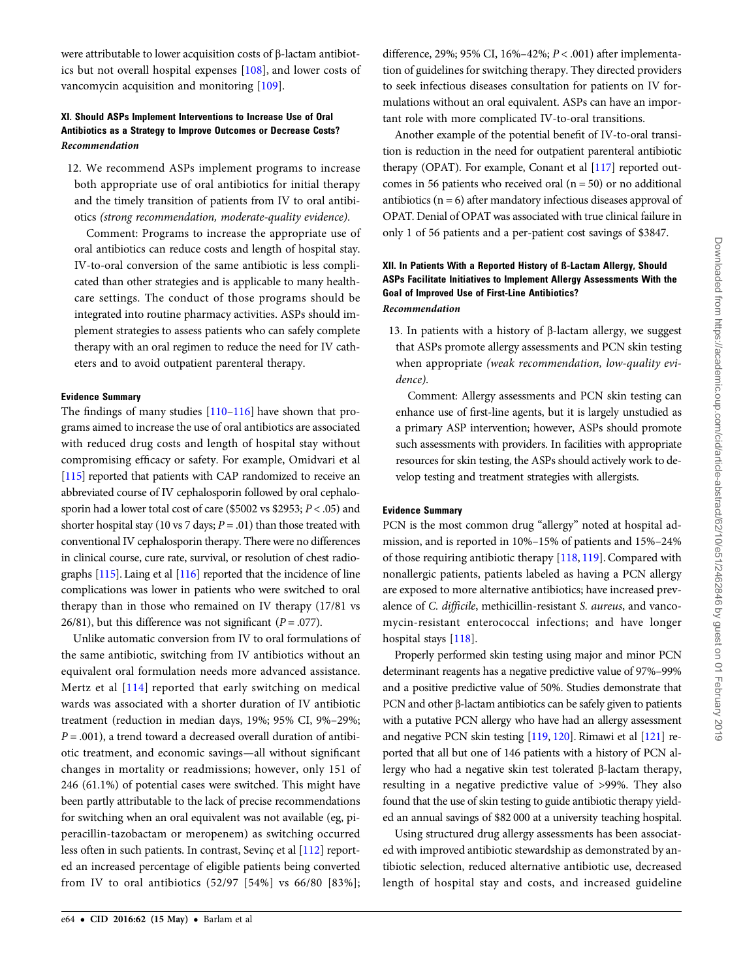were attributable to lower acquisition costs of β-lactam antibiotics but not overall hospital expenses [[108\]](#page-24-0), and lower costs of vancomycin acquisition and monitoring [[109](#page-24-0)].

### XI. Should ASPs Implement Interventions to Increase Use of Oral Antibiotics as a Strategy to Improve Outcomes or Decrease Costs? Recommendation

12. We recommend ASPs implement programs to increase both appropriate use of oral antibiotics for initial therapy and the timely transition of patients from IV to oral antibiotics (strong recommendation, moderate-quality evidence).

Comment: Programs to increase the appropriate use of oral antibiotics can reduce costs and length of hospital stay. IV-to-oral conversion of the same antibiotic is less complicated than other strategies and is applicable to many healthcare settings. The conduct of those programs should be integrated into routine pharmacy activities. ASPs should implement strategies to assess patients who can safely complete therapy with an oral regimen to reduce the need for IV catheters and to avoid outpatient parenteral therapy.

### Evidence Summary

The findings of many studies [[110](#page-24-0)–[116](#page-24-0)] have shown that programs aimed to increase the use of oral antibiotics are associated with reduced drug costs and length of hospital stay without compromising efficacy or safety. For example, Omidvari et al [\[115](#page-24-0)] reported that patients with CAP randomized to receive an abbreviated course of IV cephalosporin followed by oral cephalosporin had a lower total cost of care (\$5002 vs \$2953;  $P < .05$ ) and shorter hospital stay (10 vs 7 days;  $P = .01$ ) than those treated with conventional IV cephalosporin therapy. There were no differences in clinical course, cure rate, survival, or resolution of chest radiographs [\[115](#page-24-0)]. Laing et al [[116\]](#page-24-0) reported that the incidence of line complications was lower in patients who were switched to oral therapy than in those who remained on IV therapy (17/81 vs 26/81), but this difference was not significant ( $P = .077$ ).

Unlike automatic conversion from IV to oral formulations of the same antibiotic, switching from IV antibiotics without an equivalent oral formulation needs more advanced assistance. Mertz et al [[114](#page-24-0)] reported that early switching on medical wards was associated with a shorter duration of IV antibiotic treatment (reduction in median days, 19%; 95% CI, 9%–29%;  $P = .001$ ), a trend toward a decreased overall duration of antibiotic treatment, and economic savings—all without significant changes in mortality or readmissions; however, only 151 of 246 (61.1%) of potential cases were switched. This might have been partly attributable to the lack of precise recommendations for switching when an oral equivalent was not available (eg, piperacillin-tazobactam or meropenem) as switching occurred less often in such patients. In contrast, Sevinç et al [\[112\]](#page-24-0) reported an increased percentage of eligible patients being converted from IV to oral antibiotics (52/97 [54%] vs 66/80 [83%]; difference, 29%; 95% CI, 16%–42%; P < .001) after implementation of guidelines for switching therapy. They directed providers to seek infectious diseases consultation for patients on IV formulations without an oral equivalent. ASPs can have an important role with more complicated IV-to-oral transitions.

Another example of the potential benefit of IV-to-oral transition is reduction in the need for outpatient parenteral antibiotic therapy (OPAT). For example, Conant et al [\[117\]](#page-24-0) reported outcomes in 56 patients who received oral  $(n = 50)$  or no additional antibiotics ( $n = 6$ ) after mandatory infectious diseases approval of OPAT. Denial of OPAT was associated with true clinical failure in only 1 of 56 patients and a per-patient cost savings of \$3847.

### XII. In Patients With a Reported History of ß-Lactam Allergy, Should ASPs Facilitate Initiatives to Implement Allergy Assessments With the Goal of Improved Use of First-Line Antibiotics? Recommendation

13. In patients with a history of β-lactam allergy, we suggest that ASPs promote allergy assessments and PCN skin testing when appropriate (weak recommendation, low-quality evidence).

Comment: Allergy assessments and PCN skin testing can enhance use of first-line agents, but it is largely unstudied as a primary ASP intervention; however, ASPs should promote such assessments with providers. In facilities with appropriate resources for skin testing, the ASPs should actively work to develop testing and treatment strategies with allergists.

### Evidence Summary

PCN is the most common drug "allergy" noted at hospital admission, and is reported in 10%–15% of patients and 15%–24% of those requiring antibiotic therapy [\[118,](#page-24-0) [119\]](#page-24-0). Compared with nonallergic patients, patients labeled as having a PCN allergy are exposed to more alternative antibiotics; have increased prevalence of C. difficile, methicillin-resistant S. aureus, and vancomycin-resistant enterococcal infections; and have longer hospital stays [[118](#page-24-0)].

Properly performed skin testing using major and minor PCN determinant reagents has a negative predictive value of 97%–99% and a positive predictive value of 50%. Studies demonstrate that PCN and other β-lactam antibiotics can be safely given to patients with a putative PCN allergy who have had an allergy assessment and negative PCN skin testing [[119,](#page-24-0) [120](#page-24-0)]. Rimawi et al [\[121\]](#page-24-0) reported that all but one of 146 patients with a history of PCN allergy who had a negative skin test tolerated β-lactam therapy, resulting in a negative predictive value of >99%. They also found that the use of skin testing to guide antibiotic therapy yielded an annual savings of \$82 000 at a university teaching hospital.

Using structured drug allergy assessments has been associated with improved antibiotic stewardship as demonstrated by antibiotic selection, reduced alternative antibiotic use, decreased length of hospital stay and costs, and increased guideline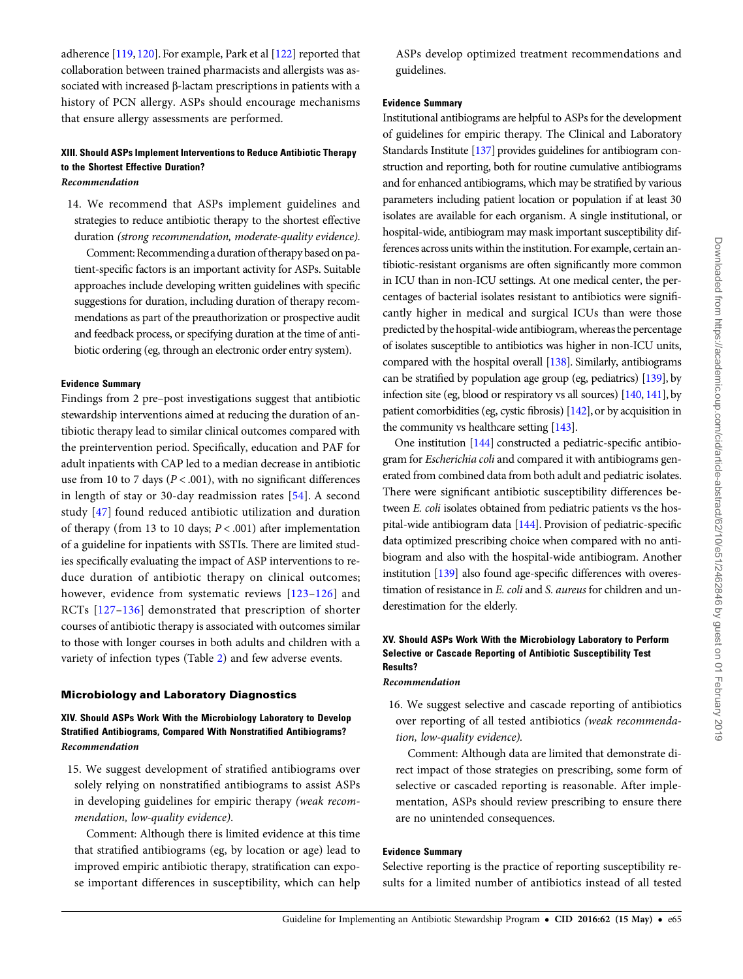adherence [[119](#page-24-0), [120](#page-24-0)]. For example, Park et al [[122\]](#page-24-0) reported that collaboration between trained pharmacists and allergists was associated with increased β-lactam prescriptions in patients with a history of PCN allergy. ASPs should encourage mechanisms that ensure allergy assessments are performed.

### XIII. Should ASPs Implement Interventions to Reduce Antibiotic Therapy to the Shortest Effective Duration? Recommendation

14. We recommend that ASPs implement guidelines and strategies to reduce antibiotic therapy to the shortest effective duration (strong recommendation, moderate-quality evidence).

Comment: Recommending a duration of therapy based on patient-specific factors is an important activity for ASPs. Suitable approaches include developing written guidelines with specific suggestions for duration, including duration of therapy recommendations as part of the preauthorization or prospective audit and feedback process, or specifying duration at the time of antibiotic ordering (eg, through an electronic order entry system).

### Evidence Summary

Findings from 2 pre–post investigations suggest that antibiotic stewardship interventions aimed at reducing the duration of antibiotic therapy lead to similar clinical outcomes compared with the preintervention period. Specifically, education and PAF for adult inpatients with CAP led to a median decrease in antibiotic use from 10 to 7 days ( $P < .001$ ), with no significant differences in length of stay or 30-day readmission rates [[54](#page-23-0)]. A second study [[47](#page-23-0)] found reduced antibiotic utilization and duration of therapy (from 13 to 10 days;  $P < .001$ ) after implementation of a guideline for inpatients with SSTIs. There are limited studies specifically evaluating the impact of ASP interventions to reduce duration of antibiotic therapy on clinical outcomes; however, evidence from systematic reviews [\[123](#page-24-0)–[126](#page-24-0)] and RCTs [\[127](#page-24-0)–[136](#page-25-0)] demonstrated that prescription of shorter courses of antibiotic therapy is associated with outcomes similar to those with longer courses in both adults and children with a variety of infection types (Table [2](#page-15-0)) and few adverse events.

### Microbiology and Laboratory Diagnostics

### XIV. Should ASPs Work With the Microbiology Laboratory to Develop Stratified Antibiograms, Compared With Nonstratified Antibiograms? Recommendation

15. We suggest development of stratified antibiograms over solely relying on nonstratified antibiograms to assist ASPs in developing guidelines for empiric therapy (weak recommendation, low-quality evidence).

Comment: Although there is limited evidence at this time that stratified antibiograms (eg, by location or age) lead to improved empiric antibiotic therapy, stratification can expose important differences in susceptibility, which can help ASPs develop optimized treatment recommendations and guidelines.

### Evidence Summary

Institutional antibiograms are helpful to ASPs for the development of guidelines for empiric therapy. The Clinical and Laboratory Standards Institute [[137\]](#page-25-0) provides guidelines for antibiogram construction and reporting, both for routine cumulative antibiograms and for enhanced antibiograms, which may be stratified by various parameters including patient location or population if at least 30 isolates are available for each organism. A single institutional, or hospital-wide, antibiogram may mask important susceptibility differences across units within the institution. For example, certain antibiotic-resistant organisms are often significantly more common in ICU than in non-ICU settings. At one medical center, the percentages of bacterial isolates resistant to antibiotics were significantly higher in medical and surgical ICUs than were those predicted by the hospital-wide antibiogram, whereas the percentage of isolates susceptible to antibiotics was higher in non-ICU units, compared with the hospital overall [[138\]](#page-25-0). Similarly, antibiograms can be stratified by population age group (eg, pediatrics) [\[139](#page-25-0)], by infection site (eg, blood or respiratory vs all sources) [[140,](#page-25-0) [141](#page-25-0)], by patient comorbidities (eg, cystic fibrosis) [\[142\]](#page-25-0), or by acquisition in the community vs healthcare setting [[143\]](#page-25-0).

One institution [\[144\]](#page-25-0) constructed a pediatric-specific antibiogram for Escherichia coli and compared it with antibiograms generated from combined data from both adult and pediatric isolates. There were significant antibiotic susceptibility differences between E. coli isolates obtained from pediatric patients vs the hospital-wide antibiogram data [\[144\]](#page-25-0). Provision of pediatric-specific data optimized prescribing choice when compared with no antibiogram and also with the hospital-wide antibiogram. Another institution [\[139\]](#page-25-0) also found age-specific differences with overestimation of resistance in E. coli and S. aureus for children and underestimation for the elderly.

### XV. Should ASPs Work With the Microbiology Laboratory to Perform Selective or Cascade Reporting of Antibiotic Susceptibility Test Results?

### Recommendation

16. We suggest selective and cascade reporting of antibiotics over reporting of all tested antibiotics (weak recommendation, low-quality evidence).

Comment: Although data are limited that demonstrate direct impact of those strategies on prescribing, some form of selective or cascaded reporting is reasonable. After implementation, ASPs should review prescribing to ensure there are no unintended consequences.

### Evidence Summary

Selective reporting is the practice of reporting susceptibility results for a limited number of antibiotics instead of all tested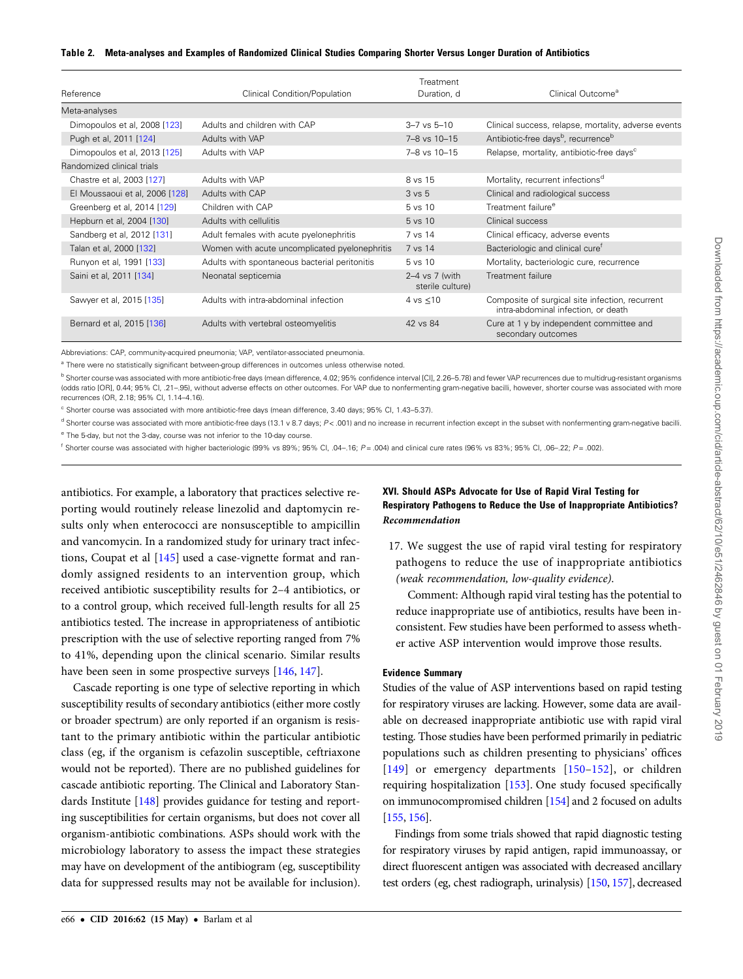### <span id="page-15-0"></span>Table 2. Meta-analyses and Examples of Randomized Clinical Studies Comparing Shorter Versus Longer Duration of Antibiotics

| Reference                      | Clinical Condition/Population                 | Treatment<br>Duration, d             | Clinical Outcome <sup>a</sup>                                                          |
|--------------------------------|-----------------------------------------------|--------------------------------------|----------------------------------------------------------------------------------------|
| Meta-analyses                  |                                               |                                      |                                                                                        |
| Dimopoulos et al, 2008 [123]   | Adults and children with CAP                  | $3 - 7$ vs $5 - 10$                  | Clinical success, relapse, mortality, adverse events                                   |
| Pugh et al, 2011 [124]         | Adults with VAP                               | 7-8 vs 10-15                         | Antibiotic-free days <sup>b</sup> , recurrence <sup>b</sup>                            |
| Dimopoulos et al, 2013 [125]   | Adults with VAP                               | 7-8 vs 10-15                         | Relapse, mortality, antibiotic-free days <sup>c</sup>                                  |
| Randomized clinical trials     |                                               |                                      |                                                                                        |
| Chastre et al, 2003 [127]      | Adults with VAP                               | 8 vs 15                              | Mortality, recurrent infections <sup>d</sup>                                           |
| El Moussaoui et al, 2006 [128] | Adults with CAP                               | 3 v s 5                              | Clinical and radiological success                                                      |
| Greenberg et al, 2014 [129]    | Children with CAP                             | 5 vs 10                              | Treatment failure <sup>e</sup>                                                         |
| Hepburn et al, 2004 [130]      | Adults with cellulitis                        | 5 vs 10                              | Clinical success                                                                       |
| Sandberg et al, 2012 [131]     | Adult females with acute pyelonephritis       | 7 vs 14                              | Clinical efficacy, adverse events                                                      |
| Talan et al, 2000 [132]        | Women with acute uncomplicated pyelonephritis | 7 vs 14                              | Bacteriologic and clinical cure <sup>t</sup>                                           |
| Runyon et al, 1991 [133]       | Adults with spontaneous bacterial peritonitis | 5 vs 10                              | Mortality, bacteriologic cure, recurrence                                              |
| Saini et al, 2011 [134]        | Neonatal septicemia                           | $2-4$ vs 7 (with<br>sterile culture) | Treatment failure                                                                      |
| Sawyer et al, 2015 [135]       | Adults with intra-abdominal infection         | 4 vs $\leq 10$                       | Composite of surgical site infection, recurrent<br>intra-abdominal infection, or death |
| Bernard et al, 2015 [136]      | Adults with vertebral osteomyelitis           | 42 vs 84                             | Cure at 1 y by independent committee and<br>secondary outcomes                         |

Abbreviations: CAP, community-acquired pneumonia; VAP, ventilator-associated pneumonia.

a There were no statistically significant between-group differences in outcomes unless otherwise noted

<sup>b</sup> Shorter course was associated with more antibiotic-free days (mean difference, 4.02; 95% confidence interval [CI], 2.26-5.78) and fewer VAP recurrences due to multidrug-resistant organisms (odds ratio [OR], 0.44; 95% CI, .21–.95), without adverse effects on other outcomes. For VAP due to nonfermenting gram-negative bacilli, however, shorter course was associated with more recurrences (OR, 2.18; 95% CI, 1.14–4.16).

<sup>c</sup> Shorter course was associated with more antibiotic-free days (mean difference, 3.40 days; 95% CI, 1.43–5.37).

 $^d$  Shorter course was associated with more antibiotic-free days (13.1 v 8.7 days;  $P < .001$ ) and no increase in recurrent infection except in the subset with nonfermenting gram-negative bacilli. <sup>e</sup> The 5-day, but not the 3-day, course was not inferior to the 10-day course.

<sup>f</sup> Shorter course was associated with higher bacteriologic (99% vs 89%; 95% CI, .04-.16;  $P = .004$ ) and clinical cure rates (96% vs 83%; 95% CI, .06-.22;  $P = .002$ ).

antibiotics. For example, a laboratory that practices selective reporting would routinely release linezolid and daptomycin results only when enterococci are nonsusceptible to ampicillin and vancomycin. In a randomized study for urinary tract infections, Coupat et al [[145](#page-25-0)] used a case-vignette format and randomly assigned residents to an intervention group, which received antibiotic susceptibility results for 2–4 antibiotics, or to a control group, which received full-length results for all 25 antibiotics tested. The increase in appropriateness of antibiotic prescription with the use of selective reporting ranged from 7% to 41%, depending upon the clinical scenario. Similar results have been seen in some prospective surveys [\[146](#page-25-0), [147](#page-25-0)].

Cascade reporting is one type of selective reporting in which susceptibility results of secondary antibiotics (either more costly or broader spectrum) are only reported if an organism is resistant to the primary antibiotic within the particular antibiotic class (eg, if the organism is cefazolin susceptible, ceftriaxone would not be reported). There are no published guidelines for cascade antibiotic reporting. The Clinical and Laboratory Standards Institute [[148](#page-25-0)] provides guidance for testing and reporting susceptibilities for certain organisms, but does not cover all organism-antibiotic combinations. ASPs should work with the microbiology laboratory to assess the impact these strategies may have on development of the antibiogram (eg, susceptibility data for suppressed results may not be available for inclusion).

### XVI. Should ASPs Advocate for Use of Rapid Viral Testing for Respiratory Pathogens to Reduce the Use of Inappropriate Antibiotics? Recommendation

17. We suggest the use of rapid viral testing for respiratory pathogens to reduce the use of inappropriate antibiotics (weak recommendation, low-quality evidence).

Comment: Although rapid viral testing has the potential to reduce inappropriate use of antibiotics, results have been inconsistent. Few studies have been performed to assess whether active ASP intervention would improve those results.

### Evidence Summary

Studies of the value of ASP interventions based on rapid testing for respiratory viruses are lacking. However, some data are available on decreased inappropriate antibiotic use with rapid viral testing. Those studies have been performed primarily in pediatric populations such as children presenting to physicians' offices [\[149](#page-25-0)] or emergency departments [[150](#page-25-0)-[152](#page-25-0)], or children requiring hospitalization [[153\]](#page-25-0). One study focused specifically on immunocompromised children [\[154\]](#page-25-0) and 2 focused on adults [\[155](#page-25-0), [156\]](#page-25-0).

Findings from some trials showed that rapid diagnostic testing for respiratory viruses by rapid antigen, rapid immunoassay, or direct fluorescent antigen was associated with decreased ancillary test orders (eg, chest radiograph, urinalysis) [\[150](#page-25-0), [157](#page-25-0)], decreased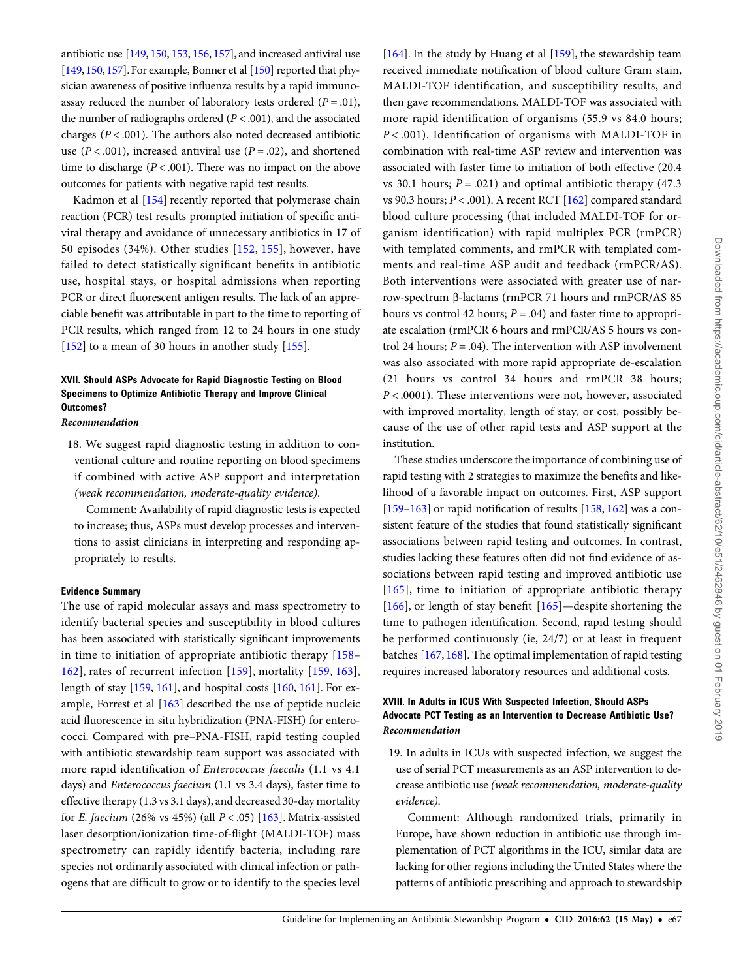antibiotic use [\[149,](#page-25-0) [150](#page-25-0), [153](#page-25-0), [156](#page-25-0), [157\]](#page-25-0), and increased antiviral use [\[149](#page-25-0), [150,](#page-25-0) [157](#page-25-0)]. For example, Bonner et al [[150\]](#page-25-0) reported that physician awareness of positive influenza results by a rapid immunoassay reduced the number of laboratory tests ordered  $(P = .01)$ , the number of radiographs ordered ( $P < .001$ ), and the associated charges ( $P < .001$ ). The authors also noted decreased antibiotic use ( $P < .001$ ), increased antiviral use ( $P = .02$ ), and shortened time to discharge  $(P < .001)$ . There was no impact on the above outcomes for patients with negative rapid test results.

Kadmon et al [[154](#page-25-0)] recently reported that polymerase chain reaction (PCR) test results prompted initiation of specific antiviral therapy and avoidance of unnecessary antibiotics in 17 of 50 episodes (34%). Other studies [[152,](#page-25-0) [155](#page-25-0)], however, have failed to detect statistically significant benefits in antibiotic use, hospital stays, or hospital admissions when reporting PCR or direct fluorescent antigen results. The lack of an appreciable benefit was attributable in part to the time to reporting of PCR results, which ranged from 12 to 24 hours in one study [\[152\]](#page-25-0) to a mean of 30 hours in another study [[155](#page-25-0)].

### XVII. Should ASPs Advocate for Rapid Diagnostic Testing on Blood Specimens to Optimize Antibiotic Therapy and Improve Clinical Outcomes?

Recommendation

18. We suggest rapid diagnostic testing in addition to conventional culture and routine reporting on blood specimens if combined with active ASP support and interpretation (weak recommendation, moderate-quality evidence).

Comment: Availability of rapid diagnostic tests is expected to increase; thus, ASPs must develop processes and interventions to assist clinicians in interpreting and responding appropriately to results.

### Evidence Summary

The use of rapid molecular assays and mass spectrometry to identify bacterial species and susceptibility in blood cultures has been associated with statistically significant improvements in time to initiation of appropriate antibiotic therapy [[158](#page-25-0)– [162](#page-25-0)], rates of recurrent infection [\[159](#page-25-0)], mortality [[159,](#page-25-0) [163](#page-25-0)], length of stay [[159,](#page-25-0) [161\]](#page-25-0), and hospital costs [\[160,](#page-25-0) [161\]](#page-25-0). For example, Forrest et al [[163\]](#page-25-0) described the use of peptide nucleic acid fluorescence in situ hybridization (PNA-FISH) for enterococci. Compared with pre–PNA-FISH, rapid testing coupled with antibiotic stewardship team support was associated with more rapid identification of Enterococcus faecalis (1.1 vs 4.1 days) and Enterococcus faecium (1.1 vs 3.4 days), faster time to effective therapy (1.3 vs 3.1 days), and decreased 30-day mortality for E. faecium (26% vs 45%) (all  $P < .05$ ) [\[163\]](#page-25-0). Matrix-assisted laser desorption/ionization time-of-flight (MALDI-TOF) mass spectrometry can rapidly identify bacteria, including rare species not ordinarily associated with clinical infection or pathogens that are difficult to grow or to identify to the species level [\[164\]](#page-25-0). In the study by Huang et al [[159](#page-25-0)], the stewardship team received immediate notification of blood culture Gram stain, MALDI-TOF identification, and susceptibility results, and then gave recommendations. MALDI-TOF was associated with more rapid identification of organisms (55.9 vs 84.0 hours; P < .001). Identification of organisms with MALDI-TOF in combination with real-time ASP review and intervention was associated with faster time to initiation of both effective (20.4 vs 30.1 hours;  $P = .021$ ) and optimal antibiotic therapy (47.3) vs 90.3 hours;  $P < .001$ ). A recent RCT [\[162\]](#page-25-0) compared standard blood culture processing (that included MALDI-TOF for organism identification) with rapid multiplex PCR (rmPCR) with templated comments, and rmPCR with templated comments and real-time ASP audit and feedback (rmPCR/AS). Both interventions were associated with greater use of narrow-spectrum β-lactams (rmPCR 71 hours and rmPCR/AS 85 hours vs control 42 hours;  $P = .04$ ) and faster time to appropriate escalation (rmPCR 6 hours and rmPCR/AS 5 hours vs control 24 hours;  $P = .04$ ). The intervention with ASP involvement was also associated with more rapid appropriate de-escalation (21 hours vs control 34 hours and rmPCR 38 hours;  $P < .0001$ ). These interventions were not, however, associated with improved mortality, length of stay, or cost, possibly because of the use of other rapid tests and ASP support at the institution.

These studies underscore the importance of combining use of rapid testing with 2 strategies to maximize the benefits and likelihood of a favorable impact on outcomes. First, ASP support [ $159-163$  $159-163$ ] or rapid notification of results [ $158, 162$ ] was a consistent feature of the studies that found statistically significant associations between rapid testing and outcomes. In contrast, studies lacking these features often did not find evidence of associations between rapid testing and improved antibiotic use [\[165\]](#page-25-0), time to initiation of appropriate antibiotic therapy [\[166](#page-25-0)], or length of stay benefit [\[165](#page-25-0)]—despite shortening the time to pathogen identification. Second, rapid testing should be performed continuously (ie, 24/7) or at least in frequent batches [\[167](#page-25-0), [168](#page-25-0)]. The optimal implementation of rapid testing requires increased laboratory resources and additional costs.

### XVIII. In Adults in ICUS With Suspected Infection, Should ASPs Advocate PCT Testing as an Intervention to Decrease Antibiotic Use? Recommendation

19. In adults in ICUs with suspected infection, we suggest the use of serial PCT measurements as an ASP intervention to decrease antibiotic use (weak recommendation, moderate-quality evidence).

Comment: Although randomized trials, primarily in Europe, have shown reduction in antibiotic use through implementation of PCT algorithms in the ICU, similar data are lacking for other regions including the United States where the patterns of antibiotic prescribing and approach to stewardship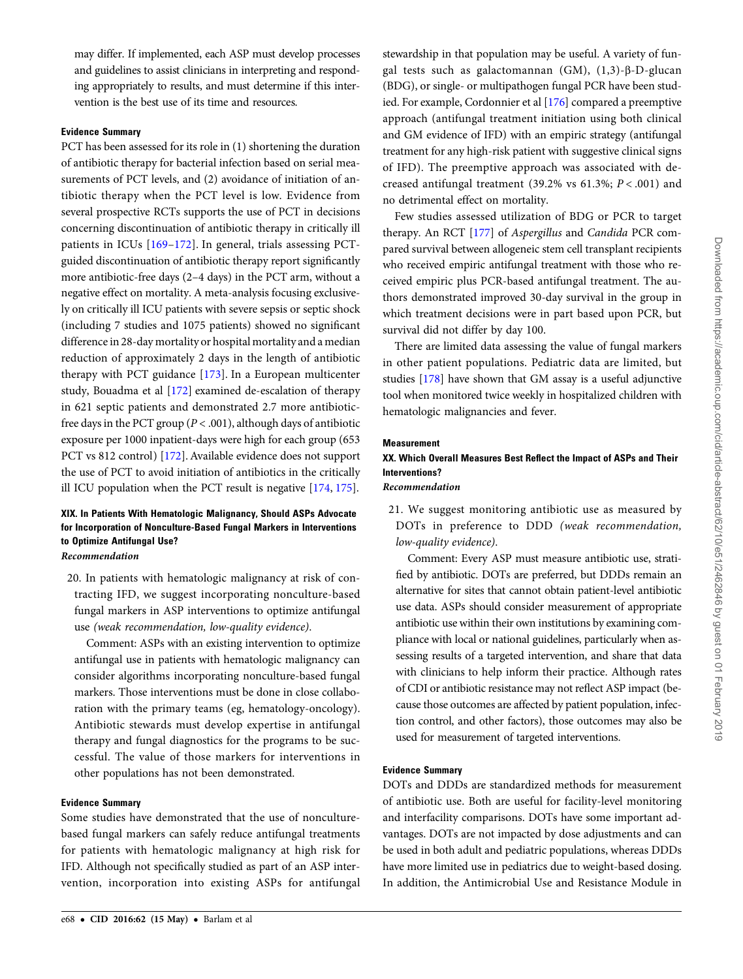may differ. If implemented, each ASP must develop processes and guidelines to assist clinicians in interpreting and responding appropriately to results, and must determine if this intervention is the best use of its time and resources.

### Evidence Summary

PCT has been assessed for its role in (1) shortening the duration of antibiotic therapy for bacterial infection based on serial measurements of PCT levels, and (2) avoidance of initiation of antibiotic therapy when the PCT level is low. Evidence from several prospective RCTs supports the use of PCT in decisions concerning discontinuation of antibiotic therapy in critically ill patients in ICUs [\[169](#page-25-0)–[172](#page-25-0)]. In general, trials assessing PCTguided discontinuation of antibiotic therapy report significantly more antibiotic-free days (2–4 days) in the PCT arm, without a negative effect on mortality. A meta-analysis focusing exclusively on critically ill ICU patients with severe sepsis or septic shock (including 7 studies and 1075 patients) showed no significant difference in 28-day mortality or hospital mortality and a median reduction of approximately 2 days in the length of antibiotic therapy with PCT guidance  $[173]$  $[173]$ . In a European multicenter study, Bouadma et al [[172](#page-25-0)] examined de-escalation of therapy in 621 septic patients and demonstrated 2.7 more antibioticfree days in the PCT group ( $P < .001$ ), although days of antibiotic exposure per 1000 inpatient-days were high for each group (653 PCT vs 812 control) [\[172](#page-25-0)]. Available evidence does not support the use of PCT to avoid initiation of antibiotics in the critically ill ICU population when the PCT result is negative [\[174,](#page-25-0) [175\]](#page-25-0).

### XIX. In Patients With Hematologic Malignancy, Should ASPs Advocate for Incorporation of Nonculture-Based Fungal Markers in Interventions to Optimize Antifungal Use? Recommendation

20. In patients with hematologic malignancy at risk of contracting IFD, we suggest incorporating nonculture-based fungal markers in ASP interventions to optimize antifungal use (weak recommendation, low-quality evidence).

Comment: ASPs with an existing intervention to optimize antifungal use in patients with hematologic malignancy can consider algorithms incorporating nonculture-based fungal markers. Those interventions must be done in close collaboration with the primary teams (eg, hematology-oncology). Antibiotic stewards must develop expertise in antifungal therapy and fungal diagnostics for the programs to be successful. The value of those markers for interventions in other populations has not been demonstrated.

### Evidence Summary

Some studies have demonstrated that the use of nonculturebased fungal markers can safely reduce antifungal treatments for patients with hematologic malignancy at high risk for IFD. Although not specifically studied as part of an ASP intervention, incorporation into existing ASPs for antifungal

stewardship in that population may be useful. A variety of fungal tests such as galactomannan (GM), (1,3)-β-D-glucan (BDG), or single- or multipathogen fungal PCR have been studied. For example, Cordonnier et al [[176\]](#page-25-0) compared a preemptive approach (antifungal treatment initiation using both clinical and GM evidence of IFD) with an empiric strategy (antifungal treatment for any high-risk patient with suggestive clinical signs of IFD). The preemptive approach was associated with decreased antifungal treatment (39.2% vs  $61.3\%$ ;  $P < .001$ ) and no detrimental effect on mortality.

Few studies assessed utilization of BDG or PCR to target therapy. An RCT [\[177\]](#page-25-0) of Aspergillus and Candida PCR compared survival between allogeneic stem cell transplant recipients who received empiric antifungal treatment with those who received empiric plus PCR-based antifungal treatment. The authors demonstrated improved 30-day survival in the group in which treatment decisions were in part based upon PCR, but survival did not differ by day 100.

There are limited data assessing the value of fungal markers in other patient populations. Pediatric data are limited, but studies [\[178\]](#page-25-0) have shown that GM assay is a useful adjunctive tool when monitored twice weekly in hospitalized children with hematologic malignancies and fever.

### Measurement

### XX. Which Overall Measures Best Reflect the Impact of ASPs and Their Interventions?

### Recommendation

21. We suggest monitoring antibiotic use as measured by DOTs in preference to DDD (weak recommendation, low-quality evidence).

Comment: Every ASP must measure antibiotic use, stratified by antibiotic. DOTs are preferred, but DDDs remain an alternative for sites that cannot obtain patient-level antibiotic use data. ASPs should consider measurement of appropriate antibiotic use within their own institutions by examining compliance with local or national guidelines, particularly when assessing results of a targeted intervention, and share that data with clinicians to help inform their practice. Although rates of CDI or antibiotic resistance may not reflect ASP impact (because those outcomes are affected by patient population, infection control, and other factors), those outcomes may also be used for measurement of targeted interventions.

### Evidence Summary

DOTs and DDDs are standardized methods for measurement of antibiotic use. Both are useful for facility-level monitoring and interfacility comparisons. DOTs have some important advantages. DOTs are not impacted by dose adjustments and can be used in both adult and pediatric populations, whereas DDDs have more limited use in pediatrics due to weight-based dosing. In addition, the Antimicrobial Use and Resistance Module in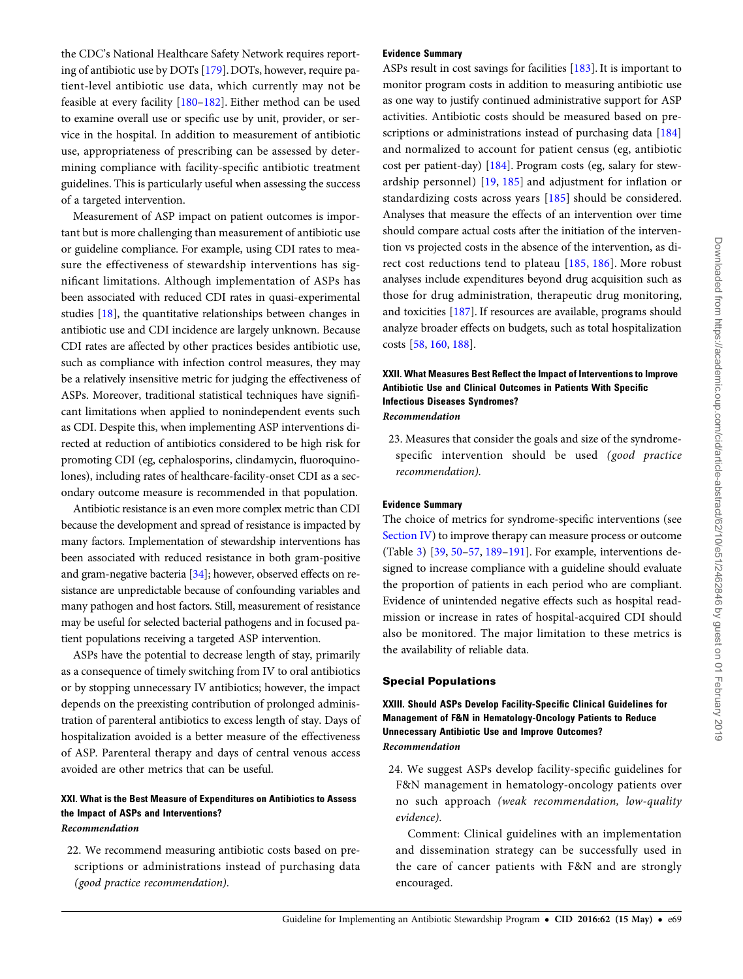the CDC's National Healthcare Safety Network requires reporting of antibiotic use by DOTs [[179\]](#page-26-0). DOTs, however, require patient-level antibiotic use data, which currently may not be feasible at every facility [\[180](#page-26-0)–[182](#page-26-0)]. Either method can be used to examine overall use or specific use by unit, provider, or service in the hospital. In addition to measurement of antibiotic use, appropriateness of prescribing can be assessed by determining compliance with facility-specific antibiotic treatment guidelines. This is particularly useful when assessing the success of a targeted intervention.

Measurement of ASP impact on patient outcomes is important but is more challenging than measurement of antibiotic use or guideline compliance. For example, using CDI rates to measure the effectiveness of stewardship interventions has significant limitations. Although implementation of ASPs has been associated with reduced CDI rates in quasi-experimental studies [\[18](#page-22-0)], the quantitative relationships between changes in antibiotic use and CDI incidence are largely unknown. Because CDI rates are affected by other practices besides antibiotic use, such as compliance with infection control measures, they may be a relatively insensitive metric for judging the effectiveness of ASPs. Moreover, traditional statistical techniques have significant limitations when applied to nonindependent events such as CDI. Despite this, when implementing ASP interventions directed at reduction of antibiotics considered to be high risk for promoting CDI (eg, cephalosporins, clindamycin, fluoroquinolones), including rates of healthcare-facility-onset CDI as a secondary outcome measure is recommended in that population.

Antibiotic resistance is an even more complex metric than CDI because the development and spread of resistance is impacted by many factors. Implementation of stewardship interventions has been associated with reduced resistance in both gram-positive and gram-negative bacteria [\[34\]](#page-22-0); however, observed effects on resistance are unpredictable because of confounding variables and many pathogen and host factors. Still, measurement of resistance may be useful for selected bacterial pathogens and in focused patient populations receiving a targeted ASP intervention.

ASPs have the potential to decrease length of stay, primarily as a consequence of timely switching from IV to oral antibiotics or by stopping unnecessary IV antibiotics; however, the impact depends on the preexisting contribution of prolonged administration of parenteral antibiotics to excess length of stay. Days of hospitalization avoided is a better measure of the effectiveness of ASP. Parenteral therapy and days of central venous access avoided are other metrics that can be useful.

### XXI. What is the Best Measure of Expenditures on Antibiotics to Assess the Impact of ASPs and Interventions? Recommendation

22. We recommend measuring antibiotic costs based on prescriptions or administrations instead of purchasing data (good practice recommendation).

### Evidence Summary

ASPs result in cost savings for facilities [[183](#page-26-0)]. It is important to monitor program costs in addition to measuring antibiotic use as one way to justify continued administrative support for ASP activities. Antibiotic costs should be measured based on pre-scriptions or administrations instead of purchasing data [[184\]](#page-26-0) and normalized to account for patient census (eg, antibiotic cost per patient-day) [\[184](#page-26-0)]. Program costs (eg, salary for stewardship personnel) [\[19,](#page-22-0) [185\]](#page-26-0) and adjustment for inflation or standardizing costs across years [\[185\]](#page-26-0) should be considered. Analyses that measure the effects of an intervention over time should compare actual costs after the initiation of the intervention vs projected costs in the absence of the intervention, as direct cost reductions tend to plateau [[185,](#page-26-0) [186\]](#page-26-0). More robust analyses include expenditures beyond drug acquisition such as those for drug administration, therapeutic drug monitoring, and toxicities [\[187](#page-26-0)]. If resources are available, programs should analyze broader effects on budgets, such as total hospitalization costs [\[58](#page-23-0), [160](#page-25-0), [188](#page-26-0)].

### XXII. What Measures Best Reflect the Impact of Interventions to Improve Antibiotic Use and Clinical Outcomes in Patients With Specific Infectious Diseases Syndromes?

Recommendation

23. Measures that consider the goals and size of the syndromespecific intervention should be used (good practice recommendation).

### Evidence Summary

The choice of metrics for syndrome-specific interventions (see Section IV) to improve therapy can measure process or outcome (Table [3\)](#page-19-0) [\[39](#page-23-0), [50](#page-23-0)–[57,](#page-23-0) [189](#page-26-0)–[191](#page-26-0)]. For example, interventions designed to increase compliance with a guideline should evaluate the proportion of patients in each period who are compliant. Evidence of unintended negative effects such as hospital readmission or increase in rates of hospital-acquired CDI should also be monitored. The major limitation to these metrics is the availability of reliable data.

### Special Populations

### XXIII. Should ASPs Develop Facility-Specific Clinical Guidelines for Management of F&N in Hematology-Oncology Patients to Reduce Unnecessary Antibiotic Use and Improve Outcomes? Recommendation

24. We suggest ASPs develop facility-specific guidelines for F&N management in hematology-oncology patients over no such approach (weak recommendation, low-quality evidence).

Comment: Clinical guidelines with an implementation and dissemination strategy can be successfully used in the care of cancer patients with F&N and are strongly encouraged.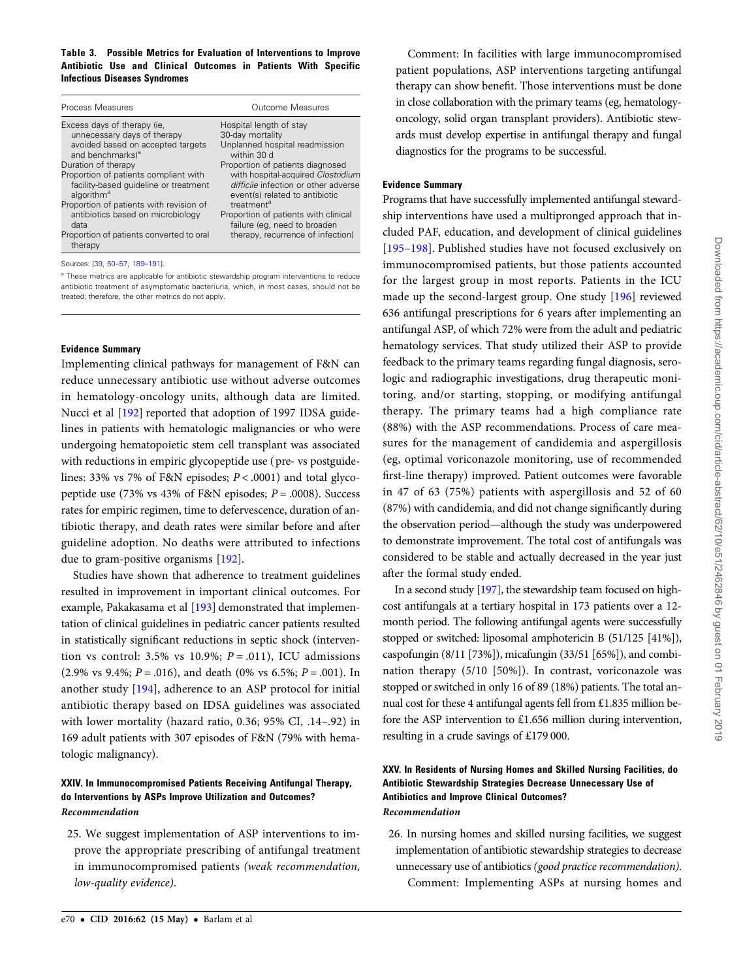<span id="page-19-0"></span>Table 3. Possible Metrics for Evaluation of Interventions to Improve Antibiotic Use and Clinical Outcomes in Patients With Specific Infectious Diseases Syndromes

| Process Measures                                                                                                                                                                                                                                                                                                                                                                                                  | Outcome Measures                                                                                                                                                                                                                                                                                                                                                                        |
|-------------------------------------------------------------------------------------------------------------------------------------------------------------------------------------------------------------------------------------------------------------------------------------------------------------------------------------------------------------------------------------------------------------------|-----------------------------------------------------------------------------------------------------------------------------------------------------------------------------------------------------------------------------------------------------------------------------------------------------------------------------------------------------------------------------------------|
| Excess days of therapy (ie,<br>unnecessary days of therapy<br>avoided based on accepted targets<br>and benchmarks) <sup>a</sup><br>Duration of therapy<br>Proportion of patients compliant with<br>facility-based quideline or treatment<br>algorithm <sup>a</sup><br>Proportion of patients with revision of<br>antibiotics based on microbiology<br>data<br>Proportion of patients converted to oral<br>therapy | Hospital length of stay<br>30-day mortality<br>Unplanned hospital readmission<br>within 30 d<br>Proportion of patients diagnosed<br>with hospital-acquired Clostridium<br>difficile infection or other adverse<br>event(s) related to antibiotic<br>treatment <sup>a</sup><br>Proportion of patients with clinical<br>failure (eq. need to broaden<br>therapy, recurrence of infection) |

Sources: [\[39,](#page-23-0) [50](#page-23-0)–[57,](#page-23-0) [189](#page-26-0)–[191](#page-26-0)].

<sup>a</sup> These metrics are applicable for antibiotic stewardship program interventions to reduce antibiotic treatment of asymptomatic bacteriuria, which, in most cases, should not be treated; therefore, the other metrics do not apply.

### Evidence Summary

Implementing clinical pathways for management of F&N can reduce unnecessary antibiotic use without adverse outcomes in hematology-oncology units, although data are limited. Nucci et al [\[192](#page-26-0)] reported that adoption of 1997 IDSA guidelines in patients with hematologic malignancies or who were undergoing hematopoietic stem cell transplant was associated with reductions in empiric glycopeptide use ( pre- vs postguidelines: 33% vs 7% of F&N episodes;  $P < .0001$ ) and total glycopeptide use (73% vs 43% of F&N episodes;  $P = .0008$ ). Success rates for empiric regimen, time to defervescence, duration of antibiotic therapy, and death rates were similar before and after guideline adoption. No deaths were attributed to infections due to gram-positive organisms [\[192\]](#page-26-0).

Studies have shown that adherence to treatment guidelines resulted in improvement in important clinical outcomes. For example, Pakakasama et al [[193\]](#page-26-0) demonstrated that implementation of clinical guidelines in pediatric cancer patients resulted in statistically significant reductions in septic shock (intervention vs control: 3.5% vs 10.9%;  $P = .011$ ), ICU admissions  $(2.9\% \text{ vs } 9.4\%; P = .016)$ , and death  $(0\% \text{ vs } 6.5\%; P = .001)$ . In another study [[194\]](#page-26-0), adherence to an ASP protocol for initial antibiotic therapy based on IDSA guidelines was associated with lower mortality (hazard ratio, 0.36; 95% CI, .14–.92) in 169 adult patients with 307 episodes of F&N (79% with hematologic malignancy).

### XXIV. In Immunocompromised Patients Receiving Antifungal Therapy, do Interventions by ASPs Improve Utilization and Outcomes? Recommendation

25. We suggest implementation of ASP interventions to improve the appropriate prescribing of antifungal treatment in immunocompromised patients (weak recommendation, low-quality evidence).

Comment: In facilities with large immunocompromised patient populations, ASP interventions targeting antifungal therapy can show benefit. Those interventions must be done in close collaboration with the primary teams (eg, hematologyoncology, solid organ transplant providers). Antibiotic stewards must develop expertise in antifungal therapy and fungal diagnostics for the programs to be successful.

### Evidence Summary

Programs that have successfully implemented antifungal stewardship interventions have used a multipronged approach that included PAF, education, and development of clinical guidelines [\[195](#page-26-0)–[198](#page-26-0)]. Published studies have not focused exclusively on immunocompromised patients, but those patients accounted for the largest group in most reports. Patients in the ICU made up the second-largest group. One study [\[196](#page-26-0)] reviewed 636 antifungal prescriptions for 6 years after implementing an antifungal ASP, of which 72% were from the adult and pediatric hematology services. That study utilized their ASP to provide feedback to the primary teams regarding fungal diagnosis, serologic and radiographic investigations, drug therapeutic monitoring, and/or starting, stopping, or modifying antifungal therapy. The primary teams had a high compliance rate (88%) with the ASP recommendations. Process of care measures for the management of candidemia and aspergillosis (eg, optimal voriconazole monitoring, use of recommended first-line therapy) improved. Patient outcomes were favorable in 47 of 63 (75%) patients with aspergillosis and 52 of 60 (87%) with candidemia, and did not change significantly during the observation period—although the study was underpowered to demonstrate improvement. The total cost of antifungals was considered to be stable and actually decreased in the year just after the formal study ended.

In a second study [\[197](#page-26-0)], the stewardship team focused on highcost antifungals at a tertiary hospital in 173 patients over a 12 month period. The following antifungal agents were successfully stopped or switched: liposomal amphotericin B (51/125 [41%]), caspofungin (8/11 [73%]), micafungin (33/51 [65%]), and combination therapy (5/10 [50%]). In contrast, voriconazole was stopped or switched in only 16 of 89 (18%) patients. The total annual cost for these 4 antifungal agents fell from ₤1.835 million before the ASP intervention to ₤1.656 million during intervention, resulting in a crude savings of ₤179 000.

### XXV. In Residents of Nursing Homes and Skilled Nursing Facilities, do Antibiotic Stewardship Strategies Decrease Unnecessary Use of Antibiotics and Improve Clinical Outcomes? Recommendation

26. In nursing homes and skilled nursing facilities, we suggest implementation of antibiotic stewardship strategies to decrease unnecessary use of antibiotics (good practice recommendation). Comment: Implementing ASPs at nursing homes and

e70 • CID 2016:62 (15 May) • Barlam et al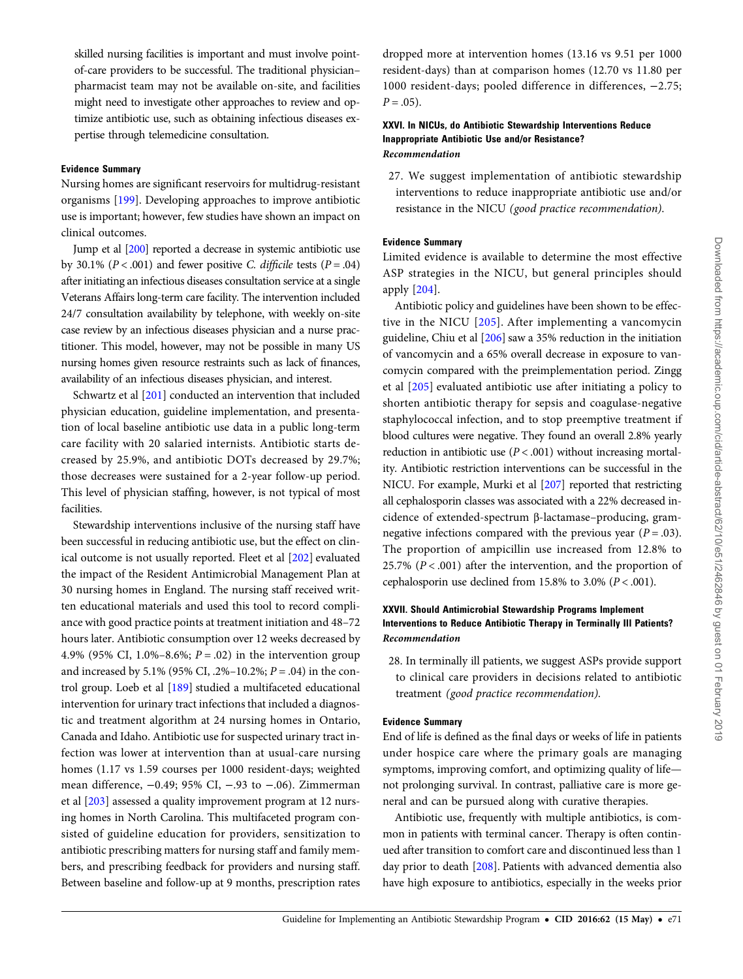skilled nursing facilities is important and must involve pointof-care providers to be successful. The traditional physician– pharmacist team may not be available on-site, and facilities might need to investigate other approaches to review and optimize antibiotic use, such as obtaining infectious diseases expertise through telemedicine consultation.

### Evidence Summary

Nursing homes are significant reservoirs for multidrug-resistant organisms [\[199\]](#page-26-0). Developing approaches to improve antibiotic use is important; however, few studies have shown an impact on clinical outcomes.

Jump et al [[200\]](#page-26-0) reported a decrease in systemic antibiotic use by 30.1% ( $P < .001$ ) and fewer positive C. difficile tests ( $P = .04$ ) after initiating an infectious diseases consultation service at a single Veterans Affairs long-term care facility. The intervention included 24/7 consultation availability by telephone, with weekly on-site case review by an infectious diseases physician and a nurse practitioner. This model, however, may not be possible in many US nursing homes given resource restraints such as lack of finances, availability of an infectious diseases physician, and interest.

Schwartz et al [\[201\]](#page-26-0) conducted an intervention that included physician education, guideline implementation, and presentation of local baseline antibiotic use data in a public long-term care facility with 20 salaried internists. Antibiotic starts decreased by 25.9%, and antibiotic DOTs decreased by 29.7%; those decreases were sustained for a 2-year follow-up period. This level of physician staffing, however, is not typical of most facilities.

Stewardship interventions inclusive of the nursing staff have been successful in reducing antibiotic use, but the effect on clinical outcome is not usually reported. Fleet et al [\[202](#page-26-0)] evaluated the impact of the Resident Antimicrobial Management Plan at 30 nursing homes in England. The nursing staff received written educational materials and used this tool to record compliance with good practice points at treatment initiation and 48–72 hours later. Antibiotic consumption over 12 weeks decreased by 4.9% (95% CI, 1.0%–8.6%;  $P = .02$ ) in the intervention group and increased by 5.1% (95% CI, .2%–10.2%;  $P = .04$ ) in the control group. Loeb et al [\[189\]](#page-26-0) studied a multifaceted educational intervention for urinary tract infections that included a diagnostic and treatment algorithm at 24 nursing homes in Ontario, Canada and Idaho. Antibiotic use for suspected urinary tract infection was lower at intervention than at usual-care nursing homes (1.17 vs 1.59 courses per 1000 resident-days; weighted mean difference, −0.49; 95% CI, −.93 to −.06). Zimmerman et al [\[203](#page-26-0)] assessed a quality improvement program at 12 nursing homes in North Carolina. This multifaceted program consisted of guideline education for providers, sensitization to antibiotic prescribing matters for nursing staff and family members, and prescribing feedback for providers and nursing staff. Between baseline and follow-up at 9 months, prescription rates dropped more at intervention homes (13.16 vs 9.51 per 1000 resident-days) than at comparison homes (12.70 vs 11.80 per 1000 resident-days; pooled difference in differences, −2.75;  $P = .05$ ).

### XXVI. In NICUs, do Antibiotic Stewardship Interventions Reduce Inappropriate Antibiotic Use and/or Resistance? Recommendation

27. We suggest implementation of antibiotic stewardship interventions to reduce inappropriate antibiotic use and/or resistance in the NICU (good practice recommendation).

### Evidence Summary

Limited evidence is available to determine the most effective ASP strategies in the NICU, but general principles should apply [[204\]](#page-26-0).

Antibiotic policy and guidelines have been shown to be effective in the NICU [[205\]](#page-26-0). After implementing a vancomycin guideline, Chiu et al [[206](#page-26-0)] saw a 35% reduction in the initiation of vancomycin and a 65% overall decrease in exposure to vancomycin compared with the preimplementation period. Zingg et al [\[205](#page-26-0)] evaluated antibiotic use after initiating a policy to shorten antibiotic therapy for sepsis and coagulase-negative staphylococcal infection, and to stop preemptive treatment if blood cultures were negative. They found an overall 2.8% yearly reduction in antibiotic use  $(P < .001)$  without increasing mortality. Antibiotic restriction interventions can be successful in the NICU. For example, Murki et al [\[207\]](#page-26-0) reported that restricting all cephalosporin classes was associated with a 22% decreased incidence of extended-spectrum β-lactamase–producing, gramnegative infections compared with the previous year ( $P = .03$ ). The proportion of ampicillin use increased from 12.8% to 25.7% ( $P < .001$ ) after the intervention, and the proportion of cephalosporin use declined from 15.8% to 3.0%  $(P < .001)$ .

### XXVII. Should Antimicrobial Stewardship Programs Implement Interventions to Reduce Antibiotic Therapy in Terminally Ill Patients? Recommendation

28. In terminally ill patients, we suggest ASPs provide support to clinical care providers in decisions related to antibiotic treatment (good practice recommendation).

### Evidence Summary

End of life is defined as the final days or weeks of life in patients under hospice care where the primary goals are managing symptoms, improving comfort, and optimizing quality of life not prolonging survival. In contrast, palliative care is more general and can be pursued along with curative therapies.

Antibiotic use, frequently with multiple antibiotics, is common in patients with terminal cancer. Therapy is often continued after transition to comfort care and discontinued less than 1 day prior to death [[208](#page-26-0)]. Patients with advanced dementia also have high exposure to antibiotics, especially in the weeks prior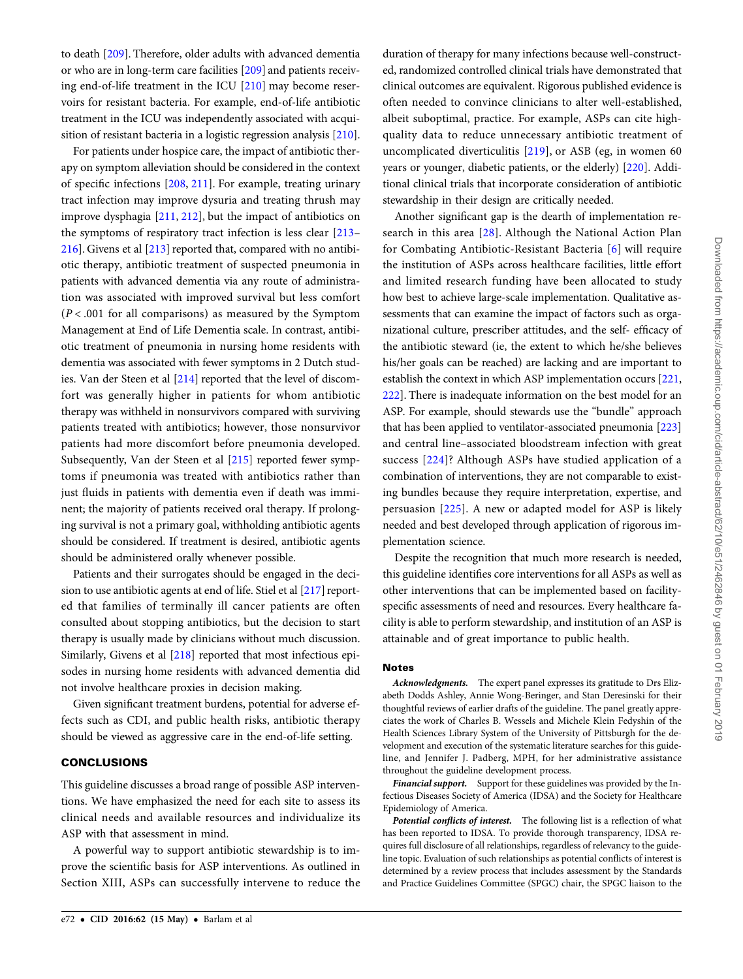to death [[209](#page-26-0)]. Therefore, older adults with advanced dementia or who are in long-term care facilities [[209](#page-26-0)] and patients receiving end-of-life treatment in the ICU [[210](#page-26-0)] may become reservoirs for resistant bacteria. For example, end-of-life antibiotic treatment in the ICU was independently associated with acquisition of resistant bacteria in a logistic regression analysis [[210\]](#page-26-0).

For patients under hospice care, the impact of antibiotic therapy on symptom alleviation should be considered in the context of specific infections [[208](#page-26-0), [211\]](#page-26-0). For example, treating urinary tract infection may improve dysuria and treating thrush may improve dysphagia [[211,](#page-26-0) [212\]](#page-26-0), but the impact of antibiotics on the symptoms of respiratory tract infection is less clear [\[213](#page-26-0)– [216\]](#page-26-0). Givens et al [\[213\]](#page-26-0) reported that, compared with no antibiotic therapy, antibiotic treatment of suspected pneumonia in patients with advanced dementia via any route of administration was associated with improved survival but less comfort  $(P < .001$  for all comparisons) as measured by the Symptom Management at End of Life Dementia scale. In contrast, antibiotic treatment of pneumonia in nursing home residents with dementia was associated with fewer symptoms in 2 Dutch studies. Van der Steen et al [[214\]](#page-26-0) reported that the level of discomfort was generally higher in patients for whom antibiotic therapy was withheld in nonsurvivors compared with surviving patients treated with antibiotics; however, those nonsurvivor patients had more discomfort before pneumonia developed. Subsequently, Van der Steen et al [\[215\]](#page-26-0) reported fewer symptoms if pneumonia was treated with antibiotics rather than just fluids in patients with dementia even if death was imminent; the majority of patients received oral therapy. If prolonging survival is not a primary goal, withholding antibiotic agents should be considered. If treatment is desired, antibiotic agents should be administered orally whenever possible.

Patients and their surrogates should be engaged in the decision to use antibiotic agents at end of life. Stiel et al [\[217\]](#page-26-0) reported that families of terminally ill cancer patients are often consulted about stopping antibiotics, but the decision to start therapy is usually made by clinicians without much discussion. Similarly, Givens et al [\[218\]](#page-26-0) reported that most infectious episodes in nursing home residents with advanced dementia did not involve healthcare proxies in decision making.

Given significant treatment burdens, potential for adverse effects such as CDI, and public health risks, antibiotic therapy should be viewed as aggressive care in the end-of-life setting.

### **CONCLUSIONS**

This guideline discusses a broad range of possible ASP interventions. We have emphasized the need for each site to assess its clinical needs and available resources and individualize its ASP with that assessment in mind.

A powerful way to support antibiotic stewardship is to improve the scientific basis for ASP interventions. As outlined in Section XIII, ASPs can successfully intervene to reduce the duration of therapy for many infections because well-constructed, randomized controlled clinical trials have demonstrated that clinical outcomes are equivalent. Rigorous published evidence is often needed to convince clinicians to alter well-established, albeit suboptimal, practice. For example, ASPs can cite highquality data to reduce unnecessary antibiotic treatment of uncomplicated diverticulitis [[219\]](#page-26-0), or ASB (eg, in women 60 years or younger, diabetic patients, or the elderly) [[220\]](#page-26-0). Additional clinical trials that incorporate consideration of antibiotic stewardship in their design are critically needed.

Another significant gap is the dearth of implementation research in this area [[28](#page-22-0)]. Although the National Action Plan for Combating Antibiotic-Resistant Bacteria [[6\]](#page-22-0) will require the institution of ASPs across healthcare facilities, little effort and limited research funding have been allocated to study how best to achieve large-scale implementation. Qualitative assessments that can examine the impact of factors such as organizational culture, prescriber attitudes, and the self- efficacy of the antibiotic steward (ie, the extent to which he/she believes his/her goals can be reached) are lacking and are important to establish the context in which ASP implementation occurs [\[221,](#page-26-0) [222\]](#page-26-0). There is inadequate information on the best model for an ASP. For example, should stewards use the "bundle" approach that has been applied to ventilator-associated pneumonia [[223\]](#page-26-0) and central line–associated bloodstream infection with great success [[224](#page-26-0)]? Although ASPs have studied application of a combination of interventions, they are not comparable to existing bundles because they require interpretation, expertise, and persuasion [[225\]](#page-26-0). A new or adapted model for ASP is likely needed and best developed through application of rigorous implementation science.

Despite the recognition that much more research is needed, this guideline identifies core interventions for all ASPs as well as other interventions that can be implemented based on facilityspecific assessments of need and resources. Every healthcare facility is able to perform stewardship, and institution of an ASP is attainable and of great importance to public health.

### Notes

Acknowledgments. The expert panel expresses its gratitude to Drs Elizabeth Dodds Ashley, Annie Wong-Beringer, and Stan Deresinski for their thoughtful reviews of earlier drafts of the guideline. The panel greatly appreciates the work of Charles B. Wessels and Michele Klein Fedyshin of the Health Sciences Library System of the University of Pittsburgh for the development and execution of the systematic literature searches for this guideline, and Jennifer J. Padberg, MPH, for her administrative assistance throughout the guideline development process.

Financial support. Support for these guidelines was provided by the Infectious Diseases Society of America (IDSA) and the Society for Healthcare Epidemiology of America.

Potential conflicts of interest. The following list is a reflection of what has been reported to IDSA. To provide thorough transparency, IDSA requires full disclosure of all relationships, regardless of relevancy to the guideline topic. Evaluation of such relationships as potential conflicts of interest is determined by a review process that includes assessment by the Standards and Practice Guidelines Committee (SPGC) chair, the SPGC liaison to the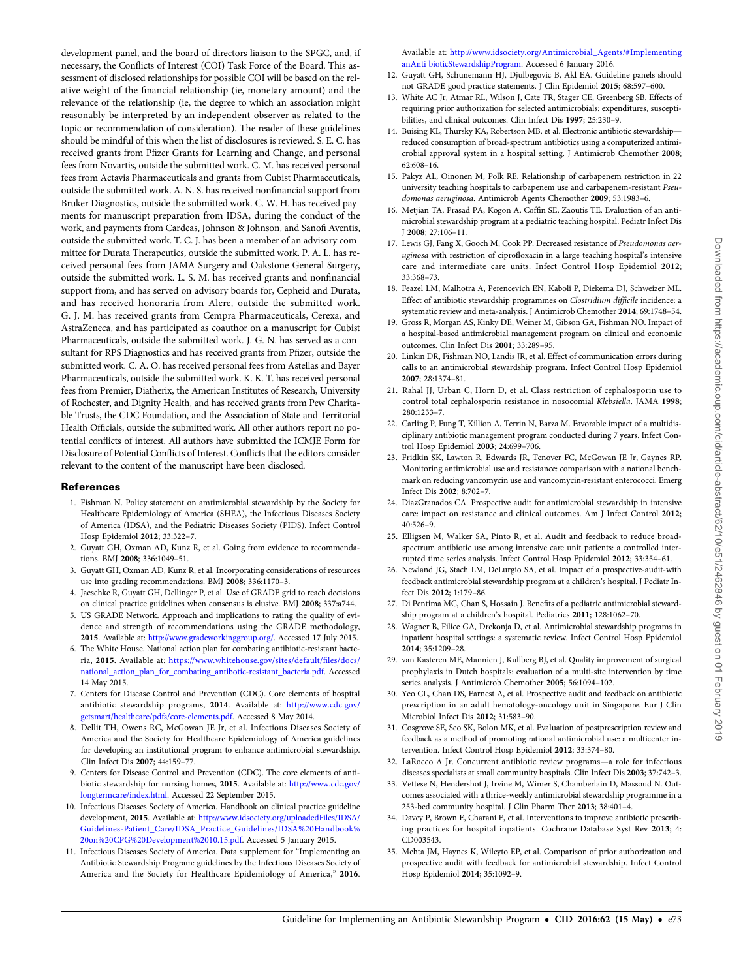<span id="page-22-0"></span>development panel, and the board of directors liaison to the SPGC, and, if necessary, the Conflicts of Interest (COI) Task Force of the Board. This assessment of disclosed relationships for possible COI will be based on the relative weight of the financial relationship (ie, monetary amount) and the relevance of the relationship (ie, the degree to which an association might reasonably be interpreted by an independent observer as related to the topic or recommendation of consideration). The reader of these guidelines should be mindful of this when the list of disclosures is reviewed. S. E. C. has received grants from Pfizer Grants for Learning and Change, and personal fees from Novartis, outside the submitted work. C. M. has received personal fees from Actavis Pharmaceuticals and grants from Cubist Pharmaceuticals, outside the submitted work. A. N. S. has received nonfinancial support from Bruker Diagnostics, outside the submitted work. C. W. H. has received payments for manuscript preparation from IDSA, during the conduct of the work, and payments from Cardeas, Johnson & Johnson, and Sanofi Aventis, outside the submitted work. T. C. J. has been a member of an advisory committee for Durata Therapeutics, outside the submitted work. P. A. L. has received personal fees from JAMA Surgery and Oakstone General Surgery, outside the submitted work. L. S. M. has received grants and nonfinancial support from, and has served on advisory boards for, Cepheid and Durata, and has received honoraria from Alere, outside the submitted work. G. J. M. has received grants from Cempra Pharmaceuticals, Cerexa, and AstraZeneca, and has participated as coauthor on a manuscript for Cubist Pharmaceuticals, outside the submitted work. J. G. N. has served as a consultant for RPS Diagnostics and has received grants from Pfizer, outside the submitted work. C. A. O. has received personal fees from Astellas and Bayer Pharmaceuticals, outside the submitted work. K. K. T. has received personal fees from Premier, Diatherix, the American Institutes of Research, University of Rochester, and Dignity Health, and has received grants from Pew Charitable Trusts, the CDC Foundation, and the Association of State and Territorial Health Officials, outside the submitted work. All other authors report no potential conflicts of interest. All authors have submitted the ICMJE Form for Disclosure of Potential Conflicts of Interest. Conflicts that the editors consider relevant to the content of the manuscript have been disclosed.

### References

- 1. Fishman N. Policy statement on amtimicrobial stewardship by the Society for Healthcare Epidemiology of America (SHEA), the Infectious Diseases Society of America (IDSA), and the Pediatric Diseases Society (PIDS). Infect Control Hosp Epidemiol 2012; 33:322–7.
- 2. Guyatt GH, Oxman AD, Kunz R, et al. Going from evidence to recommendations. BMJ 2008; 336:1049–51.
- 3. Guyatt GH, Oxman AD, Kunz R, et al. Incorporating considerations of resources use into grading recommendations. BMJ 2008; 336:1170–3.
- 4. Jaeschke R, Guyatt GH, Dellinger P, et al. Use of GRADE grid to reach decisions on clinical practice guidelines when consensus is elusive. BMJ 2008; 337:a744.
- 5. US GRADE Network. Approach and implications to rating the quality of evidence and strength of recommendations using the GRADE methodology, 2015. Available at: [http://www.gradeworkinggroup.org/.](http://www.gradeworkinggroup.org/) Accessed 17 July 2015.
- 6. The White House. National action plan for combating antibiotic-resistant bacteria, 2015. Available at: [https://www.whitehouse.gov/sites/default/](https://www.whitehouse.gov/sites/default/files/docs/national_action_plan_for_combating_antibotic-resistant_bacteria.pdf)files/docs/ [national\\_action\\_plan\\_for\\_combating\\_antibotic-resistant\\_bacteria.pdf.](https://www.whitehouse.gov/sites/default/files/docs/national_action_plan_for_combating_antibotic-resistant_bacteria.pdf) Accessed 14 May 2015.
- 7. Centers for Disease Control and Prevention (CDC). Core elements of hospital antibiotic stewardship programs, 2014. Available at: [http://www.cdc.gov/](http://www.cdc.gov/getsmart/healthcare/pdfs/core-elements.pdf) [getsmart/healthcare/pdfs/core-elements.pdf.](http://www.cdc.gov/getsmart/healthcare/pdfs/core-elements.pdf) Accessed 8 May 2014.
- 8. Dellit TH, Owens RC, McGowan JE Jr, et al. Infectious Diseases Society of America and the Society for Healthcare Epidemiology of America guidelines for developing an institutional program to enhance antimicrobial stewardship. Clin Infect Dis 2007; 44:159–77.
- 9. Centers for Disease Control and Prevention (CDC). The core elements of antibiotic stewardship for nursing homes, 2015. Available at: [http://www.cdc.gov/](http://www.cdc.gov/longtermcare/index.html) [longtermcare/index.html.](http://www.cdc.gov/longtermcare/index.html) Accessed 22 September 2015.
- 10. Infectious Diseases Society of America. Handbook on clinical practice guideline development, 2015. Available at: [http://www.idsociety.org/uploadedFiles/IDSA/](http://www.idsociety.org/uploadedFiles/IDSA/Guidelines-Patient_Care/IDSA_Practice_Guidelines/IDSA%20Handbook%20on%20CPG%20Development%2010.15.pdf) [Guidelines-Patient\\_Care/IDSA\\_Practice\\_Guidelines/IDSA%20Handbook%](http://www.idsociety.org/uploadedFiles/IDSA/Guidelines-Patient_Care/IDSA_Practice_Guidelines/IDSA%20Handbook%20on%20CPG%20Development%2010.15.pdf) [20on%20CPG%20Development%2010.15.pdf](http://www.idsociety.org/uploadedFiles/IDSA/Guidelines-Patient_Care/IDSA_Practice_Guidelines/IDSA%20Handbook%20on%20CPG%20Development%2010.15.pdf). Accessed 5 January 2015.
- 11. Infectious Diseases Society of America. Data supplement for "Implementing an Antibiotic Stewardship Program: guidelines by the Infectious Diseases Society of America and the Society for Healthcare Epidemiology of America," 2016.

Available at: [http://www.idsociety.org/Antimicrobial\\_Agents/#Implementing](http://www.idsociety.org/Antimicrobial_Agents/#ImplementinganAntibioticStewardshipProgram) [anAnti bioticStewardshipProgram.](http://www.idsociety.org/Antimicrobial_Agents/#ImplementinganAntibioticStewardshipProgram) Accessed 6 January 2016.

- 12. Guyatt GH, Schunemann HJ, Djulbegovic B, Akl EA. Guideline panels should not GRADE good practice statements. J Clin Epidemiol 2015; 68:597–600.
- 13. White AC Jr, Atmar RL, Wilson J, Cate TR, Stager CE, Greenberg SB. Effects of requiring prior authorization for selected antimicrobials: expenditures, susceptibilities, and clinical outcomes. Clin Infect Dis 1997; 25:230–9.
- 14. Buising KL, Thursky KA, Robertson MB, et al. Electronic antibiotic stewardship reduced consumption of broad-spectrum antibiotics using a computerized antimicrobial approval system in a hospital setting. J Antimicrob Chemother 2008; 62:608–16.
- 15. Pakyz AL, Oinonen M, Polk RE. Relationship of carbapenem restriction in 22 university teaching hospitals to carbapenem use and carbapenem-resistant Pseudomonas aeruginosa. Antimicrob Agents Chemother 2009; 53:1983–6.
- 16. Metjian TA, Prasad PA, Kogon A, Coffin SE, Zaoutis TE. Evaluation of an antimicrobial stewardship program at a pediatric teaching hospital. Pediatr Infect Dis J 2008; 27:106–11.
- 17. Lewis GJ, Fang X, Gooch M, Cook PP. Decreased resistance of Pseudomonas aeruginosa with restriction of ciprofloxacin in a large teaching hospital's intensive care and intermediate care units. Infect Control Hosp Epidemiol 2012; 33:368–73.
- 18. Feazel LM, Malhotra A, Perencevich EN, Kaboli P, Diekema DJ, Schweizer ML. Effect of antibiotic stewardship programmes on Clostridium difficile incidence: a systematic review and meta-analysis. J Antimicrob Chemother 2014; 69:1748–54.
- 19. Gross R, Morgan AS, Kinky DE, Weiner M, Gibson GA, Fishman NO. Impact of a hospital-based antimicrobial management program on clinical and economic outcomes. Clin Infect Dis 2001; 33:289–95.
- 20. Linkin DR, Fishman NO, Landis JR, et al. Effect of communication errors during calls to an antimicrobial stewardship program. Infect Control Hosp Epidemiol 2007; 28:1374–81.
- 21. Rahal JJ, Urban C, Horn D, et al. Class restriction of cephalosporin use to control total cephalosporin resistance in nosocomial Klebsiella. JAMA 1998; 280:1233–7.
- 22. Carling P, Fung T, Killion A, Terrin N, Barza M. Favorable impact of a multidisciplinary antibiotic management program conducted during 7 years. Infect Control Hosp Epidemiol 2003; 24:699–706.
- 23. Fridkin SK, Lawton R, Edwards JR, Tenover FC, McGowan JE Jr, Gaynes RP. Monitoring antimicrobial use and resistance: comparison with a national benchmark on reducing vancomycin use and vancomycin-resistant enterococci. Emerg Infect Dis 2002; 8:702–7.
- 24. DiazGranados CA. Prospective audit for antimicrobial stewardship in intensive care: impact on resistance and clinical outcomes. Am J Infect Control 2012; 40:526–9.
- 25. Elligsen M, Walker SA, Pinto R, et al. Audit and feedback to reduce broadspectrum antibiotic use among intensive care unit patients: a controlled interrupted time series analysis. Infect Control Hosp Epidemiol 2012; 33:354–61.
- 26. Newland JG, Stach LM, DeLurgio SA, et al. Impact of a prospective-audit-with feedback antimicrobial stewardship program at a children's hospital. J Pediatr Infect Dis 2012; 1:179–86.
- 27. Di Pentima MC, Chan S, Hossain J. Benefits of a pediatric antimicrobial stewardship program at a children's hospital. Pediatrics 2011; 128:1062–70.
- 28. Wagner B, Filice GA, Drekonja D, et al. Antimicrobial stewardship programs in inpatient hospital settings: a systematic review. Infect Control Hosp Epidemiol 2014; 35:1209–28.
- 29. van Kasteren ME, Mannien J, Kullberg BJ, et al. Quality improvement of surgical prophylaxis in Dutch hospitals: evaluation of a multi-site intervention by time series analysis. J Antimicrob Chemother 2005; 56:1094–102.
- 30. Yeo CL, Chan DS, Earnest A, et al. Prospective audit and feedback on antibiotic prescription in an adult hematology-oncology unit in Singapore. Eur J Clin Microbiol Infect Dis 2012; 31:583–90.
- 31. Cosgrove SE, Seo SK, Bolon MK, et al. Evaluation of postprescription review and feedback as a method of promoting rational antimicrobial use: a multicenter intervention. Infect Control Hosp Epidemiol 2012; 33:374–80.
- 32. LaRocco A Jr. Concurrent antibiotic review programs—a role for infectious diseases specialists at small community hospitals. Clin Infect Dis 2003; 37:742–3.
- 33. Vettese N, Hendershot J, Irvine M, Wimer S, Chamberlain D, Massoud N. Outcomes associated with a thrice-weekly antimicrobial stewardship programme in a 253-bed community hospital. J Clin Pharm Ther 2013; 38:401–4.
- 34. Davey P, Brown E, Charani E, et al. Interventions to improve antibiotic prescribing practices for hospital inpatients. Cochrane Database Syst Rev 2013; 4: CD003543.
- 35. Mehta JM, Haynes K, Wileyto EP, et al. Comparison of prior authorization and prospective audit with feedback for antimicrobial stewardship. Infect Control Hosp Epidemiol 2014; 35:1092–9.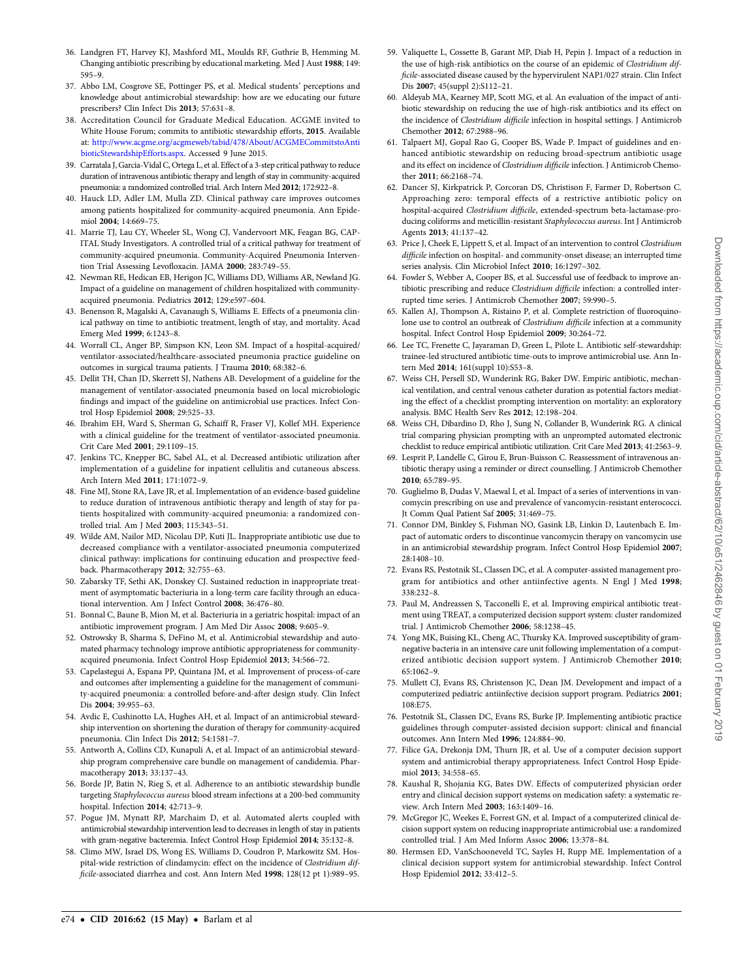- <span id="page-23-0"></span>36. Landgren FT, Harvey KJ, Mashford ML, Moulds RF, Guthrie B, Hemming M. Changing antibiotic prescribing by educational marketing. Med J Aust 1988; 149: 595–9.
- 37. Abbo LM, Cosgrove SE, Pottinger PS, et al. Medical students' perceptions and knowledge about antimicrobial stewardship: how are we educating our future prescribers? Clin Infect Dis 2013; 57:631–8.
- 38. Accreditation Council for Graduate Medical Education. ACGME invited to White House Forum; commits to antibiotic stewardship efforts, 2015. Available at: [http://www.acgme.org/acgmeweb/tabid/478/About/ACGMECommitstoAnti](http://www.acgme.org/acgmeweb/tabid/478/About/ACGMECommitstoAntibioticStewardshipEfforts.aspx) [bioticStewardshipEfforts.aspx](http://www.acgme.org/acgmeweb/tabid/478/About/ACGMECommitstoAntibioticStewardshipEfforts.aspx). Accessed 9 June 2015.
- 39. Carratala J, Garcia-Vidal C, Ortega L, et al. Effect of a 3-step critical pathway to reduce duration of intravenous antibiotic therapy and length of stay in community-acquired pneumonia: a randomized controlled trial. Arch Intern Med 2012; 172:922–8.
- 40. Hauck LD, Adler LM, Mulla ZD. Clinical pathway care improves outcomes among patients hospitalized for community-acquired pneumonia. Ann Epidemiol 2004; 14:669–75.
- 41. Marrie TJ, Lau CY, Wheeler SL, Wong CJ, Vandervoort MK, Feagan BG, CAP-ITAL Study Investigators. A controlled trial of a critical pathway for treatment of community-acquired pneumonia. Community-Acquired Pneumonia Intervention Trial Assessing Levofloxacin. JAMA 2000; 283:749–55.
- 42. Newman RE, Hedican EB, Herigon JC, Williams DD, Williams AR, Newland JG. Impact of a guideline on management of children hospitalized with communityacquired pneumonia. Pediatrics 2012; 129:e597–604.
- 43. Benenson R, Magalski A, Cavanaugh S, Williams E. Effects of a pneumonia clinical pathway on time to antibiotic treatment, length of stay, and mortality. Acad Emerg Med 1999; 6:1243–8.
- 44. Worrall CL, Anger BP, Simpson KN, Leon SM. Impact of a hospital-acquired/ ventilator-associated/healthcare-associated pneumonia practice guideline on outcomes in surgical trauma patients. J Trauma 2010; 68:382–6.
- 45. Dellit TH, Chan JD, Skerrett SJ, Nathens AB. Development of a guideline for the management of ventilator-associated pneumonia based on local microbiologic findings and impact of the guideline on antimicrobial use practices. Infect Control Hosp Epidemiol 2008; 29:525–33.
- 46. Ibrahim EH, Ward S, Sherman G, Schaiff R, Fraser VJ, Kollef MH. Experience with a clinical guideline for the treatment of ventilator-associated pneumonia. Crit Care Med 2001; 29:1109–15.
- 47. Jenkins TC, Knepper BC, Sabel AL, et al. Decreased antibiotic utilization after implementation of a guideline for inpatient cellulitis and cutaneous abscess. Arch Intern Med 2011; 171:1072–9.
- 48. Fine MJ, Stone RA, Lave JR, et al. Implementation of an evidence-based guideline to reduce duration of intravenous antibiotic therapy and length of stay for patients hospitalized with community-acquired pneumonia: a randomized controlled trial. Am J Med 2003; 115:343–51.
- 49. Wilde AM, Nailor MD, Nicolau DP, Kuti JL. Inappropriate antibiotic use due to decreased compliance with a ventilator-associated pneumonia computerized clinical pathway: implications for continuing education and prospective feedback. Pharmacotherapy 2012; 32:755–63.
- 50. Zabarsky TF, Sethi AK, Donskey CJ. Sustained reduction in inappropriate treatment of asymptomatic bacteriuria in a long-term care facility through an educational intervention. Am J Infect Control 2008; 36:476–80.
- 51. Bonnal C, Baune B, Mion M, et al. Bacteriuria in a geriatric hospital: impact of an antibiotic improvement program. J Am Med Dir Assoc 2008; 9:605–9.
- 52. Ostrowsky B, Sharma S, DeFino M, et al. Antimicrobial stewardship and automated pharmacy technology improve antibiotic appropriateness for communityacquired pneumonia. Infect Control Hosp Epidemiol 2013; 34:566–72.
- 53. Capelastegui A, Espana PP, Quintana JM, et al. Improvement of process-of-care and outcomes after implementing a guideline for the management of community-acquired pneumonia: a controlled before-and-after design study. Clin Infect Dis 2004; 39:955–63.
- 54. Avdic E, Cushinotto LA, Hughes AH, et al. Impact of an antimicrobial stewardship intervention on shortening the duration of therapy for community-acquired pneumonia. Clin Infect Dis 2012; 54:1581–7.
- 55. Antworth A, Collins CD, Kunapuli A, et al. Impact of an antimicrobial stewardship program comprehensive care bundle on management of candidemia. Pharmacotherapy 2013; 33:137–43.
- 56. Borde JP, Batin N, Rieg S, et al. Adherence to an antibiotic stewardship bundle targeting Staphylococcus aureus blood stream infections at a 200-bed community hospital. Infection 2014; 42:713–9.
- 57. Pogue JM, Mynatt RP, Marchaim D, et al. Automated alerts coupled with antimicrobial stewardship intervention lead to decreases in length of stay in patients with gram-negative bacteremia. Infect Control Hosp Epidemiol 2014; 35:132–8.
- 58. Climo MW, Israel DS, Wong ES, Williams D, Coudron P, Markowitz SM. Hospital-wide restriction of clindamycin: effect on the incidence of Clostridium difficile-associated diarrhea and cost. Ann Intern Med 1998; 128(12 pt 1):989–95.
- 59. Valiquette L, Cossette B, Garant MP, Diab H, Pepin J. Impact of a reduction in the use of high-risk antibiotics on the course of an epidemic of Clostridium difficile-associated disease caused by the hypervirulent NAP1/027 strain. Clin Infect Dis 2007; 45(suppl 2):S112–21.
- 60. Aldeyab MA, Kearney MP, Scott MG, et al. An evaluation of the impact of antibiotic stewardship on reducing the use of high-risk antibiotics and its effect on the incidence of Clostridium difficile infection in hospital settings. J Antimicrob Chemother 2012; 67:2988–96.
- 61. Talpaert MJ, Gopal Rao G, Cooper BS, Wade P. Impact of guidelines and enhanced antibiotic stewardship on reducing broad-spectrum antibiotic usage and its effect on incidence of Clostridium difficile infection. J Antimicrob Chemother 2011; 66:2168–74.
- 62. Dancer SJ, Kirkpatrick P, Corcoran DS, Christison F, Farmer D, Robertson C. Approaching zero: temporal effects of a restrictive antibiotic policy on hospital-acquired Clostridium difficile, extended-spectrum beta-lactamase-producing coliforms and meticillin-resistant Staphylococcus aureus. Int J Antimicrob Agents 2013; 41:137–42.
- 63. Price J, Cheek E, Lippett S, et al. Impact of an intervention to control Clostridium difficile infection on hospital- and community-onset disease; an interrupted time series analysis. Clin Microbiol Infect 2010; 16:1297–302.
- 64. Fowler S, Webber A, Cooper BS, et al. Successful use of feedback to improve antibiotic prescribing and reduce Clostridium difficile infection: a controlled interrupted time series. J Antimicrob Chemother 2007; 59:990–5.
- 65. Kallen AJ, Thompson A, Ristaino P, et al. Complete restriction of fluoroquinolone use to control an outbreak of Clostridium difficile infection at a community hospital. Infect Control Hosp Epidemiol 2009; 30:264–72.
- 66. Lee TC, Frenette C, Jayaraman D, Green L, Pilote L. Antibiotic self-stewardship: trainee-led structured antibiotic time-outs to improve antimicrobial use. Ann Intern Med 2014; 161(suppl 10):S53–8.
- 67. Weiss CH, Persell SD, Wunderink RG, Baker DW. Empiric antibiotic, mechanical ventilation, and central venous catheter duration as potential factors mediating the effect of a checklist prompting intervention on mortality: an exploratory analysis. BMC Health Serv Res 2012; 12:198–204.
- 68. Weiss CH, Dibardino D, Rho J, Sung N, Collander B, Wunderink RG. A clinical trial comparing physician prompting with an unprompted automated electronic checklist to reduce empirical antibiotic utilization. Crit Care Med 2013; 41:2563–9.
- 69. Lesprit P, Landelle C, Girou E, Brun-Buisson C. Reassessment of intravenous antibiotic therapy using a reminder or direct counselling. J Antimicrob Chemother 2010; 65:789–95.
- 70. Guglielmo B, Dudas V, Maewal I, et al. Impact of a series of interventions in vancomycin prescribing on use and prevalence of vancomycin-resistant enterococci. Jt Comm Qual Patient Saf 2005; 31:469–75.
- 71. Connor DM, Binkley S, Fishman NO, Gasink LB, Linkin D, Lautenbach E. Impact of automatic orders to discontinue vancomycin therapy on vancomycin use in an antimicrobial stewardship program. Infect Control Hosp Epidemiol 2007; 28:1408–10.
- 72. Evans RS, Pestotnik SL, Classen DC, et al. A computer-assisted management program for antibiotics and other antiinfective agents. N Engl J Med 1998; 338:232–8.
- 73. Paul M, Andreassen S, Tacconelli E, et al. Improving empirical antibiotic treatment using TREAT, a computerized decision support system: cluster randomized trial. J Antimicrob Chemother 2006; 58:1238–45.
- 74. Yong MK, Buising KL, Cheng AC, Thursky KA. Improved susceptibility of gramnegative bacteria in an intensive care unit following implementation of a computerized antibiotic decision support system. J Antimicrob Chemother 2010; 65:1062–9.
- 75. Mullett CJ, Evans RS, Christenson JC, Dean JM. Development and impact of a computerized pediatric antiinfective decision support program. Pediatrics 2001; 108:E75.
- 76. Pestotnik SL, Classen DC, Evans RS, Burke JP. Implementing antibiotic practice guidelines through computer-assisted decision support: clinical and financial outcomes. Ann Intern Med 1996; 124:884–90.
- 77. Filice GA, Drekonja DM, Thurn JR, et al. Use of a computer decision support system and antimicrobial therapy appropriateness. Infect Control Hosp Epidemiol 2013; 34:558–65.
- 78. Kaushal R, Shojania KG, Bates DW. Effects of computerized physician order entry and clinical decision support systems on medication safety: a systematic review. Arch Intern Med 2003; 163:1409–16.
- 79. McGregor JC, Weekes E, Forrest GN, et al. Impact of a computerized clinical decision support system on reducing inappropriate antimicrobial use: a randomized controlled trial. J Am Med Inform Assoc 2006; 13:378–84.
- 80. Hermsen ED, VanSchooneveld TC, Sayles H, Rupp ME. Implementation of a clinical decision support system for antimicrobial stewardship. Infect Control Hosp Epidemiol 2012; 33:412–5.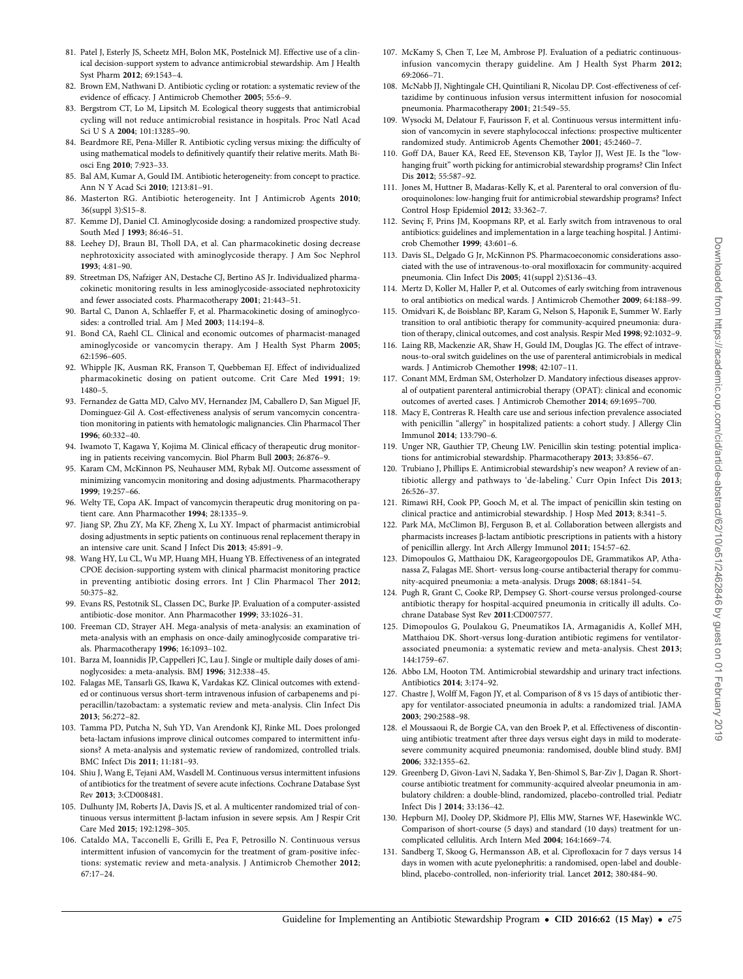- <span id="page-24-0"></span>81. Patel J, Esterly JS, Scheetz MH, Bolon MK, Postelnick MJ. Effective use of a clinical decision-support system to advance antimicrobial stewardship. Am J Health Syst Pharm 2012; 69:1543–4.
- 82. Brown EM, Nathwani D. Antibiotic cycling or rotation: a systematic review of the evidence of efficacy. J Antimicrob Chemother 2005; 55:6–9.
- 83. Bergstrom CT, Lo M, Lipsitch M. Ecological theory suggests that antimicrobial cycling will not reduce antimicrobial resistance in hospitals. Proc Natl Acad Sci U S A 2004; 101:13285–90.
- 84. Beardmore RE, Pena-Miller R. Antibiotic cycling versus mixing: the difficulty of using mathematical models to definitively quantify their relative merits. Math Biosci Eng 2010; 7:923–33.
- 85. Bal AM, Kumar A, Gould IM. Antibiotic heterogeneity: from concept to practice. Ann N Y Acad Sci 2010; 1213:81–91.
- 86. Masterton RG. Antibiotic heterogeneity. Int J Antimicrob Agents 2010; 36(suppl 3):S15–8.
- 87. Kemme DJ, Daniel CI. Aminoglycoside dosing: a randomized prospective study. South Med J 1993; 86:46-51.
- 88. Leehey DJ, Braun BI, Tholl DA, et al. Can pharmacokinetic dosing decrease nephrotoxicity associated with aminoglycoside therapy. J Am Soc Nephrol 1993; 4:81–90.
- 89. Streetman DS, Nafziger AN, Destache CJ, Bertino AS Jr. Individualized pharmacokinetic monitoring results in less aminoglycoside-associated nephrotoxicity and fewer associated costs. Pharmacotherapy 2001; 21:443–51.
- 90. Bartal C, Danon A, Schlaeffer F, et al. Pharmacokinetic dosing of aminoglycosides: a controlled trial. Am J Med 2003; 114:194–8.
- 91. Bond CA, Raehl CL. Clinical and economic outcomes of pharmacist-managed aminoglycoside or vancomycin therapy. Am J Health Syst Pharm 2005; 62:1596–605.
- 92. Whipple JK, Ausman RK, Franson T, Quebbeman EJ. Effect of individualized pharmacokinetic dosing on patient outcome. Crit Care Med 1991; 19: 1480–5.
- 93. Fernandez de Gatta MD, Calvo MV, Hernandez JM, Caballero D, San Miguel JF, Dominguez-Gil A. Cost-effectiveness analysis of serum vancomycin concentration monitoring in patients with hematologic malignancies. Clin Pharmacol Ther 1996; 60:332–40.
- 94. Iwamoto T, Kagawa Y, Kojima M. Clinical efficacy of therapeutic drug monitoring in patients receiving vancomycin. Biol Pharm Bull 2003; 26:876–9.
- 95. Karam CM, McKinnon PS, Neuhauser MM, Rybak MJ. Outcome assessment of minimizing vancomycin monitoring and dosing adjustments. Pharmacotherapy 1999; 19:257–66.
- 96. Welty TE, Copa AK. Impact of vancomycin therapeutic drug monitoring on patient care. Ann Pharmacother 1994; 28:1335–9.
- 97. Jiang SP, Zhu ZY, Ma KF, Zheng X, Lu XY. Impact of pharmacist antimicrobial dosing adjustments in septic patients on continuous renal replacement therapy in an intensive care unit. Scand J Infect Dis 2013; 45:891–9.
- 98. Wang HY, Lu CL, Wu MP, Huang MH, Huang YB. Effectiveness of an integrated CPOE decision-supporting system with clinical pharmacist monitoring practice in preventing antibiotic dosing errors. Int J Clin Pharmacol Ther 2012; 50:375–82.
- 99. Evans RS, Pestotnik SL, Classen DC, Burke JP. Evaluation of a computer-assisted antibiotic-dose monitor. Ann Pharmacother 1999; 33:1026–31.
- 100. Freeman CD, Strayer AH. Mega-analysis of meta-analysis: an examination of meta-analysis with an emphasis on once-daily aminoglycoside comparative trials. Pharmacotherapy 1996; 16:1093–102.
- 101. Barza M, Ioannidis JP, Cappelleri JC, Lau J. Single or multiple daily doses of aminoglycosides: a meta-analysis. BMJ 1996; 312:338–45.
- 102. Falagas ME, Tansarli GS, Ikawa K, Vardakas KZ. Clinical outcomes with extended or continuous versus short-term intravenous infusion of carbapenems and piperacillin/tazobactam: a systematic review and meta-analysis. Clin Infect Dis 2013; 56:272–82.
- 103. Tamma PD, Putcha N, Suh YD, Van Arendonk KJ, Rinke ML. Does prolonged beta-lactam infusions improve clinical outcomes compared to intermittent infusions? A meta-analysis and systematic review of randomized, controlled trials. BMC Infect Dis 2011; 11:181–93.
- 104. Shiu J, Wang E, Tejani AM, Wasdell M. Continuous versus intermittent infusions of antibiotics for the treatment of severe acute infections. Cochrane Database Syst Rev 2013; 3:CD008481.
- 105. Dulhunty JM, Roberts JA, Davis JS, et al. A multicenter randomized trial of continuous versus intermittent β-lactam infusion in severe sepsis. Am J Respir Crit Care Med 2015; 192:1298–305.
- 106. Cataldo MA, Tacconelli E, Grilli E, Pea F, Petrosillo N. Continuous versus intermittent infusion of vancomycin for the treatment of gram-positive infections: systematic review and meta-analysis. J Antimicrob Chemother 2012; 67:17–24.
- 107. McKamy S, Chen T, Lee M, Ambrose PJ. Evaluation of a pediatric continuousinfusion vancomycin therapy guideline. Am J Health Syst Pharm 2012; 69:2066–71.
- 108. McNabb JJ, Nightingale CH, Quintiliani R, Nicolau DP. Cost-effectiveness of ceftazidime by continuous infusion versus intermittent infusion for nosocomial pneumonia. Pharmacotherapy 2001; 21:549–55.
- 109. Wysocki M, Delatour F, Faurisson F, et al. Continuous versus intermittent infusion of vancomycin in severe staphylococcal infections: prospective multicenter randomized study. Antimicrob Agents Chemother 2001; 45:2460–7.
- 110. Goff DA, Bauer KA, Reed EE, Stevenson KB, Taylor JJ, West JE. Is the "lowhanging fruit" worth picking for antimicrobial stewardship programs? Clin Infect Dis 2012; 55:587–92.
- 111. Jones M, Huttner B, Madaras-Kelly K, et al. Parenteral to oral conversion of fluoroquinolones: low-hanging fruit for antimicrobial stewardship programs? Infect Control Hosp Epidemiol 2012; 33:362–7.
- 112. Sevinç F, Prins JM, Koopmans RP, et al. Early switch from intravenous to oral antibiotics: guidelines and implementation in a large teaching hospital. J Antimicrob Chemother 1999; 43:601–6.
- 113. Davis SL, Delgado G Jr, McKinnon PS. Pharmacoeconomic considerations associated with the use of intravenous-to-oral moxifloxacin for community-acquired pneumonia. Clin Infect Dis 2005; 41(suppl 2):S136–43.
- 114. Mertz D, Koller M, Haller P, et al. Outcomes of early switching from intravenous to oral antibiotics on medical wards. J Antimicrob Chemother 2009; 64:188–99.
- 115. Omidvari K, de Boisblanc BP, Karam G, Nelson S, Haponik E, Summer W. Early transition to oral antibiotic therapy for community-acquired pneumonia: duration of therapy, clinical outcomes, and cost analysis. Respir Med 1998; 92:1032–9.
- 116. Laing RB, Mackenzie AR, Shaw H, Gould IM, Douglas JG. The effect of intravenous-to-oral switch guidelines on the use of parenteral antimicrobials in medical wards. J Antimicrob Chemother 1998; 42:107–11.
- 117. Conant MM, Erdman SM, Osterholzer D. Mandatory infectious diseases approval of outpatient parenteral antimicrobial therapy (OPAT): clinical and economic outcomes of averted cases. J Antimicrob Chemother 2014; 69:1695–700.
- 118. Macy E, Contreras R. Health care use and serious infection prevalence associated with penicillin "allergy" in hospitalized patients: a cohort study. J Allergy Clin Immunol 2014; 133:790–6.
- 119. Unger NR, Gauthier TP, Cheung LW. Penicillin skin testing: potential implications for antimicrobial stewardship. Pharmacotherapy 2013; 33:856–67.
- 120. Trubiano J, Phillips E. Antimicrobial stewardship's new weapon? A review of antibiotic allergy and pathways to 'de-labeling.' Curr Opin Infect Dis 2013; 26:526–37.
- 121. Rimawi RH, Cook PP, Gooch M, et al. The impact of penicillin skin testing on clinical practice and antimicrobial stewardship. J Hosp Med 2013; 8:341–5.
- 122. Park MA, McClimon BJ, Ferguson B, et al. Collaboration between allergists and pharmacists increases β-lactam antibiotic prescriptions in patients with a history of penicillin allergy. Int Arch Allergy Immunol 2011; 154:57–62.
- 123. Dimopoulos G, Matthaiou DK, Karageorgopoulos DE, Grammatikos AP, Athanassa Z, Falagas ME. Short- versus long-course antibacterial therapy for community-acquired pneumonia: a meta-analysis. Drugs 2008; 68:1841–54.
- 124. Pugh R, Grant C, Cooke RP, Dempsey G. Short-course versus prolonged-course antibiotic therapy for hospital-acquired pneumonia in critically ill adults. Cochrane Database Syst Rev 2011:CD007577.
- 125. Dimopoulos G, Poulakou G, Pneumatikos IA, Armaganidis A, Kollef MH, Matthaiou DK. Short-versus long-duration antibiotic regimens for ventilatorassociated pneumonia: a systematic review and meta-analysis. Chest 2013; 144:1759–67.
- 126. Abbo LM, Hooton TM. Antimicrobial stewardship and urinary tract infections. Antibiotics 2014; 3:174–92.
- 127. Chastre J, Wolff M, Fagon JY, et al. Comparison of 8 vs 15 days of antibiotic therapy for ventilator-associated pneumonia in adults: a randomized trial. JAMA 2003; 290:2588–98.
- 128. el Moussaoui R, de Borgie CA, van den Broek P, et al. Effectiveness of discontinuing antibiotic treatment after three days versus eight days in mild to moderatesevere community acquired pneumonia: randomised, double blind study. BMJ 2006; 332:1355–62.
- 129. Greenberg D, Givon-Lavi N, Sadaka Y, Ben-Shimol S, Bar-Ziv J, Dagan R. Shortcourse antibiotic treatment for community-acquired alveolar pneumonia in ambulatory children: a double-blind, randomized, placebo-controlled trial. Pediatr Infect Dis J 2014; 33:136–42.
- 130. Hepburn MJ, Dooley DP, Skidmore PJ, Ellis MW, Starnes WF, Hasewinkle WC. Comparison of short-course (5 days) and standard (10 days) treatment for uncomplicated cellulitis. Arch Intern Med 2004; 164:1669–74.
- 131. Sandberg T, Skoog G, Hermansson AB, et al. Ciprofloxacin for 7 days versus 14 days in women with acute pyelonephritis: a randomised, open-label and doubleblind, placebo-controlled, non-inferiority trial. Lancet 2012; 380:484–90.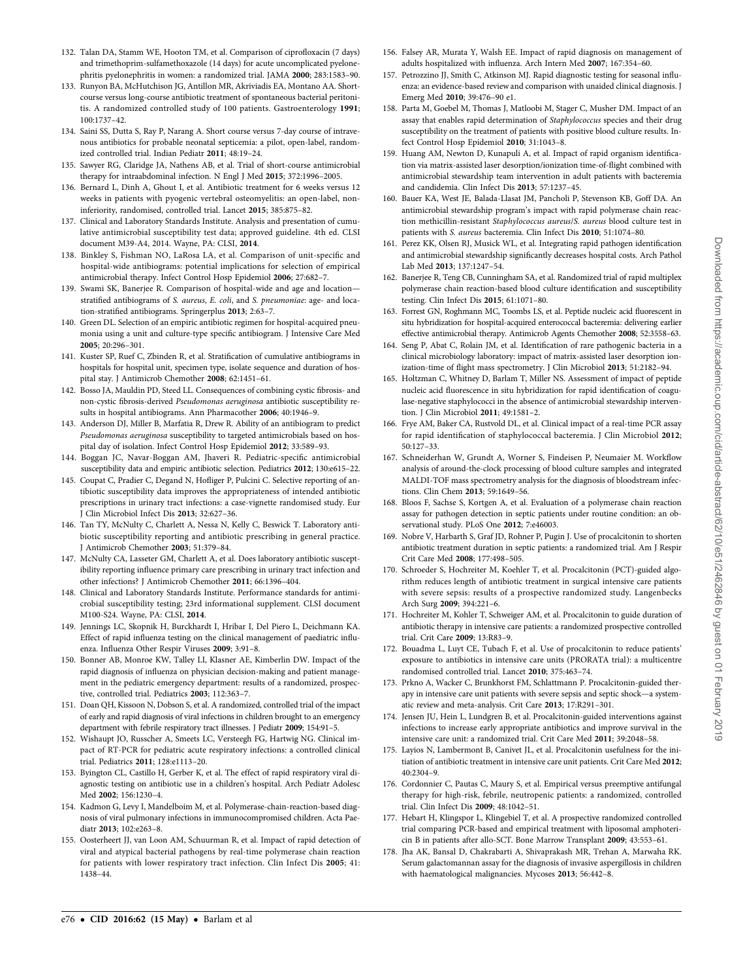- <span id="page-25-0"></span>132. Talan DA, Stamm WE, Hooton TM, et al. Comparison of ciprofloxacin (7 days) and trimethoprim-sulfamethoxazole (14 days) for acute uncomplicated pyelonephritis pyelonephritis in women: a randomized trial. JAMA 2000; 283:1583–90.
- 133. Runyon BA, McHutchison JG, Antillon MR, Akriviadis EA, Montano AA. Shortcourse versus long-course antibiotic treatment of spontaneous bacterial peritonitis. A randomized controlled study of 100 patients. Gastroenterology 1991; 100:1737–42.
- 134. Saini SS, Dutta S, Ray P, Narang A. Short course versus 7-day course of intravenous antibiotics for probable neonatal septicemia: a pilot, open-label, randomized controlled trial. Indian Pediatr 2011; 48:19–24.
- 135. Sawyer RG, Claridge JA, Nathens AB, et al. Trial of short-course antimicrobial therapy for intraabdominal infection. N Engl J Med 2015; 372:1996–2005.
- 136. Bernard L, Dinh A, Ghout I, et al. Antibiotic treatment for 6 weeks versus 12 weeks in patients with pyogenic vertebral osteomyelitis: an open-label, noninferiority, randomised, controlled trial. Lancet 2015; 385:875–82.
- 137. Clinical and Laboratory Standards Institute. Analysis and presentation of cumulative antimicrobial susceptibility test data; approved guideline. 4th ed. CLSI document M39-A4, 2014. Wayne, PA: CLSI, 2014.
- 138. Binkley S, Fishman NO, LaRosa LA, et al. Comparison of unit-specific and hospital-wide antibiograms: potential implications for selection of empirical antimicrobial therapy. Infect Control Hosp Epidemiol 2006; 27:682–7.
- 139. Swami SK, Banerjee R. Comparison of hospital-wide and age and location stratified antibiograms of S. aureus, E. coli, and S. pneumoniae: age- and location-stratified antibiograms. Springerplus 2013; 2:63–7.
- 140. Green DL. Selection of an empiric antibiotic regimen for hospital-acquired pneumonia using a unit and culture-type specific antibiogram. J Intensive Care Med 2005; 20:296–301.
- 141. Kuster SP, Ruef C, Zbinden R, et al. Stratification of cumulative antibiograms in hospitals for hospital unit, specimen type, isolate sequence and duration of hospital stay. J Antimicrob Chemother 2008; 62:1451–61.
- 142. Bosso JA, Mauldin PD, Steed LL. Consequences of combining cystic fibrosis- and non-cystic fibrosis-derived Pseudomonas aeruginosa antibiotic susceptibility results in hospital antibiograms. Ann Pharmacother 2006; 40:1946–9.
- 143. Anderson DJ, Miller B, Marfatia R, Drew R. Ability of an antibiogram to predict Pseudomonas aeruginosa susceptibility to targeted antimicrobials based on hospital day of isolation. Infect Control Hosp Epidemiol 2012; 33:589–93.
- 144. Boggan JC, Navar-Boggan AM, Jhaveri R. Pediatric-specific antimicrobial susceptibility data and empiric antibiotic selection. Pediatrics 2012; 130:e615–22.
- 145. Coupat C, Pradier C, Degand N, Hofliger P, Pulcini C. Selective reporting of antibiotic susceptibility data improves the appropriateness of intended antibiotic prescriptions in urinary tract infections: a case-vignette randomised study. Eur J Clin Microbiol Infect Dis 2013; 32:627–36.
- 146. Tan TY, McNulty C, Charlett A, Nessa N, Kelly C, Beswick T. Laboratory antibiotic susceptibility reporting and antibiotic prescribing in general practice. J Antimicrob Chemother 2003; 51:379–84.
- 147. McNulty CA, Lasseter GM, Charlett A, et al. Does laboratory antibiotic susceptibility reporting influence primary care prescribing in urinary tract infection and other infections? J Antimicrob Chemother 2011; 66:1396–404.
- 148. Clinical and Laboratory Standards Institute. Performance standards for antimicrobial susceptibility testing; 23rd informational supplement. CLSI document M100-S24. Wayne, PA: CLSI, 2014.
- 149. Jennings LC, Skopnik H, Burckhardt I, Hribar I, Del Piero L, Deichmann KA. Effect of rapid influenza testing on the clinical management of paediatric influenza. Influenza Other Respir Viruses 2009; 3:91–8.
- 150. Bonner AB, Monroe KW, Talley LI, Klasner AE, Kimberlin DW. Impact of the rapid diagnosis of influenza on physician decision-making and patient management in the pediatric emergency department: results of a randomized, prospective, controlled trial. Pediatrics 2003; 112:363–7.
- 151. Doan QH, Kissoon N, Dobson S, et al. A randomized, controlled trial of the impact of early and rapid diagnosis of viral infections in children brought to an emergency department with febrile respiratory tract illnesses. J Pediatr 2009; 154:91–5.
- 152. Wishaupt JO, Russcher A, Smeets LC, Versteegh FG, Hartwig NG. Clinical impact of RT-PCR for pediatric acute respiratory infections: a controlled clinical trial. Pediatrics 2011; 128:e1113–20.
- 153. Byington CL, Castillo H, Gerber K, et al. The effect of rapid respiratory viral diagnostic testing on antibiotic use in a children's hospital. Arch Pediatr Adolesc Med 2002; 156:1230–4.
- 154. Kadmon G, Levy I, Mandelboim M, et al. Polymerase-chain-reaction-based diagnosis of viral pulmonary infections in immunocompromised children. Acta Paediatr 2013; 102:e263–8.
- 155. Oosterheert JJ, van Loon AM, Schuurman R, et al. Impact of rapid detection of viral and atypical bacterial pathogens by real-time polymerase chain reaction for patients with lower respiratory tract infection. Clin Infect Dis 2005; 41: 1438–44.
- 156. Falsey AR, Murata Y, Walsh EE. Impact of rapid diagnosis on management of adults hospitalized with influenza. Arch Intern Med 2007; 167:354–60.
- 157. Petrozzino JJ, Smith C, Atkinson MJ. Rapid diagnostic testing for seasonal influenza: an evidence-based review and comparison with unaided clinical diagnosis. J Emerg Med 2010; 39:476–90 e1.
- 158. Parta M, Goebel M, Thomas J, Matloobi M, Stager C, Musher DM. Impact of an assay that enables rapid determination of Staphylococcus species and their drug susceptibility on the treatment of patients with positive blood culture results. Infect Control Hosp Epidemiol 2010; 31:1043–8.
- 159. Huang AM, Newton D, Kunapuli A, et al. Impact of rapid organism identification via matrix-assisted laser desorption/ionization time-of-flight combined with antimicrobial stewardship team intervention in adult patients with bacteremia and candidemia. Clin Infect Dis 2013; 57:1237–45.
- 160. Bauer KA, West JE, Balada-Llasat JM, Pancholi P, Stevenson KB, Goff DA. An antimicrobial stewardship program's impact with rapid polymerase chain reaction methicillin-resistant Staphylococcus aureus/S. aureus blood culture test in patients with S. aureus bacteremia. Clin Infect Dis 2010; 51:1074–80.
- 161. Perez KK, Olsen RJ, Musick WL, et al. Integrating rapid pathogen identification and antimicrobial stewardship significantly decreases hospital costs. Arch Pathol Lab Med 2013; 137:1247–54.
- 162. Banerjee R, Teng CB, Cunningham SA, et al. Randomized trial of rapid multiplex polymerase chain reaction-based blood culture identification and susceptibility testing. Clin Infect Dis 2015; 61:1071–80.
- 163. Forrest GN, Roghmann MC, Toombs LS, et al. Peptide nucleic acid fluorescent in situ hybridization for hospital-acquired enterococcal bacteremia: delivering earlier effective antimicrobial therapy. Antimicrob Agents Chemother 2008; 52:3558–63.
- 164. Seng P, Abat C, Rolain JM, et al. Identification of rare pathogenic bacteria in a clinical microbiology laboratory: impact of matrix-assisted laser desorption ionization-time of flight mass spectrometry. J Clin Microbiol 2013; 51:2182–94.
- 165. Holtzman C, Whitney D, Barlam T, Miller NS. Assessment of impact of peptide nucleic acid fluorescence in situ hybridization for rapid identification of coagulase-negative staphylococci in the absence of antimicrobial stewardship intervention. J Clin Microbiol 2011; 49:1581–2.
- 166. Frye AM, Baker CA, Rustvold DL, et al. Clinical impact of a real-time PCR assay for rapid identification of staphylococcal bacteremia. J Clin Microbiol 2012; 50:127–33.
- 167. Schneiderhan W, Grundt A, Worner S, Findeisen P, Neumaier M. Workflow analysis of around-the-clock processing of blood culture samples and integrated MALDI-TOF mass spectrometry analysis for the diagnosis of bloodstream infections. Clin Chem 2013; 59:1649–56.
- 168. Bloos F, Sachse S, Kortgen A, et al. Evaluation of a polymerase chain reaction assay for pathogen detection in septic patients under routine condition: an observational study. PLoS One 2012; 7:e46003.
- 169. Nobre V, Harbarth S, Graf JD, Rohner P, Pugin J. Use of procalcitonin to shorten antibiotic treatment duration in septic patients: a randomized trial. Am J Respir Crit Care Med 2008; 177:498–505.
- 170. Schroeder S, Hochreiter M, Koehler T, et al. Procalcitonin (PCT)-guided algorithm reduces length of antibiotic treatment in surgical intensive care patients with severe sepsis: results of a prospective randomized study. Langenbecks Arch Surg 2009; 394:221–6.
- 171. Hochreiter M, Kohler T, Schweiger AM, et al. Procalcitonin to guide duration of antibiotic therapy in intensive care patients: a randomized prospective controlled trial. Crit Care 2009; 13:R83–9.
- 172. Bouadma L, Luyt CE, Tubach F, et al. Use of procalcitonin to reduce patients' exposure to antibiotics in intensive care units (PRORATA trial): a multicentre randomised controlled trial. Lancet 2010; 375:463–74.
- 173. Prkno A, Wacker C, Brunkhorst FM, Schlattmann P. Procalcitonin-guided therapy in intensive care unit patients with severe sepsis and septic shock—a systematic review and meta-analysis. Crit Care 2013; 17:R291–301.
- 174. Jensen JU, Hein L, Lundgren B, et al. Procalcitonin-guided interventions against infections to increase early appropriate antibiotics and improve survival in the intensive care unit: a randomized trial. Crit Care Med 2011; 39:2048–58.
- 175. Layios N, Lambermont B, Canivet JL, et al. Procalcitonin usefulness for the initiation of antibiotic treatment in intensive care unit patients. Crit Care Med 2012; 40:2304–9.
- 176. Cordonnier C, Pautas C, Maury S, et al. Empirical versus preemptive antifungal therapy for high-risk, febrile, neutropenic patients: a randomized, controlled trial. Clin Infect Dis 2009; 48:1042–51.
- 177. Hebart H, Klingspor L, Klingebiel T, et al. A prospective randomized controlled trial comparing PCR-based and empirical treatment with liposomal amphotericin B in patients after allo-SCT. Bone Marrow Transplant 2009; 43:553–61.
- 178. Jha AK, Bansal D, Chakrabarti A, Shivaprakash MR, Trehan A, Marwaha RK. Serum galactomannan assay for the diagnosis of invasive aspergillosis in children with haematological malignancies. Mycoses 2013; 56:442–8.